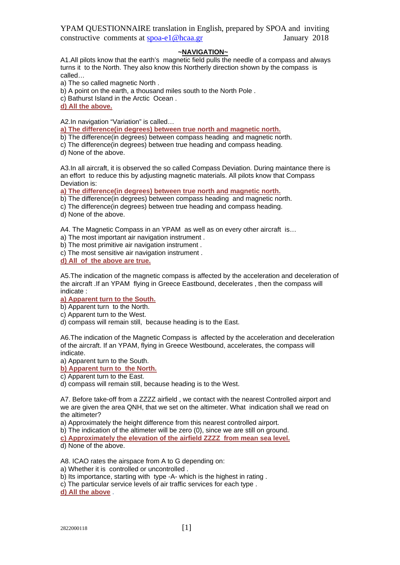### **~NAVIGATION~**

A1.All pilots know that the earth's magnetic field pulls the needle of a compass and always turns it to the North. They also know this Northerly direction shown by the compass is called…

a) The so called magnetic North .

b) A point on the earth, a thousand miles south to the North Pole .

c) Bathurst Island in the Arctic Ocean .

**d) All the above.**

A2.In navigation "Variation" is called…

**a) The difference(in degrees) between true north and magnetic north.**

b) The difference(in degrees) between compass heading and magnetic north.

c) The difference(in degrees) between true heading and compass heading.

d) None of the above.

A3. In all aircraft, it is observed the so called Compass Deviation. During maintance there is an effort to reduce this by adjusting magnetic materials. All pilots know that Compass Deviation is:

**a) The difference(in degrees) between true north and magnetic north.**

b) The difference(in degrees) between compass heading and magnetic north.

c) The difference(in degrees) between true heading and compass heading.

d) None of the above.

A4. The Magnetic Compass in an YPAM as well as on every other aircraft is…

a) The most important air navigation instrument .

b) The most primitive air navigation instrument .

c) The most sensitive air navigation instrument .

**d) All of the above are true.**

A5.The indication of the magnetic compass is affected by the acceleration and deceleration of the aircraft .If an YPAM flying in Greece Eastbound, decelerates , then the compass will indicate :

### **a) Apparent turn to the South.**

b) Apparent turn to the North.

c) Apparent turn to the West.

d) compass will remain still, because heading is to the East.

A6.The indication of the Magnetic Compass is affected by the acceleration and deceleration of the aircraft. If an YPAM, flying in Greece Westbound, accelerates, the compass will indicate.

a) Apparent turn to the South.

**b) Apparent turn to the North.**

c) Apparent turn to the East.

d) compass will remain still, because heading is to the West.

A7. Before take-off from a ZZZZ airfield , we contact with the nearest Controlled airport and we are given the area QNH, that we set on the altimeter. What indication shall we read on the altimeter?

a) Approximately the height difference from this nearest controlled airport.

b) The indication of the altimeter will be zero (0), since we are still on ground.

**c) Approximately the elevation of the airfield ZZZZ from mean sea level.**

d) None of the above.

A8. ICAO rates the airspace from A to G depending on:

a) Whether it is controlled or uncontrolled .

b) Its importance, starting with type -A- which is the highest in rating .

c) The particular service levels of air traffic services for each type .

**d) All the above** .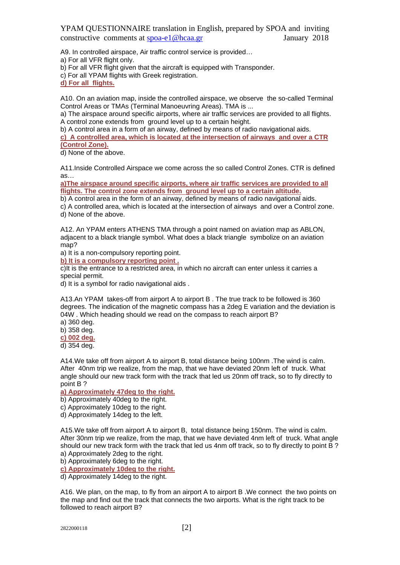A9. In controlled airspace, Air traffic control service is provided…

a) For all VFR flight only.

b) For all VFR flight given that the aircraft is equipped with Transponder.

c) For all YPAM flights with Greek registration.

**d) For all flights.**

A10. On an aviation map, inside the controlled airspace, we observe the so-called Terminal Control Areas or TMAs (Terminal Manoeuvring Areas). TMA is ...

a) The airspace around specific airports, where air traffic services are provided to all flights. A control zone extends from ground level up to a certain height.

b) A control area in a form of an airway, defined by means of radio navigational aids.

**c) A controlled area, which is located at the intersection of airways and over a CTR (Control Zone).** 

d) None of the above.

A11.Inside Controlled Airspace we come across the so called Control Zones. CTR is defined as…

**a)The airspace around specific airports, where air traffic services are provided to all flights. The control zone extends from ground level up to a certain altitude.** 

b) A control area in the form of an airway, defined by means of radio navigational aids.

c) A controlled area, which is located at the intersection of airways and over a Control zone. d) None of the above.

A12. An YPAM enters ATHENS TMA through a point named on aviation map as ABLON, adjacent to a black triangle symbol. What does a black triangle symbolize on an aviation map?

a) It is a non-compulsory reporting point.

**b) It is a compulsory reporting point .**

c)It is the entrance to a restricted area, in which no aircraft can enter unless it carries a special permit.

d) It is a symbol for radio navigational aids .

A13.An YPAM takes-off from airport A to airport B . The true track to be followed is 360 degrees. The indication of the magnetic compass has a 2deg E variation and the deviation is 04W . Which heading should we read on the compass to reach airport B?

a) 360 deg.

b) 358 deg.

**c) 002 deg.**

d) 354 deg.

A14.We take off from airport A to airport B, total distance being 100nm .The wind is calm. After 40nm trip we realize, from the map, that we have deviated 20nm left of truck. What angle should our new track form with the track that led us 20nm off track, so to fly directly to point B ?

### **a) Approximately 47deg to the right.**

b) Approximately 40deg to the right.

c) Approximately 10deg to the right.

d) Approximately 14deg to the left.

A15.We take off from airport A to airport B, total distance being 150nm. The wind is calm. After 30nm trip we realize, from the map, that we have deviated 4nm left of truck. What angle should our new track form with the track that led us 4nm off track, so to fly directly to point B ? a) Approximately 2deg to the right.

b) Approximately 6deg to the right.

**c) Approximately 10deg to the right.**

d) Approximately 14deg to the right.

A16. We plan, on the map, to fly from an airport A to airport B .We connect the two points on the map and find out the track that connects the two airports. What is the right track to be followed to reach airport B?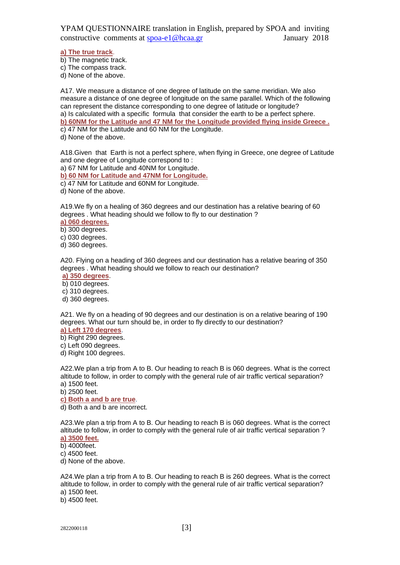**a) The true track**.

b) The magnetic track.

c) The compass track.

d) None of the above.

A17. We measure a distance of one degree of latitude on the same meridian. We also measure a distance of one degree of longitude on the same parallel. Which of the following can represent the distance corresponding to one degree of latitude or longitude? a) Is calculated with a specific formula that consider the earth to be a perfect sphere. **b) 60NM for the Latitude and 47 NM for the Longitude provided flying inside Greece .** c) 47 NM for the Latitude and 60 NM for the Longitude.

d) None of the above.

A18.Given that Earth is not a perfect sphere, when flying in Greece, one degree of Latitude and one degree of Longitude correspond to :

a) 67 NM for Latitude and 40NM for Longitude.

**b) 60 NM for Latitude and 47NM for Longitude.**

c) 47 NM for Latitude and 60NM for Longitude.

d) None of the above.

A19.We fly on a healing of 360 degrees and our destination has a relative bearing of 60 degrees . What heading should we follow to fly to our destination ?

**a) 060 degrees.**

b) 300 degrees.

c) 030 degrees.

d) 360 degrees.

A20. Flying on a heading of 360 degrees and our destination has a relative bearing of 350 degrees . What heading should we follow to reach our destination?

**a) 350 degrees**.

b) 010 degrees.

c) 310 degrees.

d) 360 degrees.

A21. We fly on a heading of 90 degrees and our destination is on a relative bearing of 190 degrees. What our turn should be, in order to fly directly to our destination?

**a) Left 170 degrees**.

b) Right 290 degrees.

c) Left 090 degrees.

d) Right 100 degrees.

A22.We plan a trip from A to B. Our heading to reach B is 060 degrees. What is the correct altitude to follow, in order to comply with the general rule of air traffic vertical separation? a) 1500 feet.

b) 2500 feet.

**c) Both a and b are true**.

d) Both a and b are incorrect.

A23.We plan a trip from A to B. Our heading to reach B is 060 degrees. What is the correct altitude to follow, in order to comply with the general rule of air traffic vertical separation ?

**a) 3500 feet.**

b) 4000feet.

c) 4500 feet.

d) None of the above.

A24.We plan a trip from A to B. Our heading to reach B is 260 degrees. What is the correct altitude to follow, in order to comply with the general rule of air traffic vertical separation? a) 1500 feet.

b) 4500 feet.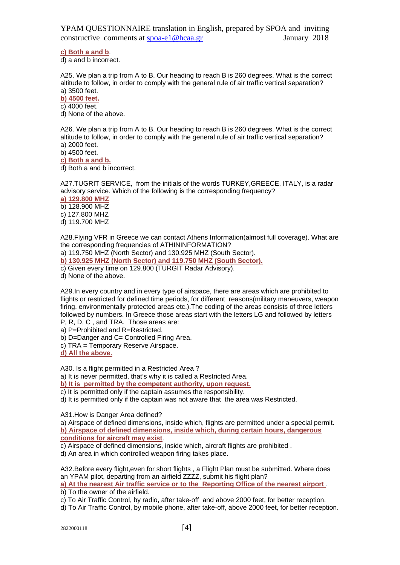**c) Both a and b**.

d) a and b incorrect.

A25. We plan a trip from A to B. Our heading to reach B is 260 degrees. What is the correct altitude to follow, in order to comply with the general rule of air traffic vertical separation? a) 3500 feet.

**b) 4500 feet.**

c) 4000 feet.

d) None of the above.

A26. We plan a trip from A to B. Our heading to reach B is 260 degrees. What is the correct altitude to follow, in order to comply with the general rule of air traffic vertical separation? a) 2000 feet.

b) 4500 feet.

**c) Both a and b.**

d) Both a and b incorrect.

A27.TUGRIT SERVICE, from the initials of the words TURKEY,GREECE, ITALY, is a radar advisory service. Which of the following is the corresponding frequency?

**a) 129.800 MHZ** b) 128.900 MHZ c) 127.800 MHZ

d) 119.700 MHZ

A28.Flying VFR in Greece we can contact Athens Information(almost full coverage). What are the corresponding frequencies of ATHININFORMATION?

a) 119.750 MHZ (North Sector) and 130.925 MHZ (South Sector).

**b) 130.925 MHZ (North Sector) and 119.750 MHZ (South Sector).**

c) Given every time on 129.800 (TURGIT Radar Advisory).

d) None of the above.

A29.In every country and in every type of airspace, there are areas which are prohibited to flights or restricted for defined time periods, for different reasons(military maneuvers, weapon firing, environmentally protected areas etc.).The coding of the areas consists of three letters followed by numbers. In Greece those areas start with the letters LG and followed by letters

P, R, D, C , and TRA. Those areas are:

a) P=Prohibited and R=Restricted.

b) D=Danger and C= Controlled Firing Area.

c) TRA = Temporary Reserve Airspace.

**d) All the above.**

A30. Is a flight permitted in a Restricted Area ?

a) It is never permitted, that's why it is called a Restricted Area.

**b) It is permitted by the competent authority, upon request.**

c) It is permitted only if the captain assumes the responsibility.

d) It is permitted only if the captain was not aware that the area was Restricted.

A31.How is Danger Area defined?

a) Airspace of defined dimensions, inside which, flights are permitted under a special permit. **b) Airspace of defined dimensions, inside which, during certain hours, dangerous conditions for aircraft may exist**.

c) Airspace of defined dimensions, inside which, aircraft flights are prohibited .

d) An area in which controlled weapon firing takes place.

A32.Before every flight,even for short flights , a Flight Plan must be submitted. Where does an YPAM pilot, departing from an airfield ZZZZ, submit his flight plan? **a) At the nearest Air traffic service or to the Reporting Office of the nearest airport** . b) To the owner of the airfield.

c) To Air Traffic Control, by radio, after take-off and above 2000 feet, for better reception.

d) To Air Traffic Control, by mobile phone, after take-off, above 2000 feet, for better reception.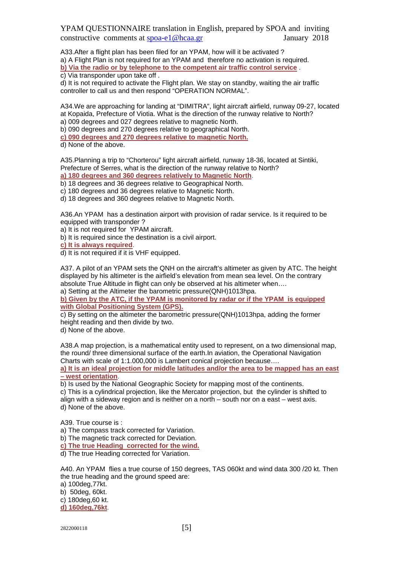A33.After a flight plan has been filed for an YPAM, how will it be activated ? a) A Flight Plan is not required for an YPAM and therefore no activation is required. **b) Via the radio or by telephone to the competent air traffic control service** .

c) Via transponder upon take off .

d) It is not required to activate the Flight plan. We stay on standby, waiting the air traffic controller to call us and then respond "OPERATION NORMAL".

A34.We are approaching for landing at "DIMITRA", light aircraft airfield, runway 09-27, located at Kopaida, Prefecture of Viotia. What is the direction of the runway relative to North?

a) 009 degrees and 027 degrees relative to magnetic North.

b) 090 degrees and 270 degrees relative to geographical North.

**c) 090 degrees and 270 degrees relative to magnetic North.**

d) None of the above.

A35.Planning a trip to "Chorterou" light aircraft airfield, runway 18-36, located at Sintiki, Prefecture of Serres, what is the direction of the runway relative to North?

**a) 180 degrees and 360 degrees relatively to Magnetic North**.

b) 18 degrees and 36 degrees relative to Geographical North.

c) 180 degrees and 36 degrees relative to Magnetic North.

d) 18 degrees and 360 degrees relative to Magnetic North.

A36.An YPAM has a destination airport with provision of radar service. Is it required to be equipped with transponder ?

a) It is not required for YPAM aircraft.

b) It is required since the destination is a civil airport.

**c) It is always required**.

d) It is not required if it is VHF equipped.

A37. A pilot of an YPAM sets the QNH on the aircraft's altimeter as given by ATC. The height displayed by his altimeter is the airfield's elevation from mean sea level. On the contrary absolute True Altitude in flight can only be observed at his altimeter when…. a) Setting at the Altimeter the barometric pressure(QNH)1013hpa.

**b) Given by the ATC, if the YPAM is monitored by radar or if the YPAM is equipped with Global Positioning System (GPS).**

c) By setting on the altimeter the barometric pressure(QNH)1013hpa, adding the former height reading and then divide by two.

d) None of the above.

A38.A map projection, is a mathematical entity used to represent, on a two dimensional map, the round/ three dimensional surface of the earth.In aviation, the Operational Navigation Charts with scale of 1:1.000,000 is Lambert conical projection because…. **a) It is an ideal projection for middle latitudes and/or the area to be mapped has an east** 

**– west orientation**.

b) Is used by the National Geographic Society for mapping most of the continents. c) This is a cylindrical projection, like the Mercator projection, but the cylinder is shifted to align with a sideway region and is neither on a north – south nor on a east – west axis. d) None of the above.

A39. True course is :

a) The compass track corrected for Variation.

b) The magnetic track corrected for Deviation.

**c) The true Heading corrected for the wind.**

d) The true Heading corrected for Variation.

A40. An YPAM flies a true course of 150 degrees, TAS 060kt and wind data 300 /20 kt. Then the true heading and the ground speed are:

a) 100deg,77kt. b) 50deg, 60kt.

c) 180deg,60 kt. **d) 160deg,76kt**.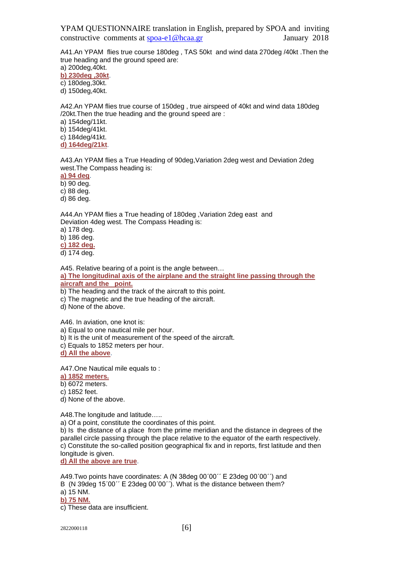A41.An YPAM flies true course 180deg , TAS 50kt and wind data 270deg /40kt .Then the true heading and the ground speed are:

a) 200deg,40kt.

**b) 230deg ,30kt**.

c) 180deg,30kt.

d) 150deg,40kt.

A42.An YPAM flies true course of 150deg , true airspeed of 40kt and wind data 180deg /20kt.Then the true heading and the ground speed are :

a) 154deg/11kt.

b) 154deg/41kt.

c) 184deg/41kt.

**d) 164deg/21kt**.

A43.An YPAM flies a True Heading of 90deg,Variation 2deg west and Deviation 2deg west.The Compass heading is:

**a) 94 deg**.

b) 90 deg.

c) 88 deg.

d) 86 deg.

A44.An YPAM flies a True heading of 180deg ,Variation 2deg east and Deviation 4deg west. The Compass Heading is:

a) 178 deg.

b) 186 deg.

**c) 182 deg.**

d) 174 deg.

A45. Relative bearing of a point is the angle between…

**a) The longitudinal axis of the airplane and the straight line passing through the aircraft and the point.**

b) The heading and the track of the aircraft to this point.

c) The magnetic and the true heading of the aircraft.

d) None of the above.

A46. In aviation, one knot is:

a) Equal to one nautical mile per hour.

b) It is the unit of measurement of the speed of the aircraft.

c) Equals to 1852 meters per hour.

**d) All the above**.

A47.One Nautical mile equals to :

**a) 1852 meters.**

b) 6072 meters.

c) 1852 feet.

d) None of the above.

A48.The longitude and latitude…..

a) Of a point, constitute the coordinates of this point.

b) Is the distance of a place from the prime meridian and the distance in degrees of the parallel circle passing through the place relative to the equator of the earth respectively. c) Constitute the so-called position geographical fix and in reports, first latitude and then longitude is given.

**d) All the above are true**.

A49.Two points have coordinates: A (N 38deg 00΄00΄΄ Ε 23deg 00΄00΄΄) and B (N 39deg 15΄00΄΄ Ε 23deg 00΄00΄΄). What is the distance between them? a) 15 NM. **b) 75 NM.**

c) These data are insufficient.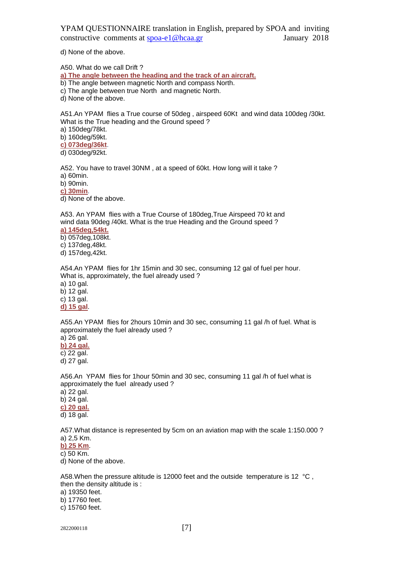d) None of the above.

A50. What do we call Drift ?

**a) The angle between the heading and the track of an aircraft.**

b) The angle between magnetic North and compass North.

c) The angle between true North and magnetic North.

d) None of the above.

A51.An YPAM flies a True course of 50deg , airspeed 60Kt and wind data 100deg /30kt. What is the True heading and the Ground speed ?

a) 150deg/78kt.

b) 160deg/59kt.

**c) 073deg/36kt**.

d) 030deg/92kt.

A52. You have to travel 30NM , at a speed of 60kt. How long will it take ? a) 60min.

b) 90min.

**c) 30min**.

d) None of the above.

Α53. An YPAM flies with a True Course of 180deg,True Airspeed 70 kt and wind data 90deg /40kt. What is the true Heading and the Ground speed ?

**a) 145deg,54kt.**

b) 057deg,108kt.

c) 137deg,48kt.

d) 157deg,42kt.

A54.An YPAM flies for 1hr 15min and 30 sec, consuming 12 gal of fuel per hour. What is, approximately, the fuel already used ?

a) 10 gal. b) 12 gal. c) 13 gal. **d) 15 gal**.

A55.An YPAM flies for 2hours 10min and 30 sec, consuming 11 gal /h of fuel. What is approximately the fuel already used ?

a) 26 gal. **b) 24 gal.** c) 22 gal.

d) 27 gal.

A56.An YPAM flies for 1hour 50min and 30 sec, consuming 11 gal /h of fuel what is approximately the fuel already used ?

a) 22 gal. b) 24 gal. **c) 20 gal.** d) 18 gal.

A57.What distance is represented by 5cm on an aviation map with the scale 1:150.000 ? a) 2,5 Km.

**b) 25 Km**.

c) 50 Km.

d) None of the above.

A58. When the pressure altitude is 12000 feet and the outside temperature is 12 °C. then the density altitude is :

a) 19350 feet.

b) 17760 feet.

c) 15760 feet.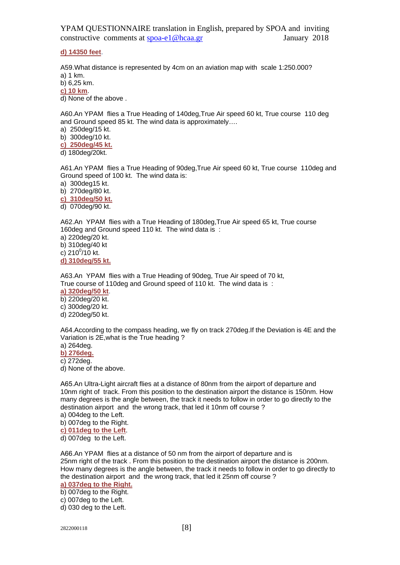**d) 14350 feet**.

A59.What distance is represented by 4cm on an aviation map with scale 1:250.000? a) 1 km.

b) 6,25 km.

**c) 10 km**.

d) None of the above .

A60.An YPAM flies a True Heading of 140deg,True Air speed 60 kt, True course 110 deg and Ground speed 85 kt. The wind data is approximately….

a) 250deg/15 kt.

b) 300deg/10 kt.

**c) 250deg/45 kt.**

d) 180deg/20kt.

A61.An YPAM flies a True Heading of 90deg,True Air speed 60 kt, True course 110deg and Ground speed of 100 kt. The wind data is:

a) 300deg15 kt.

b) 270deg/80 kt.

**c) 310deg/50 kt.**

d) 070deg/90 kt.

A62.An YPAM flies with a True Heading of 180deg,True Air speed 65 kt, True course 160deg and Ground speed 110 kt. The wind data is :

a) 220deg/20 kt.

b) 310deg/40 kt

c) 210 $^{\rm o}$ /10 kt.

**d) 310deg/55 kt.**

A63.An YPAM flies with a True Heading of 90deg, True Air speed of 70 kt, True course of 110deg and Ground speed of 110 kt. The wind data is :

**a) 320deg/50 kt**.

b) 220deg/20 kt. c) 300deg/20 kt.

d) 220deg/50 kt.

A64.According to the compass heading, we fly on track 270deg.If the Deviation is 4E and the Variation is 2E,what is the True heading ?

a) 264deg.

**b) 276deg.**

c) 272deg.

d) None of the above.

Α65.An Ultra-Light aircraft flies at a distance of 80nm from the airport of departure and 10nm right of track. From this position to the destination airport the distance is 150nm. How many degrees is the angle between, the track it needs to follow in order to go directly to the destination airport and the wrong track, that led it 10nm off course ?

a) 004deg to the Left.

b) 007deg to the Right.

**c) 011deg to the Left**.

d) 007deg to the Left.

Α66.An YPAM flies at a distance of 50 nm from the airport of departure and is 25nm right of the track . From this position to the destination airport the distance is 200nm. How many degrees is the angle between, the track it needs to follow in order to go directly to the destination airport and the wrong track, that led it 25nm off course ?

# **a) 037deg to the Right.**

b) 007deg to the Right.

c) 007deg to the Left.

d) 030 deg to the Left.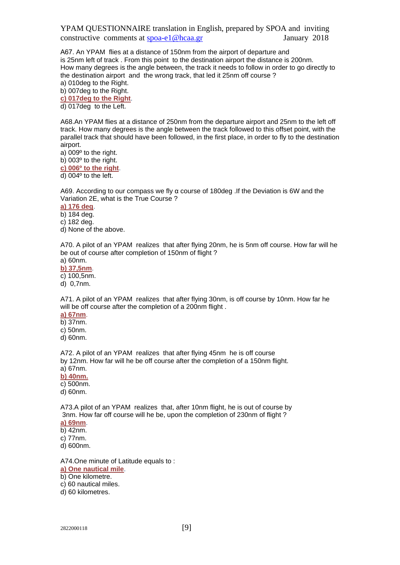Α67. An YPAM flies at a distance of 150nm from the airport of departure and is 25nm left of track . From this point to the destination airport the distance is 200nm. How many degrees is the angle between, the track it needs to follow in order to go directly to the destination airport and the wrong track, that led it 25nm off course ?

a) 010deg to the Right.

b) 007deg to the Right.

**c) 017deg to the Right**. d) 017deg to the Left.

A68.An YPAM flies at a distance of 250nm from the departure airport and 25nm to the left off track. How many degrees is the angle between the track followed to this offset point, with the parallel track that should have been followed, in the first place, in order to fly to the destination airport.

a) 009º to the right.

b) 003º to the right.

**c) 006º to the right**.

d) 004º to the left.

A69. According to our compass we fly α course of 180deg .If the Deviation is 6W and the Variation 2E, what is the True Course ?

**a) 176 deg**.

b) 184 deg.

c) 182 deg.

d) None of the above.

A70. A pilot of an YPAM realizes that after flying 20nm, he is 5nm off course. How far will he be out of course after completion of 150nm of flight ?

a) 60nm. **b) 37,5nm**.

c) 100,5nm.

d) 0,7nm.

A71. A pilot of an YPAM realizes that after flying 30nm, is off course by 10nm. How far he will be off course after the completion of a 200nm flight.

**a) 67nm**. b) 37nm. c) 50nm. d) 60nm.

A72. A pilot of an YPAM realizes that after flying 45nm he is off course by 12nm. How far will he be off course after the completion of a 150nm flight. a) 67nm.

**b) 40nm.**

c) 500nm.

d) 60nm.

A73.A pilot of an YPAM realizes that, after 10nm flight, he is out of course by 3nm. How far off course will he be, upon the completion of 230nm of flight ? **a) 69nm**.

b) 42nm.

c) 77nm.

d) 600nm.

A74.One minute of Latitude equals to :

**a) One nautical mile**.

b) One kilometre.

c) 60 nautical miles.

d) 60 kilometres.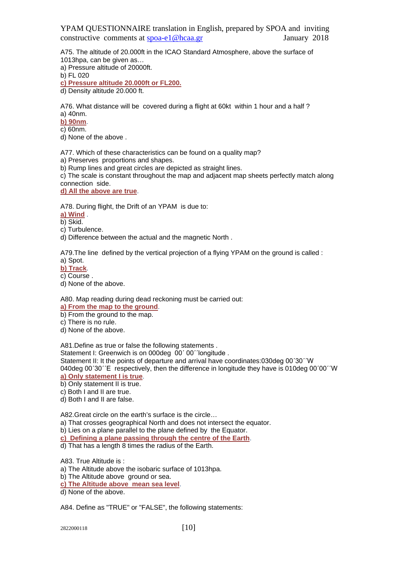A75. The altitude of 20.000ft in the ICAO Standard Atmosphere, above the surface of 1013hpa, can be given as…

a) Pressure altitude of 20000ft.

b) FL 020

**c) Pressure altitude 20.000ft or FL200.**

d) Density altitude 20.000 ft.

A76. What distance will be covered during a flight at 60kt within 1 hour and a half ? a) 40nm.

**b) 90nm**.

 $\overline{\text{c}}$ ) 60nm.

d) None of the above .

A77. Which of these characteristics can be found on a quality map?

a) Preserves proportions and shapes.

b) Rump lines and great circles are depicted as straight lines.

c) The scale is constant throughout the map and adjacent map sheets perfectly match along connection side.

**d) All the above are true**.

A78. During flight, the Drift of an YPAM is due to:

**a) Wind** .

b) Skid.

c) Turbulence.

d) Difference between the actual and the magnetic North .

A79.The line defined by the vertical projection of a flying YPAM on the ground is called :

a) Spot.

**b) Track**.

c) Course .

d) None of the above.

A80. Map reading during dead reckoning must be carried out:

**a) From the map to the ground**.

b) From the ground to the map.

c) There is no rule.

d) None of the above.

A81.Define as true or false the following statements .

Statement I: Greenwich is on 000deg 00'00''longitude.

Statement II: It the points of departure and arrival have coordinates:030deg 00΄30΄΄W 040deg 00΄30΄΄E respectively, then the difference in longitude they have is 010deg 00΄00΄΄W **a) Only statement I is true**.

b) Only statement II is true.

c) Both I and II are true.

d) Both I and II are false.

A82.Great circle on the earth's surface is the circle…

a) That crosses geographical North and does not intersect the equator.

b) Lies on a plane parallel to the plane defined by the Equator.

**c) Defining a plane passing through the centre of the Earth**.

d) That has a length 8 times the radius of the Earth.

A83. True Altitude is :

a) The Altitude above the isobaric surface of 1013hpa.

b) The Altitude above ground or sea.

**c) The Altitude above mean sea level**.

d) None of the above.

A84. Define as "TRUE" or "FALSE", the following statements: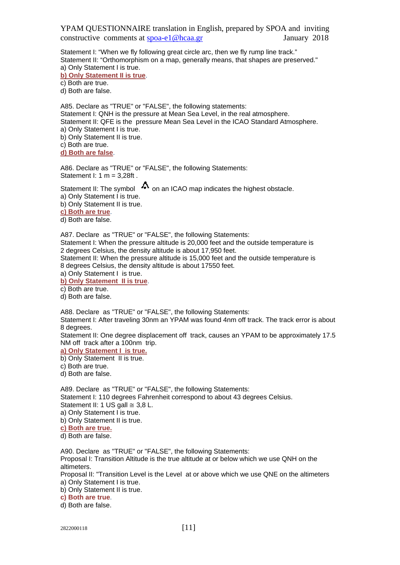Statement I: "When we fly following great circle arc, then we fly rump line track." Statement II: "Orthomorphism on a map, generally means, that shapes are preserved." a) Only Statement I is true.

**b) Only Statement II is true**.

c) Both are true.

d) Both are false.

A85. Declare as "TRUE" or "FALSE", the following statements: Statement I: QNH is the pressure at Mean Sea Level, in the real atmosphere. Statement II: QFE is the pressure Mean Sea Level in the ICAO Standard Atmosphere. a) Only Statement I is true.

b) Only Statement II is true.

c) Both are true.

**d) Both are false**.

A86. Declare as "TRUE" or "FALSE", the following Statements: Statement I: 1 m = 3,28ft .

Statement II: The symbol  $\Omega$  on an ICAO map indicates the highest obstacle. a) Only Statement I is true.

b) Only Statement II is true.

**c) Both are true**.

d) Both are false.

A87. Declare as "TRUE" or "FALSE", the following Statements:

Statement I: When the pressure altitude is 20,000 feet and the outside temperature is 2 degrees Celsius, the density altitude is about 17,950 feet.

Statement II: When the pressure altitude is 15,000 feet and the outside temperature is 8 degrees Celsius, the density altitude is about 17550 feet.

a) Only Statement I is true.

**b) Only Statement II is true**.

c) Both are true.

d) Both are false.

A88. Declare as "TRUE" or "FALSE", the following Statements:

Statement I: After traveling 30nm an YPAM was found 4nm off track. The track error is about 8 degrees.

Statement II: One degree displacement off track, causes an YPAM to be approximately 17.5 NM off track after a 100nm trip.

**a) Only Statement I is true.** 

b) Only Statement II is true.

c) Both are true.

d) Both are false.

A89. Declare as "TRUE" or "FALSE", the following Statements: Statement I: 110 degrees Fahrenheit correspond to about 43 degrees Celsius. Statement II: 1 US gall  $\approx$  3.8 L.

a) Only Statement I is true.

b) Only Statement II is true.

**c) Both are true.** 

d) Both are false.

A90. Declare as "TRUE" or "FALSE", the following Statements:

Proposal I: Transition Altitude is the true altitude at or below which we use QNH on the altimeters.

Proposal II: "Transition Level is the Level at or above which we use QNE on the altimeters a) Only Statement I is true.

b) Only Statement II is true.

**c) Both are true**.

d) Both are false.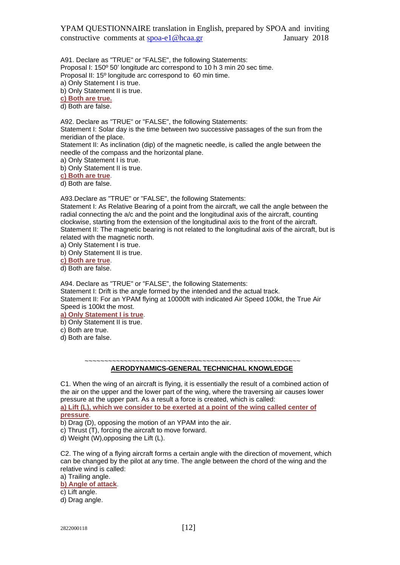A91. Declare as "TRUE" or "FALSE", the following Statements: Proposal I: 150º 50' longitude arc correspond to 10 h 3 min 20 sec time. Proposal II: 15º longitude arc correspond to 60 min time.

a) Only Statement I is true.

b) Only Statement II is true.

**c) Both are true.** 

d) Both are false.

A92. Declare as "TRUE" or "FALSE", the following Statements:

Statement I: Solar day is the time between two successive passages of the sun from the meridian of the place.

Statement II: As inclination (dip) of the magnetic needle, is called the angle between the needle of the compass and the horizontal plane.

a) Only Statement I is true.

b) Only Statement II is true.

**c) Both are true**.

d) Both are false.

A93.Declare as "TRUE" or "FALSE", the following Statements:

Statement I: As Relative Bearing of a point from the aircraft, we call the angle between the radial connecting the a/c and the point and the longitudinal axis of the aircraft, counting clockwise, starting from the extension of the longitudinal axis to the front of the aircraft. Statement II: The magnetic bearing is not related to the longitudinal axis of the aircraft, but is related with the magnetic north.

a) Only Statement I is true.

b) Only Statement II is true.

**c) Both are true**.

d) Both are false.

A94. Declare as "TRUE" or "FALSE", the following Statements: Statement I: Drift is the angle formed by the intended and the actual track.

Statement II: For an YPAM flying at 10000ft with indicated Air Speed 100kt, the True Air Speed is 100kt the most.

**a) Only Statement I is true**.

b) Only Statement II is true.

c) Both are true.

d) Both are false.

 ~~~~~~~~~~~~~~~~~~~~~~~~~~~~~~~~~~~~~~~~~~~~~~~~~~~~~~~  **AERODYNAMICS-GENERAL TECHNICHAL KNOWLEDGE** 

C1. When the wing of an aircraft is flying, it is essentially the result of a combined action of the air on the upper and the lower part of the wing, where the traversing air causes lower pressure at the upper part. As a result a force is created, which is called: **a) Lift (L), which we consider to be exerted at a point of the wing called center of** 

**pressure**.

b) Drag (D), opposing the motion of an YPAM into the air.

c) Thrust (T), forcing the aircraft to move forward.

d) Weight (W),opposing the Lift (L).

C2. The wing of a flying aircraft forms a certain angle with the direction of movement, which can be changed by the pilot at any time. The angle between the chord of the wing and the relative wind is called:

a) Trailing angle.

**b) Angle of attack**.

c) Lift angle.

d) Drag angle.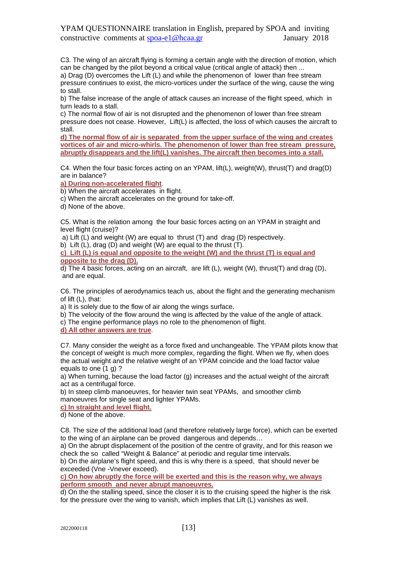C3. The wing of an aircraft flying is forming a certain angle with the direction of motion, which can be changed by the pilot beyond a critical value (critical angle of attack) then ...

a) Drag (D) overcomes the Lift (L) and while the phenomenon of lower than free stream pressure continues to exist, the micro-vortices under the surface of the wing, cause the wing to stall.

b) The false increase of the angle of attack causes an increase of the flight speed, which in turn leads to a stall.

c) The normal flow of air is not disrupted and the phenomenon of lower than free stream pressure does not cease. However, Lift(L) is affected, the loss of which causes the aircraft to stall.

**d) The normal flow of air is separated from the upper surface of the wing and creates vortices of air and micro-whirls. The phenomenon of lower than free stream pressure, abruptly disappears and the lift(L) vanishes. The aircraft then becomes into a stall.**

C4. When the four basic forces acting on an YPAM, lift(L), weight(W), thrust(T) and drag(D) are in balance?

**a) During non-accelerated flight**.

b) When the aircraft accelerates in flight.

c) When the aircraft accelerates on the ground for take-off.

d) None of the above.

C5. What is the relation among the four basic forces acting on an YPAM in straight and level flight (cruise)?

a) Lift (L) and weight (W) are equal to thrust (T) and drag (D) respectively.

b) Lift (L), drag (D) and weight (W) are equal to the thrust (T).

**c) Lift (L) is equal and opposite to the weight (W) and the thrust (T) is equal and opposite to the drag (D).** 

d) The 4 basic forces, acting on an aircraft, are lift (L), weight (W), thrust(T) and drag (D), and are equal.

C6. The principles of aerodynamics teach us, about the flight and the generating mechanism of lift (L), that:

a) It is solely due to the flow of air along the wings surface.

b) The velocity of the flow around the wing is affected by the value of the angle of attack.

c) The engine performance plays no role to the phenomenon of flight.

**d) All other answers are true**.

C7. Many consider the weight as a force fixed and unchangeable. The YPAM pilots know that the concept of weight is much more complex, regarding the flight. When we fly, when does the actual weight and the relative weight of an YPAM coincide and the load factor value equals to one (1 g) ?

a) When turning, because the load factor (g) increases and the actual weight of the aircraft act as a centrifugal force.

b) In steep climb manoeuvres, for heavier twin seat YPAMs, and smoother climb manoeuvres for single seat and lighter YPAMs.

**c) In straight and level flight.** 

d) None of the above.

C8. The size of the additional load (and therefore relatively large force), which can be exerted to the wing of an airplane can be proved dangerous and depends…

a) On the abrupt displacement of the position of the centre of gravity, and for this reason we check the so called "Weight & Balance" at periodic and regular time intervals.

b) On the airplane's flight speed, and this is why there is a speed, that should never be exceeded (Vne -Vnever exceed).

**c) On how abruptly the force will be exerted and this is the reason why, we always perform smooth and never abrupt manoeuvres.** 

d) On the the stalling speed, since the closer it is to the cruising speed the higher is the risk for the pressure over the wing to vanish, which implies that Lift (L) vanishes as well.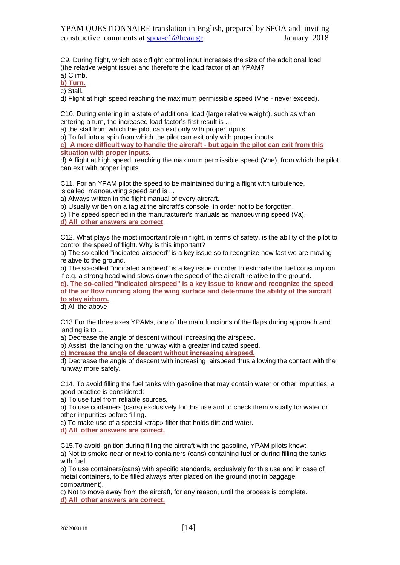C9. During flight, which basic flight control input increases the size of the additional load (the relative weight issue) and therefore the load factor of an YPAM?

a) Climb.

**b) Turn.** c) Stall.

d) Flight at high speed reaching the maximum permissible speed (Vne - never exceed).

C10. During entering in a state of additional load (large relative weight), such as when entering a turn, the increased load factor's first result is ...

a) the stall from which the pilot can exit only with proper inputs.

b) To fall into a spin from which the pilot can exit only with proper inputs.

**c) A more difficult way to handle the aircraft - but again the pilot can exit from this situation with proper inputs.** 

d) A flight at high speed, reaching the maximum permissible speed (Vne), from which the pilot can exit with proper inputs.

C11. For an YPAM pilot the speed to be maintained during a flight with turbulence,

is called manoeuvring speed and is ...

a) Always written in the flight manual of every aircraft.

b) Usually written on a tag at the aircraft's console, in order not to be forgotten.

c) The speed specified in the manufacturer's manuals as manoeuvring speed (Va).

**d) All other answers are correct**.

C12. What plays the most important role in flight, in terms of safety, is the ability of the pilot to control the speed of flight. Why is this important?

a) The so-called "indicated airspeed" is a key issue so to recognize how fast we are moving relative to the ground.

b) The so-called "indicated airspeed" is a key issue in order to estimate the fuel consumption if e.g. a strong head wind slows down the speed of the aircraft relative to the ground.

**c). The so-called "indicated airspeed" is a key issue to know and recognize the speed of the air flow running along the wing surface and determine the ability of the aircraft to stay airborn.** 

d) All the above

C13.For the three axes YPAMs, one of the main functions of the flaps during approach and landing is to ...

a) Decrease the angle of descent without increasing the airspeed.

b) Assist the landing on the runway with a greater indicated speed.

**c) Increase the angle of descent without increasing airspeed.** 

d) Decrease the angle of descent with increasing airspeed thus allowing the contact with the runway more safely.

C14. To avoid filling the fuel tanks with gasoline that may contain water or other impurities, a good practice is considered:

a) To use fuel from reliable sources.

b) To use containers (cans) exclusively for this use and to check them visually for water or other impurities before filling.

c) To make use of a special «trap» filter that holds dirt and water.

**d) All other answers are correct.**

C15.To avoid ignition during filling the aircraft with the gasoline, YPAM pilots know: a) Not to smoke near or next to containers (cans) containing fuel or during filling the tanks with fuel.

b) To use containers(cans) with specific standards, exclusively for this use and in case of metal containers, to be filled always after placed on the ground (not in baggage compartment).

c) Not to move away from the aircraft, for any reason, until the process is complete. **d) All other answers are correct.**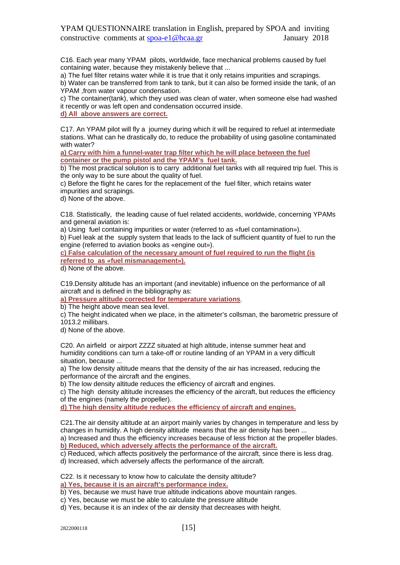C16. Each year many YPAM pilots, worldwide, face mechanical problems caused by fuel containing water, because they mistakenly believe that ...

a) The fuel filter retains water while it is true that it only retains impurities and scrapings.

b) Water can be transferred from tank to tank, but it can also be formed inside the tank, of an YPAM ,from water vapour condensation.

c) The container(tank), which they used was clean of water, when someone else had washed it recently or was left open and condensation occurred inside.

**d) All above answers are correct.**

C17. An YPAM pilot will fly a journey during which it will be required to refuel at intermediate stations. What can he drastically do, to reduce the probability of using gasoline contaminated with water?

**a) Carry with him a funnel-water trap filter which he will place between the fuel container or the pump pistol and the YPAM's fuel tank.** 

b) The most practical solution is to carry additional fuel tanks with all required trip fuel. This is the only way to be sure about the quality of fuel.

c) Before the flight he cares for the replacement of the fuel filter, which retains water impurities and scrapings.

d) None of the above.

C18. Statistically, the leading cause of fuel related accidents, worldwide, concerning YPAMs and general aviation is:

a) Using fuel containing impurities or water (referred to as «fuel contamination»).

b) Fuel leak at the supply system that leads to the lack of sufficient quantity of fuel to run the engine (referred to aviation books as «engine out»).

**c) False calculation of the necessary amount of fuel required to run the flight (is referred to as «fuel mismanagement»).** 

d) None of the above.

C19.Density altitude has an important (and inevitable) influence on the performance of all aircraft and is defined in the bibliography as:

**a) Pressure altitude corrected for temperature variations**.

b) The height above mean sea level.

c) The height indicated when we place, in the altimeter's collsman, the barometric pressure of 1013.2 millibars.

d) None of the above.

C20. An airfield or airport ZZZZ situated at high altitude, intense summer heat and humidity conditions can turn a take-off or routine landing of an YPAM in a very difficult situation, because ...

a) The low density altitude means that the density of the air has increased, reducing the performance of the aircraft and the engines.

b) The low density altitude reduces the efficiency of aircraft and engines.

c) The high density altitude increases the efficiency of the aircraft, but reduces the efficiency of the engines (namely the propeller).

**d) The high density altitude reduces the efficiency of aircraft and engines.**

C21.The air density altitude at an airport mainly varies by changes in temperature and less by changes in humidity. A high density altitude means that the air density has been ...

a) Increased and thus the efficiency increases because of less friction at the propeller blades. **b) Reduced, which adversely affects the performance of the aircraft.**

c) Reduced, which affects positively the performance of the aircraft, since there is less drag. d) Increased, which adversely affects the performance of the aircraft.

C22. Is it necessary to know how to calculate the density altitude?

**a) Yes, because it is an aircraft's performance index.** 

b) Yes, because we must have true altitude indications above mountain ranges.

- c) Yes, because we must be able to calculate the pressure altitude
- d) Yes, because it is an index of the air density that decreases with height.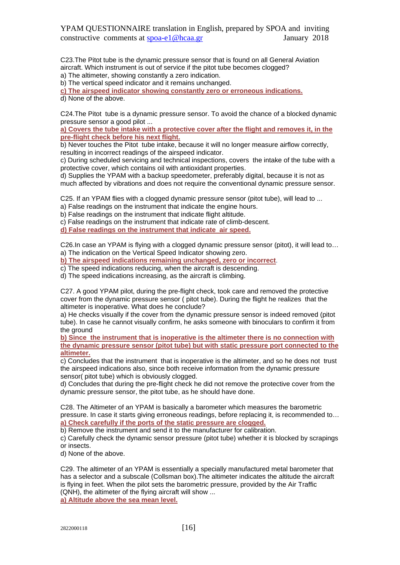C23.The Pitot tube is the dynamic pressure sensor that is found on all General Aviation aircraft. Which instrument is out of service if the pitot tube becomes clogged?

a) The altimeter, showing constantly a zero indication.

b) The vertical speed indicator and it remains unchanged.

**c) The airspeed indicator showing constantly zero or erroneous indications.** 

d) None of the above.

C24.The Pitot tube is a dynamic pressure sensor. To avoid the chance of a blocked dynamic pressure sensor a good pilot ...

**a) Covers the tube intake with a protective cover after the flight and removes it, in the pre-flight check before his next flight.** 

b) Never touches the Pitot tube intake, because it will no longer measure airflow correctly, resulting in incorrect readings of the airspeed indicator.

c) During scheduled servicing and technical inspections, covers the intake of the tube with a protective cover, which contains oil with antioxidant properties.

d) Supplies the YPAM with a backup speedometer, preferably digital, because it is not as much affected by vibrations and does not require the conventional dynamic pressure sensor.

C25. If an YPAM flies with a clogged dynamic pressure sensor (pitot tube), will lead to ...

a) False readings on the instrument that indicate the engine hours.

b) False readings on the instrument that indicate flight altitude.

c) False readings on the instrument that indicate rate of climb-descent.

**d) False readings on the instrument that indicate air speed.**

C26.In case an YPAM is flying with a clogged dynamic pressure sensor (pitot), it will lead to… a) The indication on the Vertical Speed Indicator showing zero.

**b) The airspeed indications remaining unchanged, zero or incorrect**.

c) The speed indications reducing, when the aircraft is descending.

d) The speed indications increasing, as the aircraft is climbing.

C27. A good YPAM pilot, during the pre-flight check, took care and removed the protective cover from the dynamic pressure sensor ( pitot tube). During the flight he realizes that the altimeter is inoperative. What does he conclude?

a) He checks visually if the cover from the dynamic pressure sensor is indeed removed (pitot tube). In case he cannot visually confirm, he asks someone with binoculars to confirm it from the ground

**b) Since the instrument that is inoperative is the altimeter there is no connection with the dynamic pressure sensor (pitot tube) but with static pressure port connected to the altimeter.** 

c) Concludes that the instrument that is inoperative is the altimeter, and so he does not trust the airspeed indications also, since both receive information from the dynamic pressure sensor( pitot tube) which is obviously clogged.

d) Concludes that during the pre-flight check he did not remove the protective cover from the dynamic pressure sensor, the pitot tube, as he should have done.

C28. The Altimeter of an YPAM is basically a barometer which measures the barometric pressure. In case it starts giving erroneous readings, before replacing it, is recommended to… **a) Check carefully if the ports of the static pressure are clogged.**

b) Remove the instrument and send it to the manufacturer for calibration.

c) Carefully check the dynamic sensor pressure (pitot tube) whether it is blocked by scrapings or insects.

d) None of the above.

C29. The altimeter of an YPAM is essentially a specially manufactured metal barometer that has a selector and a subscale (Collsman box).The altimeter indicates the altitude the aircraft is flying in feet. When the pilot sets the barometric pressure, provided by the Air Traffic (QNH), the altimeter of the flying aircraft will show ... **a) Altitude above the sea mean level.**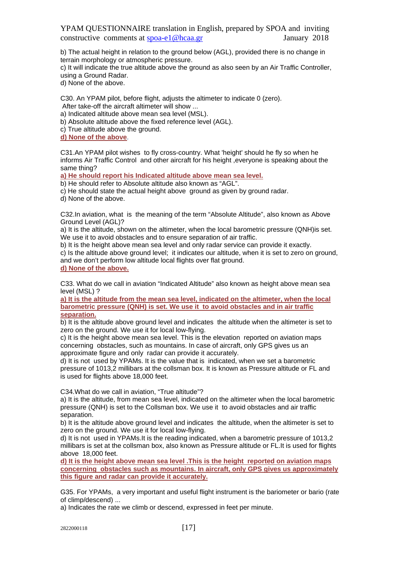b) The actual height in relation to the ground below (AGL), provided there is no change in terrain morphology or atmospheric pressure.

c) It will indicate the true altitude above the ground as also seen by an Air Traffic Controller, using a Ground Radar.

d) None of the above.

C30. An YPAM pilot, before flight, adjusts the altimeter to indicate 0 (zero).

After take-off the aircraft altimeter will show ...

a) Indicated altitude above mean sea level (MSL).

b) Absolute altitude above the fixed reference level (AGL).

c) True altitude above the ground.

**d) None of the above**.

C31.An YPAM pilot wishes to fly cross-country. What 'height' should he fly so when he informs Air Traffic Control and other aircraft for his height ,everyone is speaking about the same thing?

**a) He should report his Indicated altitude above mean sea level.**

b) He should refer to Absolute altitude also known as "AGL".

c) He should state the actual height above ground as given by ground radar.

d) None of the above.

C32.In aviation, what is the meaning of the term "Absolute Altitude", also known as Above Ground Level (AGL)?

a) It is the altitude, shown on the altimeter, when the local barometric pressure (QNH)is set. We use it to avoid obstacles and to ensure separation of air traffic.

b) It is the height above mean sea level and only radar service can provide it exactly.

c) Is the altitude above ground level; it indicates our altitude, when it is set to zero on ground, and we don't perform low altitude local flights over flat ground.

**d) None of the above.**

C33. What do we call in aviation "Indicated Altitude" also known as height above mean sea level (MSL) ?

**a) It is the altitude from the mean sea level, indicated on the altimeter, when the local barometric pressure (QNH) is set. We use it to avoid obstacles and in air traffic separation.** 

b) It is the altitude above ground level and indicates the altitude when the altimeter is set to zero on the ground. We use it for local low-flying.

c) It is the height above mean sea level. This is the elevation reported on aviation maps concerning obstacles, such as mountains. In case of aircraft, only GPS gives us an approximate figure and only radar can provide it accurately.

d) It is not used by YPAMs. It is the value that is indicated, when we set a barometric pressure of 1013,2 millibars at the collsman box. It is known as Pressure altitude or FL and is used for flights above 18,000 feet.

C34.What do we call in aviation, "True altitude"?

a) It is the altitude, from mean sea level, indicated on the altimeter when the local barometric pressure (QNH) is set to the Collsman box. We use it to avoid obstacles and air traffic separation.

b) It is the altitude above ground level and indicates the altitude, when the altimeter is set to zero on the ground. We use it for local low-flying.

d) It is not used in YPAMs.It is the reading indicated, when a barometric pressure of 1013,2 millibars is set at the collsman box, also known as Pressure altitude or FL.It is used for flights above 18,000 feet.

**d) It is the height above mean sea level .This is the height reported on aviation maps concerning obstacles such as mountains. In aircraft, only GPS gives us approximately this figure and radar can provide it accurately.**

G35. For YPAMs, a very important and useful flight instrument is the bariometer or bario (rate of climp/descend) ...

a) Indicates the rate we climb or descend, expressed in feet per minute.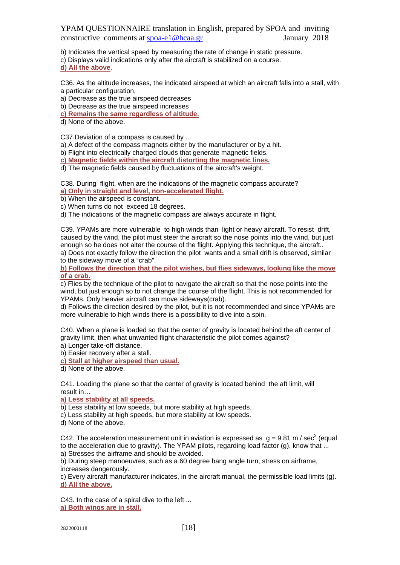b) Indicates the vertical speed by measuring the rate of change in static pressure.

c) Displays valid indications only after the aircraft is stabilized on a course.

#### **d) All the above**.

C36. As the altitude increases, the indicated airspeed at which an aircraft falls into a stall, with a particular configuration,

a) Decrease as the true airspeed decreases

b) Decrease as the true airspeed increases

**c) Remains the same regardless of altitude.** 

d) None of the above.

C37.Deviation of a compass is caused by ...

a) A defect of the compass magnets either by the manufacturer or by a hit.

b) Flight into electrically charged clouds that generate magnetic fields.

**c) Magnetic fields within the aircraft distorting the magnetic lines.** 

d) The magnetic fields caused by fluctuations of the aircraft's weight.

C38. During flight, when are the indications of the magnetic compass accurate? **a) Only in straight and level, non-accelerated flight.**

b) When the airspeed is constant.

c) When turns do not exceed 18 degrees.

d) The indications of the magnetic compass are always accurate in flight.

C39. YPAMs are more vulnerable to high winds than light or heavy aircraft. To resist drift, caused by the wind, the pilot must steer the aircraft so the nose points into the wind, but just enough so he does not alter the course of the flight. Applying this technique, the aircraft.. a) Does not exactly follow the direction the pilot wants and a small drift is observed, similar

to the sideway move of a "crab".

**b) Follows the direction that the pilot wishes, but flies sideways, looking like the move of a crab.** 

c) Flies by the technique of the pilot to navigate the aircraft so that the nose points into the wind, but just enough so to not change the course of the flight. This is not recommended for YPAMs. Only heavier aircraft can move sideways(crab).

d) Follows the direction desired by the pilot, but it is not recommended and since YPAMs are more vulnerable to high winds there is a possibility to dive into a spin.

C40. When a plane is loaded so that the center of gravity is located behind the aft center of gravity limit, then what unwanted flight characteristic the pilot comes against?

a) Longer take-off distance.

b) Easier recovery after a stall.

**c) Stall at higher airspeed than usual.** 

d) None of the above.

C41. Loading the plane so that the center of gravity is located behind the aft limit, will result in…

**a) Less stability at all speeds.** 

b) Less stability at low speeds, but more stability at high speeds.

c) Less stability at high speeds, but more stability at low speeds.

d) None of the above.

C42. The acceleration measurement unit in aviation is expressed as  $g = 9.81$  m / sec<sup>2</sup> (equal to the acceleration due to gravity). The YPAM pilots, regarding load factor (g), know that ...

a) Stresses the airframe and should be avoided.

b) During steep manoeuvres, such as a 60 degree bang angle turn, stress on airframe, increases dangerously.

c) Every aircraft manufacturer indicates, in the aircraft manual, the permissible load limits (g). **d) All the above.**

C43. In the case of a spiral dive to the left ... **a) Both wings are in stall.**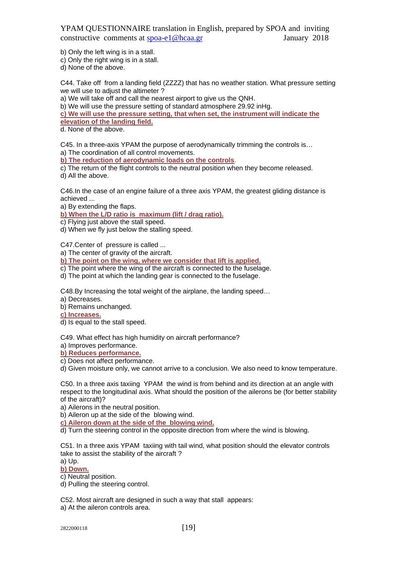b) Only the left wing is in a stall.

c) Only the right wing is in a stall.

d) None of the above.

C44. Take off from a landing field (ZZZZ) that has no weather station. What pressure setting we will use to adjust the altimeter ?

a) We will take off and call the nearest airport to give us the QNH.

b) We will use the pressure setting of standard atmosphere 29.92 inHg.

**c) We will use the pressure setting, that when set, the instrument will indicate the elevation of the landing field.**

d. None of the above.

C45. In a three-axis YPAM the purpose of aerodynamically trimming the controls is… a) The coordination of all control movements.

**b) The reduction of aerodynamic loads on the controls**.

c) The return of the flight controls to the neutral position when they become released. d) All the above.

C46.In the case of an engine failure of a three axis YPAM, the greatest gliding distance is achieved ...

a) By extending the flaps.

**b) When the L/D ratio is maximum (lift / drag ratio).** 

c) Flying just above the stall speed.

d) When we fly just below the stalling speed.

C47.Center of pressure is called ...

a) The center of gravity of the aircraft.

**b) The point on the wing, where we consider that lift is applied.** 

c) The point where the wing of the aircraft is connected to the fuselage.

d) The point at which the landing gear is connected to the fuselage.

C48.By Increasing the total weight of the airplane, the landing speed…

a) Decreases.

b) Remains unchanged.

**c) Increases.** 

d) Is equal to the stall speed.

C49. What effect has high humidity on aircraft performance?

a) Improves performance.

**b) Reduces performance.** 

c) Does not affect performance.

d) Given moisture only, we cannot arrive to a conclusion. We also need to know temperature.

C50. In a three axis taxiing YPAM the wind is from behind and its direction at an angle with respect to the longitudinal axis. What should the position of the ailerons be (for better stability of the aircraft)?

a) Ailerons in the neutral position.

b) Aileron up at the side of the blowing wind.

**c) Aileron down at the side of the blowing wind.**

d) Turn the steering control in the opposite direction from where the wind is blowing.

C51. In a three axis YPAM taxiing with tail wind, what position should the elevator controls take to assist the stability of the aircraft ?

a) Up.

**b) Down.** 

c) Neutral position.

d) Pulling the steering control.

C52. Most aircraft are designed in such a way that stall appears:

a) At the aileron controls area.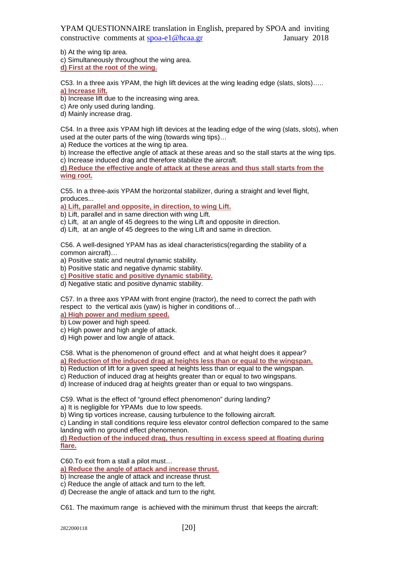b) At the wing tip area.

c) Simultaneously throughout the wing area.

**d) First at the root of the wing.**

C53. In a three axis YPAM, the high lift devices at the wing leading edge (slats, slots)….. **a) Increase lift.** 

b) Increase lift due to the increasing wing area.

c) Are only used during landing.

d) Mainly increase drag.

C54. In a three axis YPAM high lift devices at the leading edge of the wing (slats, slots), when used at the outer parts of the wing (towards wing tips)…

a) Reduce the vortices at the wing tip area.

b) Increase the effective angle of attack at these areas and so the stall starts at the wing tips.

c) Increase induced drag and therefore stabilize the aircraft.

**d) Reduce the effective angle of attack at these areas and thus stall starts from the wing root.**

C55. In a three-axis YPAM the horizontal stabilizer, during a straight and level flight, produces...

**a) Lift, parallel and opposite, in direction, to wing Lift.** 

b) Lift, parallel and in same direction with wing Lift.

c) Lift, at an angle of 45 degrees to the wing Lift and opposite in direction.

d) Lift, at an angle of 45 degrees to the wing Lift and same in direction.

C56. A well-designed YPAM has as ideal characteristics(regarding the stability of a common aircraft)…

a) Positive static and neutral dynamic stability.

b) Positive static and negative dynamic stability.

**c) Positive static and positive dynamic stability.** 

d) Negative static and positive dynamic stability.

C57. In a three axιs YPAM with front engine (tractor), the need to correct the path with respect to the vertical axis (yaw) is higher in conditions of…

**a) High power and medium speed.** 

b) Low power and high speed.

c) High power and high angle of attack.

d) High power and low angle of attack.

C58. What is the phenomenon of ground effect and at what height does it appear? **a) Reduction of the induced drag at heights less than or equal to the wingspan.** 

b) Reduction of lift for a given speed at heights less than or equal to the wingspan.

c) Reduction of induced drag at heights greater than or equal to two wingspans.

d) Increase of induced drag at heights greater than or equal to two wingspans.

C59. What is the effect of "ground effect phenomenon" during landing? a) It is negligible for YPAMs due to low speeds.

b) Wing tip vortices increase, causing turbulence to the following aircraft.

c) Landing in stall conditions require less elevator control deflection compared to the same landing with no ground effect phenomenon.

**d) Reduction of the induced drag, thus resulting in excess speed at floating during flare.**

C60.To exit from a stall a pilot must…

**a) Reduce the angle of attack and increase thrust.** 

b) Increase the angle of attack and increase thrust.

- c) Reduce the angle of attack and turn to the left.
- d) Decrease the angle of attack and turn to the right.

C61. The maximum range is achieved with the minimum thrust that keeps the aircraft: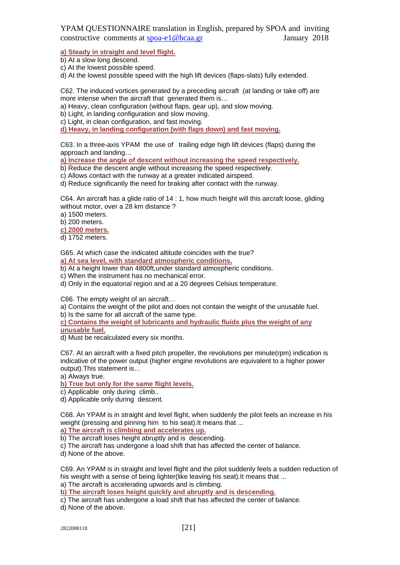**a) Steady in straight and level flight.** 

b) At a slow long descend.

c) At the lowest possible speed.

d) At the lowest possible speed with the high lift devices (flaps-slats) fully extended.

C62. The induced vortices generated by a preceding aircraft (at landing or take off) are more intense when the aircraft that generated them is…

a) Heavy, clean configuration (without flaps, gear up), and slow moving.

b) Light, in landing configuration and slow moving.

c) Light, in clean configuration, and fast moving.

**d) Heavy, in landing configuration (with flaps down) and fast moving.**

C63. In a three-axis YPAM the use of trailing edge high lift devices (flaps) during the approach and landing…

**a) Increase the angle of descent without increasing the speed respectively.** 

b) Reduce the descent angle without increasing the speed respectively.

c) Allows contact with the runway at a greater indicated airspeed.

d) Reduce significantly the need for braking after contact with the runway.

C64. An aircraft has a glide ratio of 14 : 1, how much height will this aircraft loose, gliding without motor, over a 28 km distance ?

a) 1500 meters.

b) 200 meters.

**c) 2000 meters.** 

d) 1752 meters.

G65. At which case the indicated altitude coincides with the true?

**a) At sea level, with standard atmospheric conditions.** 

b) At a height lower than 4800ft,under standard atmospheric conditions.

c) When the instrument has no mechanical error.

d) Only in the equatorial region and at a 20 degrees Celsius temperature.

C66. The empty weight of an aircraft…

a) Contains the weight of the pilot and does not contain the weight of the unusable fuel. b) Is the same for all aircraft of the same type.

**c) Contains the weight of lubricants and hydraulic fluids plus the weight of any** 

**unusable fuel.** 

d) Must be recalculated every six months.

C67. At an aircraft with a fixed pitch propeller, the revolutions per minute(rpm) indication is indicative of the power output (higher engine revolutions are equivalent to a higher power output).This statement is…

a) Always true.

**b) True but only for the same flight levels.** 

c) Applicable only during climb..

d) Applicable only during descent.

C68. An YPAM is in straight and level flight, when suddenly the pilot feels an increase in his weight (pressing and pinning him to his seat).It means that ...

**a) The aircraft is climbing and accelerates up.** 

b) The aircraft loses height abruptly and is descending.

c) The aircraft has undergone a load shift that has affected the center of balance.

d) None of the above.

C69. An YPAM is in straight and level flight and the pilot suddenly feels a sudden reduction of his weight with a sense of being lighter(like leaving his seat).It means that ... a) The aircraft is accelerating upwards and is climbing.

**b) The aircraft loses height quickly and abruptly and is descending.** 

c) The aircraft has undergone a load shift that has affected the center of balance.

d) None of the above.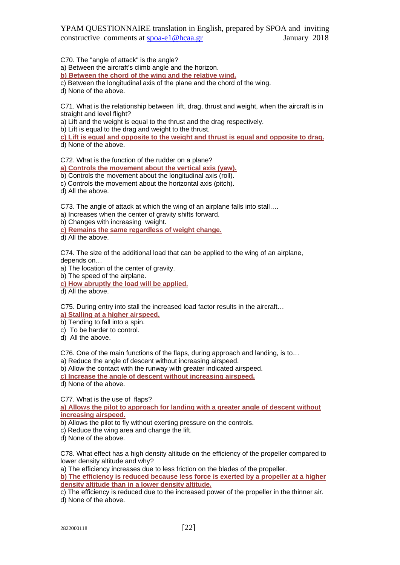C70. The "angle of attack" is the angle?

a) Between the aircraft's climb angle and the horizon.

**b) Between the chord of the wing and the relative wind.** 

c) Between the longitudinal axis of the plane and the chord of the wing.

d) None of the above.

C71. What is the relationship between lift, drag, thrust and weight, when the aircraft is in straight and level flight?

a) Lift and the weight is equal to the thrust and the drag respectively.

b) Lift is equal to the drag and weight to the thrust.

**c) Lift is equal and opposite to the weight and thrust is equal and opposite to drag.**  d) None of the above.

C72. What is the function of the rudder on a plane?

**a) Controls the movement about the vertical axis (yaw).** 

b) Controls the movement about the longitudinal axis (roll).

c) Controls the movement about the horizontal axis (pitch).

d) All the above.

C73. The angle of attack at which the wing of an airplane falls into stall….

a) Increases when the center of gravity shifts forward.

b) Changes with increasing weight.

**c) Remains the same regardless of weight change.** 

d) All the above.

C74. The size of the additional load that can be applied to the wing of an airplane, depends on…

a) The location of the center of gravity.

b) The speed of the airplane.

**c) How abruptly the load will be applied.** 

d) All the above.

C75. During entry into stall the increased load factor results in the aircraft…

**a) Stalling at a higher airspeed.** 

b) Tending to fall into a spin.

c) To be harder to control.

d) All the above.

C76. One of the main functions of the flaps, during approach and landing, is to…

a) Reduce the angle of descent without increasing airspeed.

b) Allow the contact with the runway with greater indicated airspeed.

**c) Increase the angle of descent without increasing airspeed.** 

d) None of the above.

C77. What is the use of flaps? **a) Allows the pilot to approach for landing with a greater angle of descent without increasing airspeed.** 

b) Allows the pilot to fly without exerting pressure on the controls.

- c) Reduce the wing area and change the lift.
- d) None of the above.

C78. What effect has a high density altitude on the efficiency of the propeller compared to lower density altitude and why?

a) The efficiency increases due to less friction on the blades of the propeller.

**b) The efficiency is reduced because less force is exerted by a propeller at a higher density altitude than in a lower density altitude.** 

c) The efficiency is reduced due to the increased power of the propeller in the thinner air.

d) None of the above.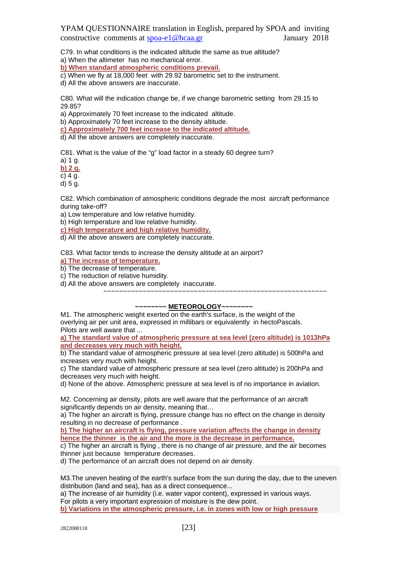C79. In what conditions is the indicated altitude the same as true altitude?

a) When the altimeter has no mechanical error.

**b) When standard atmospheric conditions prevail.** 

c) When we fly at 18,000 feet with 29.92 barometric set to the instrument.

d) All the above answers are inaccurate.

C80. What will the indication change be, if we change barometric setting from 29.15 to 29.85?

a) Approximately 70 feet increase to the indicated altitude.

b) Approximately 70 feet increase to the density altitude.

**c) Approximately 700 feet increase to the indicated altitude.** 

d) All the above answers are completely inaccurate.

C81. What is the value of the "g" load factor in a steady 60 degree turn?

a) 1 g.

**b) 2 g.** 

c) 4 g.

d) 5 g.

C82. Which combination of atmospheric conditions degrade the most aircraft performance during take-off?

a) Low temperature and low relative humidity.

b) High temperature and low relative humidity.

**c) High temperature and high relative humidity.** 

d) All the above answers are completely inaccurate.

C83. What factor tends to increase the density altitude at an airport?

**a) The increase of temperature.** 

b) The decrease of temperature.

c) The reduction of relative humidity.

d) All the above answers are completely inaccurate.

~~~~~~~~~~~~~~~~~~~~~~~~~~~~~~~~~~~~~~~~~~~~~~~~~~~~~~~~~

**~~~~~~~~ METEOROLOGY~~~~~~~~**

M1. The atmospheric weight exerted on the earth's surface, is the weight of the overlying air per unit area, expressed in millibars or equivalently in hectoPascals. Pilots are well aware that ...

**a) The standard value of atmospheric pressure at sea level (zero altitude) is 1013hPa and decreases very much with height.**

b) The standard value of atmospheric pressure at sea level (zero altitude) is 500hPa and increases very much with height.

c) Τhe standard value of atmospheric pressure at sea level (zero altitude) is 200hPa and decreases very much with height.

d) None of the above. Atmospheric pressure at sea level is of no importance in aviation.

M2. Concerning air density, pilots are well aware that the performance of an aircraft significantly depends on air density, meaning that…

a) The higher an aircraft is flying, pressure change has no effect on the change in density resulting in no decrease of performance .

**b) The higher an aircraft is flying, pressure variation affects the change in density hence the thinner is the air and the more is the decrease in performance.**

c) The higher an aircraft is flying , there is no change of air pressure, and the air becomes thinner just because temperature decreases.

d) The performance of an aircraft does not depend on air density.

M3.The uneven heating of the earth's surface from the sun during the day, due to the uneven distribution (land and sea), has as a direct consequence...

a) The increase of air humidity (i.e. water vapor content), expressed in various ways. For pilots a very important expression of moisture is the dew point.

**b) Variations in the atmospheric pressure, i.e. in zones with low or high pressure**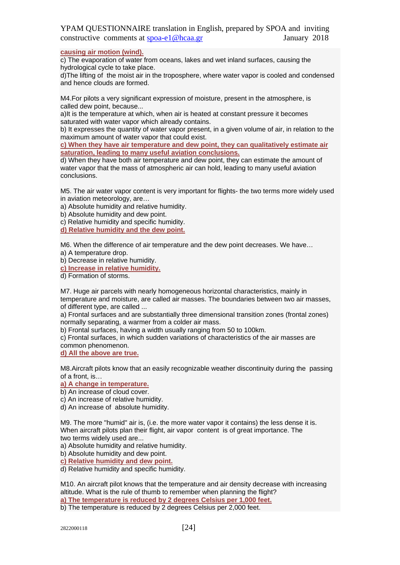### **causing air motion (wind).**

c) The evaporation of water from oceans, lakes and wet inland surfaces, causing the hydrological cycle to take place.

d)The lifting of the moist air in the troposphere, where water vapor is cooled and condensed and hence clouds are formed.

M4.For pilots a very significant expression of moisture, present in the atmosphere, is called dew point, because...

a)It is the temperature at which, when air is heated at constant pressure it becomes saturated with water vapor which already contains.

b) It expresses the quantity of water vapor present, in a given volume of air, in relation to the maximum amount of water vapor that could exist.

**c) When they have air temperature and dew point, they can qualitatively estimate air saturation, leading to many useful aviation conclusions.**

d) When they have both air temperature and dew point, they can estimate the amount of water vapor that the mass of atmospheric air can hold, leading to many useful aviation conclusions.

M5. The air water vapor content is very important for flights- the two terms more widely used in aviation meteorology, are…

a) Absolute humidity and relative humidity.

b) Absolute humidity and dew point.

c) Relative humidity and specific humidity.

**d) Relative humidity and the dew point.**

M6. When the difference of air temperature and the dew point decreases. We have… a) A temperature drop.

b) Decrease in relative humidity.

**c) Increase in relative humidity.**

d) Formation of storms.

M7. Huge air parcels with nearly homogeneous horizontal characteristics, mainly in temperature and moisture, are called air masses. The boundaries between two air masses, of different type, are called ...

a) Frontal surfaces and are substantially three dimensional transition zones (frontal zones) normally separating, a warmer from a colder air mass.

b) Frontal surfaces, having a width usually ranging from 50 to 100km.

c) Frontal surfaces, in which sudden variations of characteristics of the air masses are common phenomenon.

**d) All the above are true.**

M8.Aircraft pilots know that an easily recognizable weather discontinuity during the passing of a front, is…

**a) A change in temperature.**

b) An increase of cloud cover.

c) An increase of relative humidity.

d) An increase of absolute humidity.

M9. The more "humid" air is, (i.e. the more water vapor it contains) the less dense it is. When aircraft pilots plan their flight, air vapor content is of great importance. The two terms widely used are...

a) Absolute humidity and relative humidity.

b) Absolute humidity and dew point.

**c) Relative humidity and dew point.**

d) Relative humidity and specific humidity.

M10. An aircraft pilot knows that the temperature and air density decrease with increasing altitude. What is the rule of thumb to remember when planning the flight? **a) The temperature is reduced by 2 degrees Celsius per 1,000 feet.**

b) The temperature is reduced by 2 degrees Celsius per 2,000 feet.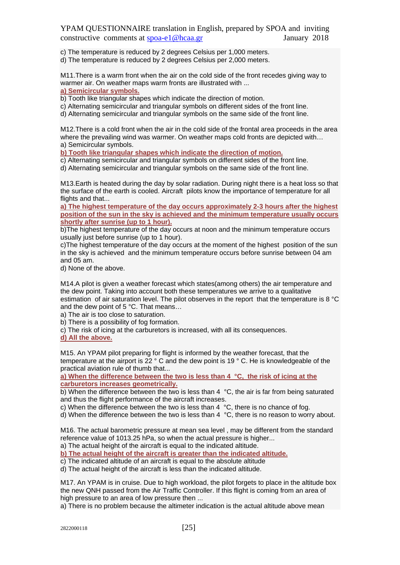c) The temperature is reduced by 2 degrees Celsius per 1,000 meters.

d) The temperature is reduced by 2 degrees Celsius per 2,000 meters.

M11.There is a warm front when the air on the cold side of the front recedes giving way to warmer air. On weather maps warm fronts are illustrated with ... **a) Semicircular symbols.**

b) Tooth like triangular shapes which indicate the direction of motion.

c) Alternating semicircular and triangular symbols on different sides of the front line.

d) Alternating semicircular and triangular symbols on the same side of the front line.

M12.There is a cold front when the air in the cold side of the frontal area proceeds in the area where the prevailing wind was warmer. On weather maps cold fronts are depicted with… a) Semicircular symbols.

**b) Tooth like triangular shapes which indicate the direction of motion.**

c) Alternating semicircular and triangular symbols on different sides of the front line.

d) Alternating semicircular and triangular symbols on the same side of the front line.

M13.Earth is heated during the day by solar radiation. During night there is a heat loss so that the surface of the earth is cooled. Aircraft pilots know the importance of temperature for all flights and that...

**a) The highest temperature of the day occurs approximately 2-3 hours after the highest position of the sun in the sky is achieved and the minimum temperature usually occurs shortly after sunrise (up to 1 hour).**

b)The highest temperature of the day occurs at noon and the minimum temperature occurs usually just before sunrise (up to 1 hour).

c)The highest temperature of the day occurs at the moment of the highest position of the sun in the sky is achieved and the minimum temperature occurs before sunrise between 04 am and 05 am.

d) None of the above.

M14.A pilot is given a weather forecast which states(among others) the air temperature and the dew point. Taking into account both these temperatures we arrive to a qualitative estimation of air saturation level. The pilot observes in the report that the temperature is 8 °C and the dew point of 5 °C. That means…

a) The air is too close to saturation.

b) There is a possibility of fog formation.

c) The risk of icing at the carburetors is increased, with all its consequences.

**d) All the above.**

M15. An YPAM pilot preparing for flight is informed by the weather forecast, that the temperature at the airport is 22 ° C and the dew point is 19 ° C. He is knowledgeable of the practical aviation rule of thumb that...

**a) When the difference between the two is less than 4 °C, the risk of icing at the carburetors increases geometrically.**

b) When the difference between the two is less than 4 °C, the air is far from being saturated and thus the flight performance of the aircraft increases.

c) When the difference between the two is less than 4 °C, there is no chance of fog.

 $\overrightarrow{d}$ ) When the difference between the two is less than 4  $\overrightarrow{C}$ , there is no reason to worry about.

M16. The actual barometric pressure at mean sea level , may be different from the standard reference value of 1013.25 hPa, so when the actual pressure is higher...

a) The actual height of the aircraft is equal to the indicated altitude.

**b) The actual height of the aircraft is greater than the indicated altitude.**

c) The indicated altitude of an aircraft is equal to the absolute altitude

d) The actual height of the aircraft is less than the indicated altitude.

M17. An YPAM is in cruise. Due to high workload, the pilot forgets to place in the altitude box the new QNH passed from the Air Traffic Controller. If this flight is coming from an area of high pressure to an area of low pressure then ...

a) There is no problem because the altimeter indication is the actual altitude above mean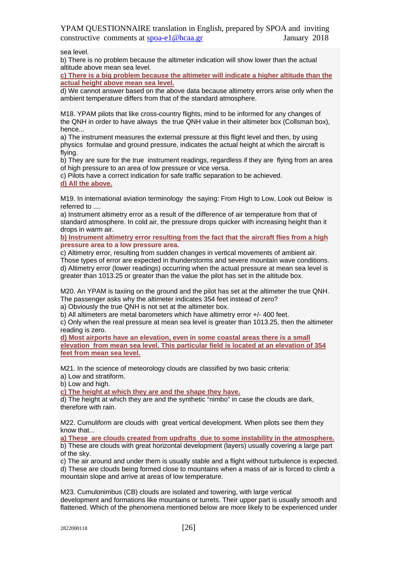sea level.

b) There is no problem because the altimeter indication will show lower than the actual altitude above mean sea level.

**c) There is a big problem because the altimeter will indicate a higher altitude than the actual height above mean sea level.**

d) We cannot answer based on the above data because altimetry errors arise only when the ambient temperature differs from that of the standard atmosphere.

M18. YPAM pilots that like cross-country flights, mind to be informed for any changes of the QNH in order to have always the true QNH value in their altimeter box (Collsman box), hence...

a) The instrument measures the external pressure at this flight level and then, by using physics formulae and ground pressure, indicates the actual height at which the aircraft is flying.

b) They are sure for the true instrument readings, regardless if they are flying from an area of high pressure to an area of low pressure or vice versa.

c) Pilots have a correct indication for safe traffic separation to be achieved.

**d) All the above.**

M19. In international aviation terminology the saying: From High to Low, Look out Below is referred to ....

a) Instrument altimetry error as a result of the difference of air temperature from that of standard atmosphere. In cold air, the pressure drops quicker with increasing height than it drops in warm air.

**b) Instrument altimetry error resulting from the fact that the aircraft flies from a high pressure area to a low pressure area.**

c) Altimetry error, resulting from sudden changes in vertical movements of ambient air. Those types of error are expected in thunderstorms and severe mountain wave conditions. d) Altimetry error (lower readings) occurring when the actual pressure at mean sea level is greater than 1013.25 or greater than the value the pilot has set in the altitude box.

M20. An YPAM is taxiing on the ground and the pilot has set at the altimeter the true QNH. The passenger asks why the altimeter indicates 354 feet instead of zero?

a) Obviously the true QNH is not set at the altimeter box.

b) All altimeters are metal barometers which have altimetry error +/- 400 feet.

c) Only when the real pressure at mean sea level is greater than 1013.25, then the altimeter reading is zero.

**d) Most airports have an elevation, even in some coastal areas there is a small elevation from mean sea level. This particular field is located at an elevation of 354 feet from mean sea level.**

M21. In the science of meteorology clouds are classified by two basic criteria:

a) Low and stratiform.

b) Low and high.

**c) The height at which they are and the shape they have.**

d) The height at which they are and the synthetic "nimbo" in case the clouds are dark, therefore with rain.

M22. Cumuliform are clouds with great vertical development. When pilots see them they know that...

**a) These are clouds created from updrafts due to some instability in the atmosphere.**

b) These are clouds with great horizontal development (layers) usually covering a large part of the sky.

c) The air around and under them is usually stable and a flight without turbulence is expected. d) These are clouds being formed close to mountains when a mass of air is forced to climb a mountain slope and arrive at areas of low temperature.

M23. Cumulonimbus (CB) clouds are isolated and towering, with large vertical development and formations like mountains or turrets. Their upper part is usually smooth and flattened. Which of the phenomena mentioned below are more likely to be experienced under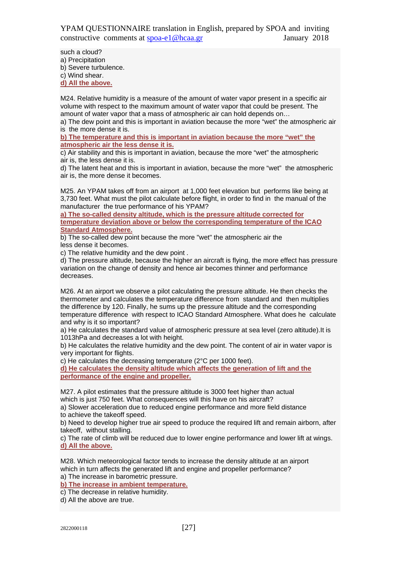such a cloud? a) Precipitation b) Severe turbulence. c) Wind shear. **d) All the above.**

M24. Relative humidity is a measure of the amount of water vapor present in a specific air volume with respect to the maximum amount of water vapor that could be present. The amount of water vapor that a mass of atmospheric air can hold depends on…

a) The dew point and this is important in aviation because the more "wet" the atmospheric air is the more dense it is.

**b) Τhe temperature and this is important in aviation because the more "wet" the atmospheric air the less dense it is.**

c) Αir stability and this is important in aviation, because the more "wet" the atmospheric air is, the less dense it is.

d) The latent heat and this is important in aviation, because the more "wet" the atmospheric air is, the more dense it becomes.

M25. An YPAM takes off from an airport at 1,000 feet elevation but performs like being at 3,730 feet. What must the pilot calculate before flight, in order to find in the manual of the manufacturer the true performance of his YPAM?

**a) The so-called density altitude, which is the pressure altitude corrected for temperature deviation above or below the corresponding temperature of the ICAO Standard Atmosphere.**

b) The so-called dew point because the more "wet" the atmospheric air the less dense it becomes.

c) The relative humidity and the dew point .

d) The pressure altitude, because the higher an aircraft is flying, the more effect has pressure variation on the change of density and hence air becomes thinner and performance decreases.

M26. At an airport we observe a pilot calculating the pressure altitude. He then checks the thermometer and calculates the temperature difference from standard and then multiplies the difference by 120. Finally, he sums up the pressure altitude and the corresponding temperature difference with respect to ICAO Standard Atmosphere. What does he calculate and why is it so important?

a) He calculates the standard value of atmospheric pressure at sea level (zero altitude).It is 1013hPa and decreases a lot with height.

b) He calculates the relative humidity and the dew point. The content of air in water vapor is very important for flights.

c) He calculates the decreasing temperature (2°C per 1000 feet).

**d) He calculates the density altitude which affects the generation of lift and the performance of the engine and propeller.**

M27. A pilot estimates that the pressure altitude is 3000 feet higher than actual which is just 750 feet. What consequences will this have on his aircraft?

a) Slower acceleration due to reduced engine performance and more field distance to achieve the takeoff speed.

b) Need to develop higher true air speed to produce the required lift and remain airborn, after takeoff, without stalling.

c) The rate of climb will be reduced due to lower engine performance and lower lift at wings. **d) All the above.**

M28. Which meteorological factor tends to increase the density altitude at an airport which in turn affects the generated lift and engine and propeller performance?

a) The increase in barometric pressure.

**b) The increase in ambient temperature.**

c) The decrease in relative humidity.

d) All the above are true.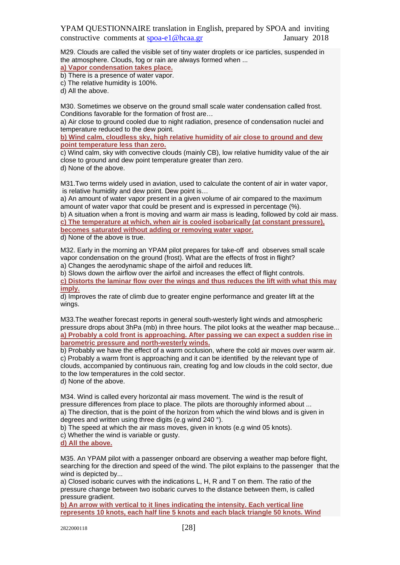M29. Clouds are called the visible set of tiny water droplets or ice particles, suspended in the atmosphere. Clouds, fog or rain are always formed when ...

**a) Vapor condensation takes place.**

b) There is a presence of water vapor.

c) The relative humidity is 100%.

d) All the above.

M30. Sometimes we observe on the ground small scale water condensation called frost. Conditions favorable for the formation of frost are…

a) Air close to ground cooled due to night radiation, presence of condensation nuclei and temperature reduced to the dew point.

**b) Wind calm, cloudless sky, high relative humidity of air close to ground and dew point temperature less than zero.**

c) Wind calm, sky with convective clouds (mainly CB), low relative humidity value of the air close to ground and dew point temperature greater than zero. d) None of the above.

M31.Two terms widely used in aviation, used to calculate the content of air in water vapor, is relative humidity and dew point. Dew point is…

a) An amount of water vapor present in a given volume of air compared to the maximum amount of water vapor that could be present and is expressed in percentage (%).

b) A situation when a front is moving and warm air mass is leading, followed by cold air mass. **c) The temperature at which, when air is cooled isobarically (at constant pressure), becomes saturated without adding or removing water vapor.**

d) None of the above is true.

M32. Early in the morning an YPAM pilot prepares for take-off and observes small scale vapor condensation on the ground (frost). What are the effects of frost in flight? a) Changes the aerodynamic shape of the airfoil and reduces lift.

b) Slows down the airflow over the airfoil and increases the effect of flight controls.

**c) Distorts the laminar flow over the wings and thus reduces the lift with what this may imply.**

d) Improves the rate of climb due to greater engine performance and greater lift at the wings.

M33.The weather forecast reports in general south-westerly light winds and atmospheric pressure drops about 3hPa (mb) in three hours. The pilot looks at the weather map because... **a) Probably a cold front is approaching. After passing we can expect a sudden rise in barometric pressure and north-westerly winds.**

b) Probably we have the effect of a warm occlusion, where the cold air moves over warm air. c) Probably a warm front is approaching and it can be identified by the relevant type of clouds, accompanied by continuous rain, creating fog and low clouds in the cold sector, due to the low temperatures in the cold sector.

d) None of the above.

M34. Wind is called every horizontal air mass movement. The wind is the result of pressure differences from place to place. The pilots are thoroughly informed about ... a) The direction, that is the point of the horizon from which the wind blows and is given in degrees and written using three digits (e.g wind 240 °).

b) The speed at which the air mass moves, given in knots (e.g wind 05 knots).

c) Whether the wind is variable or gusty.

#### **d) All the above.**

M35. An YPAM pilot with a passenger onboard are observing a weather map before flight, searching for the direction and speed of the wind. The pilot explains to the passenger that the wind is depicted by...

a) Closed isobaric curves with the indications L, H, R and T on them. The ratio of the pressure change between two isobaric curves to the distance between them, is called pressure gradient.

**b) An arrow with vertical to it lines indicating the intensity. Each vertical line represents 10 knots, each half line 5 knots and each black triangle 50 knots. Wind**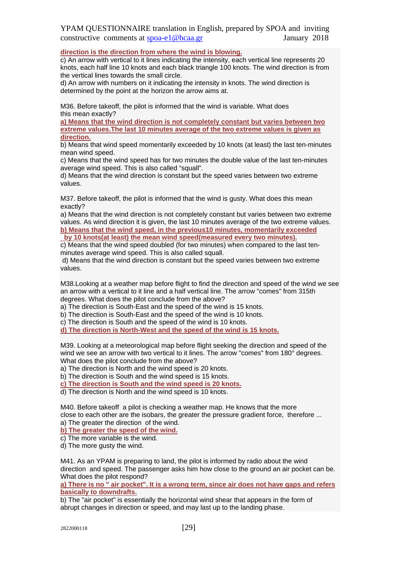**direction is the direction from where the wind is blowing.**

c) An arrow with vertical to it lines indicating the intensity, each vertical line represents 20 knots, each half line 10 knots and each black triangle 100 knots. The wind direction is from the vertical lines towards the small circle.

d) An arrow with numbers on it indicating the intensity in knots. The wind direction is determined by the point at the horizon the arrow aims at.

M36. Before takeoff, the pilot is informed that the wind is variable. What does this mean exactly?

**a) Means that the wind direction is not completely constant but varies between two extreme values.The last 10 minutes average of the two extreme values is given as direction.**

b) Means that wind speed momentarily exceeded by 10 knots (at least) the last ten-minutes mean wind speed.

c) Means that the wind speed has for two minutes the double value of the last ten-minutes average wind speed. This is also called "squall".

d) Means that the wind direction is constant but the speed varies between two extreme values.

M37. Before takeoff, the pilot is informed that the wind is gusty. What does this mean exactly?

a) Means that the wind direction is not completely constant but varies between two extreme values. As wind direction it is given, the last 10 minutes average of the two extreme values. **b) Means that the wind speed, in the previous10 minutes, momentarily exceeded**

**by 10 knots(at least) the mean wind speed(measured every two minutes).**

c) Means that the wind speed doubled (for two minutes) when compared to the last tenminutes average wind speed. This is also called squall.

d) Means that the wind direction is constant but the speed varies between two extreme values.

M38.Looking at a weather map before flight to find the direction and speed of the wind we see an arrow with a vertical to it line and a half vertical line. The arrow "comes" from 315th degrees. What does the pilot conclude from the above?

a) The direction is South-East and the speed of the wind is 15 knots.

b) The direction is South-East and the speed of the wind is 10 knots.

c) The direction is South and the speed of the wind is 10 knots.

**d) The direction is North-West and the speed of the wind is 15 knots.**

M39. Looking at a meteorological map before flight seeking the direction and speed of the wind we see an arrow with two vertical to it lines. The arrow "comes" from 180° degrees. What does the pilot conclude from the above?

a) The direction is North and the wind speed is 20 knots.

b) The direction is South and the wind speed is 15 knots.

**c) The direction is South and the wind speed is 20 knots.**

d) The direction is North and the wind speed is 10 knots.

M40. Before takeoff a pilot is checking a weather map. He knows that the more close to each other are the isobars, the greater the pressure gradient force, therefore ... a) The greater the direction of the wind.

**b) The greater the speed of the wind.**

c) The more variable is the wind.

d) The more gusty the wind.

M41. As an YPAM is preparing to land, the pilot is informed by radio about the wind direction and speed. The passenger asks him how close to the ground an air pocket can be. What does the pilot respond?

**a) There is no " air pocket". It is a wrong term, since air does not have gaps and refers basically to downdrafts.**

b) The "air pocket" is essentially the horizontal wind shear that appears in the form of abrupt changes in direction or speed, and may last up to the landing phase.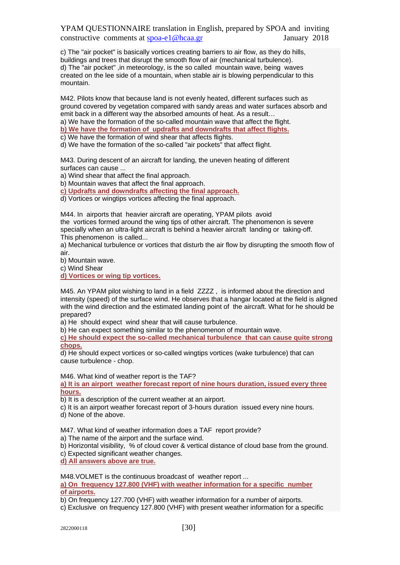c) The "air pocket" is basically vortices creating barriers to air flow, as they do hills, buildings and trees that disrupt the smooth flow of air (mechanical turbulence). d) The "air pocket" ,in meteorology, is the so called mountain wave, being waves created on the lee side of a mountain, when stable air is blowing perpendicular to this mountain.

M42. Pilots know that because land is not evenly heated, different surfaces such as ground covered by vegetation compared with sandy areas and water surfaces absorb and emit back in a different way the absorbed amounts of heat. As a result… a) We have the formation of the so-called mountain wave that affect the flight.

**b) We have the formation of updrafts and downdrafts that affect flights.**

c) We have the formation of wind shear that affects flights.

d) We have the formation of the so-called "air pockets" that affect flight.

M43. During descent of an aircraft for landing, the uneven heating of different surfaces can cause ...

a) Wind shear that affect the final approach.

b) Mountain waves that affect the final approach.

**c) Updrafts and downdrafts affecting the final approach.**

d) Vortices or wingtips vortices affecting the final approach.

M44. In airports that heavier aircraft are operating, YPAM pilots avoid the vortices formed around the wing tips of other aircraft. The phenomenon is severe specially when an ultra-light aircraft is behind a heavier aircraft landing or taking-off. This phenomenon is called...

a) Mechanical turbulence or vortices that disturb the air flow by disrupting the smooth flow of air.

b) Mountain wave.

c) Wind Shear

**d) Vortices or wing tip vortices.**

M45. An YPAM pilot wishing to land in a field ZZZZ , is informed about the direction and intensity (speed) of the surface wind. He observes that a hangar located at the field is aligned with the wind direction and the estimated landing point of the aircraft. What for he should be prepared?

a) He should expect wind shear that will cause turbulence.

b) He can expect something similar to the phenomenon of mountain wave.

**c) He should expect the so-called mechanical turbulence that can cause quite strong chops.**

d) He should expect vortices or so-called wingtips vortices (wake turbulence) that can cause turbulence - chop.

M46. What kind of weather report is the TAF?

**a) It is an airport weather forecast report of nine hours duration, issued every three hours.**

b) It is a description of the current weather at an airport.

c) It is an airport weather forecast report of 3-hours duration issued every nine hours.

d) None of the above.

M47. What kind of weather information does a TAF report provide?

a) The name of the airport and the surface wind.

b) Horizontal visibility, % of cloud cover & vertical distance of cloud base from the ground.

c) Expected significant weather changes.

**d) All answers above are true.**

M48. VOLMET is the continuous broadcast of weather report ...

**a) On frequency 127.800 (VHF) with weather information for a specific number of airports.**

b) On frequency 127.700 (VHF) with weather information for a number of airports.

c) Exclusive on frequency 127.800 (VHF) with present weather information for a specific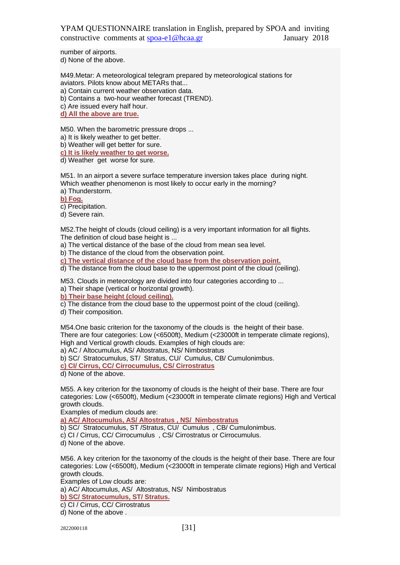number of airports. d) None of the above.

M49.Metar: A meteorological telegram prepared by meteorological stations for aviators. Pilots know about METARs that... a) Contain current weather observation data.

b) Contains a two-hour weather forecast (TREND).

c) Are issued every half hour.

**d) All the above are true.**

M50. When the barometric pressure drops ...

a) It is likely weather to get better.

b) Weather will get better for sure.

**c) It is likely weather to get worse.**

d) Weather get worse for sure.

M51. In an airport a severe surface temperature inversion takes place during night. Which weather phenomenon is most likely to occur early in the morning?

a) Thunderstorm.

**b) Fog.**

c) Precipitation.

d) Severe rain.

M52.The height of clouds (cloud ceiling) is a very important information for all flights. The definition of cloud base height is ...

a) The vertical distance of the base of the cloud from mean sea level.

b) The distance of the cloud from the observation point.

**c) The vertical distance of the cloud base from the observation point.**

d) The distance from the cloud base to the uppermost point of the cloud (ceiling).

M53. Clouds in meteorology are divided into four categories according to ...

a) Their shape (vertical or horizontal growth).

**b) Their base height (cloud ceiling).**

c) The distance from the cloud base to the uppermost point of the cloud (ceiling).

d) Their composition.

M54.One basic criterion for the taxonomy of the clouds is the height of their base. There are four categories: Low (<6500ft), Medium (<23000ft in temperate climate regions), High and Vertical growth clouds. Examples of high clouds are: a) AC / Altocumulus, AS/ Altostratus, NS/ Nimbostratus

b) SC/ Stratocumulus, ST/ Stratus, CU/ Cumulus, CB/ Cumulonimbus.

**c) CI/ Cirrus, CC/ Cirrocumulus, CS/ Cirrostratus**

d) None of the above.

M55. A key criterion for the taxonomy of clouds is the height of their base. There are four categories: Low (<6500ft), Medium (<23000ft in temperate climate regions) High and Vertical growth clouds.

Examples of medium clouds are:

**a) AC/ Altocumulus, AS/ Altostratus , NS/ Nimbostratus**

b) SC/ Stratocumulus, ST /Stratus, CU/ Cumulus , CB/ Cumulonimbus.

c) CI / Cirrus, CC/ Cirrocumulus , CS/ Cirrostratus or Cirrocumulus.

d) None of the above.

M56. A key criterion for the taxonomy of the clouds is the height of their base. There are four categories: Low (<6500ft), Medium (<23000ft in temperate climate regions) High and Vertical growth clouds.

Examples of Low clouds are:

a) AC/ Altocumulus, AS/ Altostratus, NS/ Nimbostratus

**b) SC/ Stratocumulus, ST/ Stratus.**

c) CI / Cirrus, CC/ Cirrostratus

d) None of the above .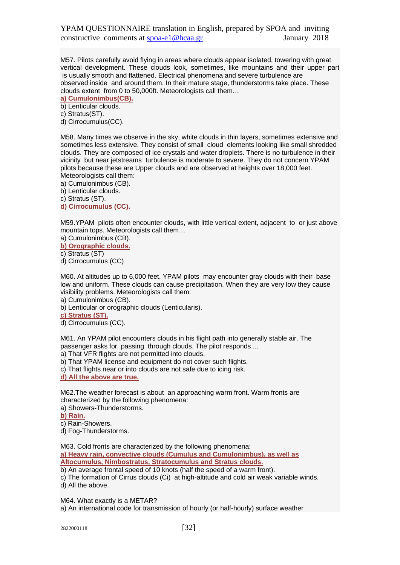M57. Pilots carefully avoid flying in areas where clouds appear isolated, towering with great vertical development. These clouds look, sometimes, like mountains and their upper part is usually smooth and flattened. Electrical phenomena and severe turbulence are observed inside and around them. In their mature stage, thunderstorms take place. These clouds extent from 0 to 50,000ft. Meteorologists call them…

**a) Cumulonimbus(CB).**

b) Lenticular clouds.

c) Stratus(ST).

d) Cirrocumulus(CC).

M58. Many times we observe in the sky, white clouds in thin layers, sometimes extensive and sometimes less extensive. They consist of small cloud elements looking like small shredded clouds. They are composed of ice crystals and water droplets. There is no turbulence in their vicinity but near jetstreams turbulence is moderate to severe. They do not concern YPAM pilots because these are Upper clouds and are observed at heights over 18,000 feet. Meteorologists call them:

a) Cumulonimbus (CB).

b) Lenticular clouds.

c) Stratus (ST).

**d) Cirrocumulus (CC).**

M59.YPAM pilots often encounter clouds, with little vertical extent, adjacent to or just above mountain tops. Meteorologists call them…

a) Cumulonimbus (CB).

**b) Orographic clouds.** 

c) Stratus (ST)

d) Cirrocumulus (CC)

M60. At altitudes up to 6,000 feet, YPAM pilots may encounter gray clouds with their base low and uniform. These clouds can cause precipitation. When they are very low they cause visibility problems. Meteorologists call them:

a) Cumulonimbus (CB).

b) Lenticular or orographic clouds (Lenticularis).

**c) Stratus (ST).**

d) Cirrocumulus (CC).

M61. An YPAM pilot encounters clouds in his flight path into generally stable air. The passenger asks for passing through clouds. The pilot responds ...

a) That VFR flights are not permitted into clouds.

b) That YPAM license and equipment do not cover such flights.

c) That flights near or into clouds are not safe due to icing risk.

**d) All the above are true.**

M62.The weather forecast is about an approaching warm front. Warm fronts are characterized by the following phenomena:

a) Showers-Thunderstorms.

**b) Rain.**

c) Rain-Showers.

d) Fog-Thunderstorms.

M63. Cold fronts are characterized by the following phenomena: **a) Heavy rain, convective clouds (Cumulus and Cumulonimbus), as well as Altocumulus, Nimbostratus, Stratocumulus and Stratus clouds.**

b) An average frontal speed of 10 knots (half the speed of a warm front).

c) The formation of Cirrus clouds (Ci) at high-altitude and cold air weak variable winds. d) All the above.

M64. What exactly is a METAR? a) An international code for transmission of hourly (or half-hourly) surface weather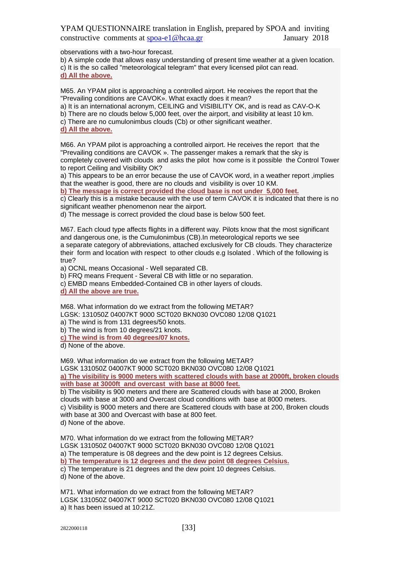observations with a two-hour forecast.

b) A simple code that allows easy understanding of present time weather at a given location. c) It is the so called "meteorological telegram" that every licensed pilot can read. **d) All the above.**

M65. An YPAM pilot is approaching a controlled airport. He receives the report that the "Prevailing conditions are CAVOK». What exactly does it mean?

a) It is an international acronym, CEILING and VISIBILITY OK, and is read as CAV-O-K

- b) There are no clouds below 5,000 feet, over the airport, and visibility at least 10 km.
- c) There are no cumulonimbus clouds (Cb) or other significant weather.
- **d) All the above.**

M66. An YPAM pilot is approaching a controlled airport. He receives the report that the "Prevailing conditions are CAVOK ». The passenger makes a remark that the sky is completely covered with clouds and asks the pilot how come is it possible the Control Tower to report Ceiling and Visibility OK?

a) This appears to be an error because the use of CAVOK word, in a weather report ,implies that the weather is good, there are no clouds and visibility is over 10 KM.

**b) The message is correct provided the cloud base is not under 5,000 feet.**

c) Clearly this is a mistake because with the use of term CAVOK it is indicated that there is no significant weather phenomenon near the airport.

d) The message is correct provided the cloud base is below 500 feet.

M67. Each cloud type affects flights in a different way. Pilots know that the most significant and dangerous one, is the Cumulonimbus (CB).In meteorological reports we see a separate category of abbreviations, attached exclusively for CB clouds. They characterize their form and location with respect to other clouds e.g Isolated . Which of the following is true?

a) OCNL means Occasional - Well separated CB.

b) FRQ means Frequent - Several CB with little or no separation.

c) EMBD means Embedded-Contained CB in other layers of clouds.

**d) All the above are true.**

M68. What information do we extract from the following METAR? LGSK: 131050Z 04007KT 9000 SCT020 BKN030 OVC080 12/08 Q1021

a) The wind is from 131 degrees/50 knots.

b) The wind is from 10 degrees/21 knots.

**c) The wind is from 40 degrees/07 knots.**

d) None of the above.

M69. What information do we extract from the following METAR?

LGSK 131050Z 04007KT 9000 SCT020 BKN030 OVC080 12/08 Q1021

**a) The visibility is 9000 meters with scattered clouds with base at 2000ft, broken clouds with base at 3000ft and overcast with base at 8000 feet.**

b) The visibility is 900 meters and there are Scattered clouds with base at 2000, Broken clouds with base at 3000 and Overcast cloud conditions with base at 8000 meters. c) Visibility is 9000 meters and there are Scattered clouds with base at 200, Broken clouds with base at 300 and Overcast with base at 800 feet. d) None of the above.

M70. What information do we extract from the following METAR? LGSK 131050Z 04007KT 9000 SCT020 BKN030 OVC080 12/08 Q1021 a) The temperature is 08 degrees and the dew point is 12 degrees Celsius. **b) The temperature is 12 degrees and the dew point 08 degrees Celsius.** c) The temperature is 21 degrees and the dew point 10 degrees Celsius. d) None of the above.

M71. What information do we extract from the following METAR? LGSK 131050Z 04007KT 9000 SCT020 BKN030 OVC080 12/08 Q1021 a) It has been issued at 10:21Z.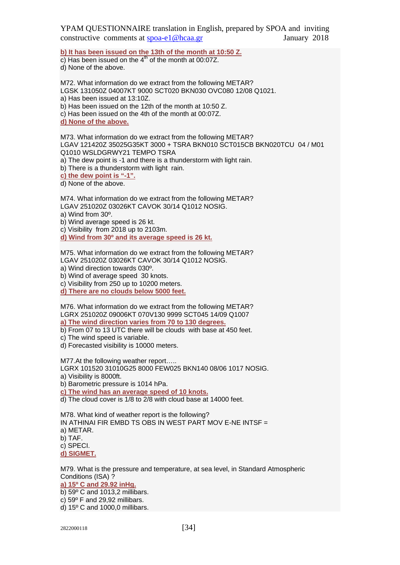**b) It has been issued on the 13th of the month at 10:50 Z.**

c) Has been issued on the  $4<sup>th</sup>$  of the month at 00:07Z. d) None of the above.

M72. What information do we extract from the following METAR? LGSK 131050Z 04007KT 9000 SCT020 BKN030 OVC080 12/08 Q1021. a) Has been issued at 13:10Z. b) Has been issued on the 12th of the month at 10:50 Z. c) Has been issued on the 4th of the month at 00:07Z. **d) None of the above.**

M73. What information do we extract from the following METAR? LGAV 121420Z 35025G35KT 3000 + TSRA BKN010 SCT015CB BKN020TCU 04 / M01 Q1010 WSLDGRWY21 TEMPO TSRA a) The dew point is -1 and there is a thunderstorm with light rain. b) There is a thunderstorm with light rain.

**c) the dew point is "-1".**

d) None of the above.

M74. What information do we extract from the following METAR? LGAV 251020Z 03026KT CAVOK 30/14 Q1012 NOSIG. a) Wind from 30º. b) Wind average speed is 26 kt.

c) Visibility from 2018 up to 2103m.

**d) Wind from 30º and its average speed is 26 kt.**

M75. What information do we extract from the following METAR? LGAV 251020Z 03026KT CAVOK 30/14 Q1012 NOSIG. a) Wind direction towards 030º.

b) Wind of average speed 30 knots.

c) Visibility from 250 up to 10200 meters. **d) There are no clouds below 5000 feet.**

M76. What information do we extract from the following METAR? LGRX 251020Z 09006KT 070V130 9999 SCT045 14/09 Q1007 **a) The wind direction varies from 70 to 130 degrees.**

b) From 07 to 13 UTC there will be clouds with base at 450 feet.

c) The wind speed is variable.

d) Forecasted visibility is 10000 meters.

M77.At the following weather report…..

LGRX 101520 31010G25 8000 FEW025 BKN140 08/06 1017 NOSIG. a) Visibility is 8000ft.

b) Barometric pressure is 1014 hPa.

**c) The wind has an average speed of 10 knots.**

d) The cloud cover is 1/8 to 2/8 with cloud base at 14000 feet.

M78. What kind of weather report is the following?

IN ATHINAI FIR EMBD TS OBS IN WEST PART MOV E-NE INTSF =

a) METAR.

b) TAF.

c) SPECI.

**d) SIGMET.**

M79. What is the pressure and temperature, at sea level, in Standard Atmospheric Conditions (ISA) ? **a) 15º C and 29.92 inHg.**

b) 59º C and 1013,2 millibars.

c) 59º F and 29,92 millibars.

d) 15º C and 1000,0 millibars.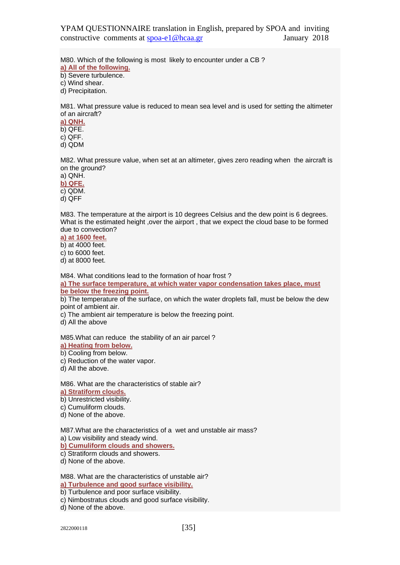M80. Which of the following is most likely to encounter under a CB ? **a) All of the following.**

b) Severe turbulence.

c) Wind shear.

d) Precipitation.

M81. What pressure value is reduced to mean sea level and is used for setting the altimeter of an aircraft?

**a) QNH.** b) QFE.

c) QFF.

d) QDM

M82. What pressure value, when set at an altimeter, gives zero reading when the aircraft is on the ground?

a) QNH. **b) QFE.** c) QDM.

d) QFF

M83. The temperature at the airport is 10 degrees Celsius and the dew point is 6 degrees. What is the estimated height ,over the airport , that we expect the cloud base to be formed due to convection?

**a) at 1600 feet.**

b) at 4000 feet.

c) to 6000 feet.

d) at 8000 feet.

M84. What conditions lead to the formation of hoar frost ?

**a) The surface temperature, at which water vapor condensation takes place, must be below the freezing point.**

b) The temperature of the surface, on which the water droplets fall, must be below the dew point of ambient air.

c) The ambient air temperature is below the freezing point.

d) All the above

M85.What can reduce the stability of an air parcel ?

**a) Heating from below.**

b) Cooling from below.

c) Reduction of the water vapor.

d) All the above.

M86. What are the characteristics of stable air? **a) Stratiform clouds.**

b) Unrestricted visibility.

c) Cumuliform clouds.

d) None of the above.

M87.What are the characteristics of a wet and unstable air mass? a) Low visibility and steady wind.

**b) Cumuliform clouds and showers.**

c) Stratiform clouds and showers.

d) None of the above.

M88. What are the characteristics of unstable air? **a) Turbulence and good surface visibility.**

b) Turbulence and poor surface visibility.

c) Nimbostratus clouds and good surface visibility.

d) None of the above.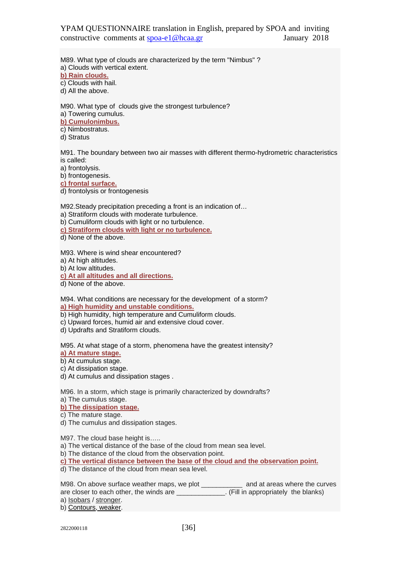M89. What type of clouds are characterized by the term "Nimbus" ? a) Clouds with vertical extent. **b) Rain clouds.** c) Clouds with hail.

d) All the above.

M90. What type of clouds give the strongest turbulence? a) Towering cumulus.

**b) Cumulonimbus.**

c) Nimbostratus.

d) Stratus

M91. The boundary between two air masses with different thermo-hydrometric characteristics is called:

a) frontolysis.

b) frontogenesis.

**c) frontal surface.**

d) frontolysis or frontogenesis

M92.Steady precipitation preceding a front is an indication of…

a) Stratiform clouds with moderate turbulence.

b) Cumuliform clouds with light or no turbulence.

**c) Stratiform clouds with light or no turbulence.**

d) None of the above.

M93. Where is wind shear encountered?

a) At high altitudes.

b) At low altitudes.

**c) At all altitudes and all directions.**

d) None of the above.

M94. What conditions are necessary for the development of a storm? **a) High humidity and unstable conditions.**

- b) High humidity, high temperature and Cumuliform clouds.
- c) Upward forces, humid air and extensive cloud cover.
- d) Updrafts and Stratiform clouds.

M95. At what stage of a storm, phenomena have the greatest intensity?

**a) At mature stage.**

b) At cumulus stage. c) At dissipation stage.

d) At cumulus and dissipation stages .

M96. In a storm, which stage is primarily characterized by downdrafts?

a) The cumulus stage.

**b) The dissipation stage.**

c) The mature stage.

d) The cumulus and dissipation stages.

M97. The cloud base height is…..

a) The vertical distance of the base of the cloud from mean sea level.

b) The distance of the cloud from the observation point.

**c) The vertical distance between the base of the cloud and the observation point.**

d) The distance of the cloud from mean sea level.

M98. On above surface weather maps, we plot \_\_\_\_\_\_\_\_\_ and at areas where the curves are closer to each other, the winds are \_\_\_\_\_\_\_\_\_\_\_\_. (Fill in appropriately the blanks)

a) Isobars / stronger.

b) Contours, weaker.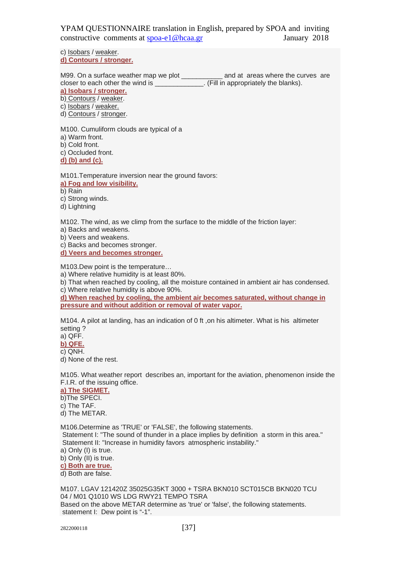c) Isobars / weaker. **d) Contours / stronger.**

M99. On a surface weather map we plot \_\_\_\_\_\_\_\_\_\_\_ and at areas where the curves are closer to each other the wind is \_\_\_\_\_\_\_\_\_\_\_\_\_\_. (Fill in appropriately the blanks).

**a) Isobars / stronger.**

b) Contours / weaker.

c) Isobars / weaker.

d) Contours / stronger.

M100. Cumuliform clouds are typical of a a) Warm front. b) Cold front. c) Occluded front. **d) (b) and (c).**

M101.Temperature inversion near the ground favors:

**a) Fog and low visibility.**

b) Rain

c) Strong winds.

d) Lightning

M102. The wind, as we climp from the surface to the middle of the friction layer:

a) Backs and weakens.

b) Veers and weakens.

c) Backs and becomes stronger.

**d) Veers and becomes stronger.**

M103.Dew point is the temperature…

a) Where relative humidity is at least 80%.

b) That when reached by cooling, all the moisture contained in ambient air has condensed. c) Where relative humidity is above 90%.

**d) When reached by cooling, the ambient air becomes saturated, without change in pressure and without addition or removal of water vapor.**

M104. A pilot at landing, has an indication of 0 ft, on his altimeter. What is his altimeter setting ?

a) QFF.

**b) QFE.**

c) QNH.

d) None of the rest.

M105. What weather report describes an, important for the aviation, phenomenon inside the F.I.R. of the issuing office.

**a) The SIGMET.**

b)The SPECI.

c) The TAF.

d) The METAR.

M106.Determine as 'TRUE' or 'FALSE', the following statements.

Statement I: "The sound of thunder in a place implies by definition a storm in this area." Statement II: "Increase in humidity favors atmospheric instability."

a) Only (I) is true.

b) Only (II) is true.

**c) Both are true.**

d) Both are false.

M107. LGAV 121420Z 35025G35KT 3000 + TSRA BKN010 SCT015CB BKN020 TCU 04 / M01 Q1010 WS LDG RWY21 TEMPO TSRA Based on the above METAR determine as 'true' or 'false', the following statements. statement I: Dew point is "-1".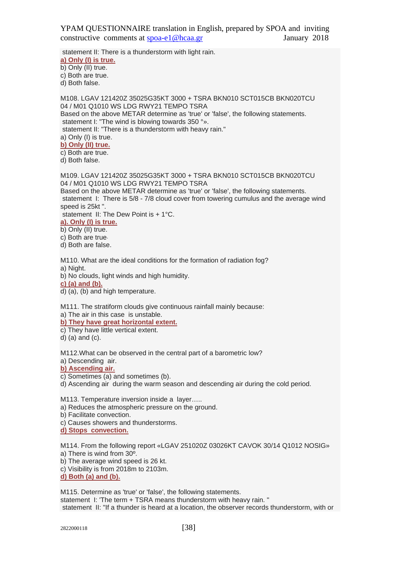statement II: There is a thunderstorm with light rain.

**a) Only (I) is true.**

b) Only (II) true.

c) Both are true.

d) Both false.

M108. LGAV 121420Z 35025G35KT 3000 + TSRA BKN010 SCT015CB BKN020TCU 04 / M01 Q1010 WS LDG RWY21 TEMPO TSRA Based on the above METAR determine as 'true' or 'false', the following statements. statement I: "The wind is blowing towards 350 °». statement II: "There is a thunderstorm with heavy rain." a) Only (I) is true. **b) Only (II) true.** c) Both are true. d) Both false. M109. LGAV 121420Z 35025G35KT 3000 + TSRA BKN010 SCT015CB BKN020TCU 04 / M01 Q1010 WS LDG RWY21 TEMPO TSRA

Based on the above METAR determine as 'true' or 'false', the following statements. statement I: There is 5/8 - 7/8 cloud cover from towering cumulus and the average wind speed is 25kt ".

statement II: The Dew Point is + 1°C.

**a). Only (I) is true.**

b) Only (II) true.

c) Both are true.

d) Both are false.

M110. What are the ideal conditions for the formation of radiation fog? a) Night.

b) No clouds, light winds and high humidity.

**c) (a) and (b).**

d) (a), (b) and high temperature.

M111. The stratiform clouds give continuous rainfall mainly because:

a) The air in this case is unstable.

**b) They have great horizontal extent.**

c) They have little vertical extent.

d) (a) and (c).

M112.What can be observed in the central part of a barometric low?

a) Descending air.

**b) Ascending air.**

c) Sometimes (a) and sometimes (b).

d) Ascending air during the warm season and descending air during the cold period.

M113. Temperature inversion inside a layer…..

a) Reduces the atmospheric pressure on the ground.

b) Facilitate convection.

c) Causes showers and thunderstorms.

**d) Stops convection.**

M114. From the following report «LGAV 251020Z 03026KT CAVOK 30/14 Q1012 NOSIG» a) There is wind from 30º.

b) The average wind speed is 26 kt.

c) Visibility is from 2018m to 2103m.

**d) Both (a) and (b).**

M115. Determine as 'true' or 'false', the following statements. statement I: 'The term + TSRA means thunderstorm with heavy rain. " statement II: "If a thunder is heard at a location, the observer records thunderstorm, with or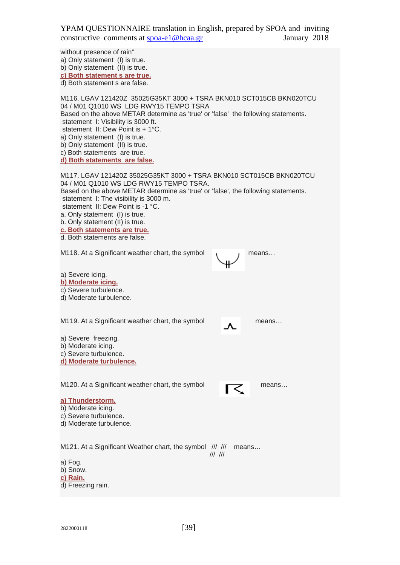without presence of rain" a) Only statement (I) is true. b) Only statement (II) is true. **c) Both statement s are true.** d) Both statement s are false. M116. LGAV 121420Z 35025G35KT 3000 + TSRA BKN010 SCT015CB BKN020TCU 04 / M01 Q1010 WS LDG RWY15 TEMPO TSRA Based on the above METAR determine as 'true' or 'false' the following statements. statement I: Visibility is 3000 ft. statement II: Dew Point is + 1°C. a) Only statement (I) is true. b) Only statement (II) is true. c) Both statements are true. **d) Both statements are false.** M117. LGAV 121420Z 35025G35KT 3000 + TSRA BKN010 SCT015CB BKN020TCU 04 / M01 Q1010 WS LDG RWY15 TEMPO TSRA. Based on the above METAR determine as 'true' or 'false', the following statements. statement I: The visibility is 3000 m. statement II: Dew Point is -1 °C. a. Only statement (I) is true. b. Only statement (II) is true. **c. Both statements are true.** d. Both statements are false. M118. At a Significant weather chart, the symbol means... a) Severe icing. **b) Moderate icing.** c) Severe turbulence. d) Moderate turbulence. M119. At a Significant weather chart, the symbol means... a) Severe freezing. b) Moderate icing. c) Severe turbulence. **d) Moderate turbulence.** M120. At a Significant weather chart, the symbol means... **a) Thunderstorm.** b) Moderate icing. c) Severe turbulence. d) Moderate turbulence. M121. At a Significant Weather chart, the symbol /// /// means... /// /// a) Fog. b) Snow. **c) Rain.** d) Freezing rain.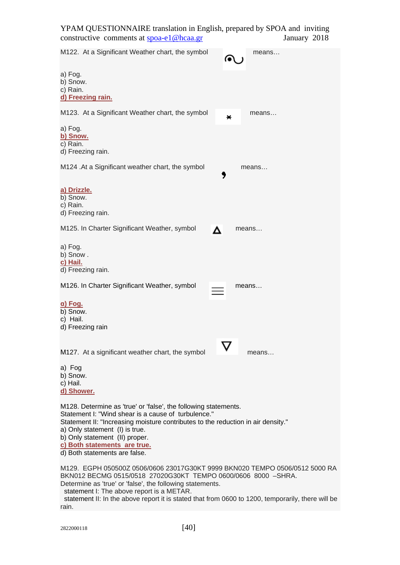M122. At a Significant Weather chart, the symbol means... a) Fog. b) Snow. c) Rain. **d) Freezing rain.** M123. At a Significant Weather chart, the symbol was means... a) Fog. **b) Snow.** c) Rain. d) Freezing rain. M124 .At a Significant weather chart, the symbol means... **a) Drizzle.** b) Snow. c) Rain. d) Freezing rain. M125. In Charter Significant Weather, symbol  $\Delta$  means... a) Fog. b) Snow . **c) Hail.** d) Freezing rain. M126. In Charter Significant Weather, symbol **Interpretent Manual** means... **α) Fog.** b) Snow. c) Hail. d) Freezing rain M127. At a significant weather chart, the symbol  $\sum$  means... a) Fog b) Snow. c) Hail. **d) Shower.** M128. Determine as 'true' or 'false', the following statements. Statement I: "Wind shear is a cause of turbulence." Statement II: "Increasing moisture contributes to the reduction in air density." a) Only statement (I) is true. b) Only statement (II) proper. **c) Both statements are true.** d) Both statements are false. M129. EGPH 050500Z 0506/0606 23017G30KT 9999 BKN020 TEMPO 0506/0512 5000 RA BKN012 BECMG 0515/0518 27020G30KT TEMPO 0600/0606 8000 –SHRA. Determine as 'true' or 'false', the following statements.

statement I: The above report is a METAR.

statement II: In the above report it is stated that from 0600 to 1200, temporarily, there will be rain.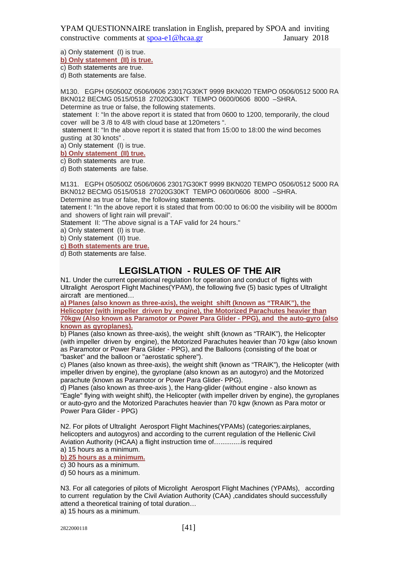a) Only statement (I) is true.

**b) Only statement (II) is true.**

c) Both statements are true.

d) Both statements are false.

M130. EGPH 050500Z 0506/0606 23017G30KT 9999 BKN020 TEMPO 0506/0512 5000 RA BKN012 BECMG 0515/0518 27020G30KT TEMPO 0600/0606 8000 –SHRA. Determine as true or false, the following statements.

statement I: "In the above report it is stated that from 0600 to 1200, temporarily, the cloud cover will be 3 /8 to 4/8 with cloud base at 120meters ".

statement II: "In the above report it is stated that from 15:00 to 18:00 the wind becomes gusting at 30 knots" .

a) Only statement (I) is true.

**b) Only statement (II) true.**

c) Both statements are true.

d) Both statements are false.

M131. EGPH 050500Z 0506/0606 23017G30KT 9999 BKN020 TEMPO 0506/0512 5000 RA BKN012 BECMG 0515/0518 27020G30KT TEMPO 0600/0606 8000 –SHRA.

Determine as true or false, the following statements.

tatement I: "In the above report it is stated that from 00:00 to 06:00 the visibility will be 8000m and showers of light rain will prevail".

Statement II: "The above signal is a TAF valid for 24 hours."

a) Only statement (I) is true.

b) Only statement (II) true.

**c) Both statements are true.**

d) Both statements are false.

# **LEGISLATION - RULES OF THE AIR**

N1. Under the current operational regulation for operation and conduct of flights with Ultralight Aerosport Flight Machines(YPAM), the following five (5) basic types of Ultralight aircraft are mentioned…

**a) Planes (also known as three-axis), the weight shift (known as "TRAIK"), the Helicopter (with impeller driven by engine), the Motorized Parachutes heavier than 70kgw (Also known as Paramotor or Power Para Glider - PPG), and the auto-gyro (also known as gyroplanes).**

b) Planes (also known as three-axis), the weight shift (known as "TRAIK"), the Helicopter (with impeller driven by engine), the Motorized Parachutes heavier than 70 kgw (also known as Paramotor or Power Para Glider - PPG), and the Balloons (consisting of the boat or "basket" and the balloon or "aerostatic sphere").

c) Planes (also known as three-axis), the weight shift (known as "TRAIK"), the Helicopter (with impeller driven by engine), the gyroplane (also known as an autogyro) and the Motorized parachute (known as Paramotor or Power Para Glider- PPG).

d) Planes (also known as three-axis ), the Hang-glider (without engine - also known as "Eagle" flying with weight shift), the Helicopter (with impeller driven by engine), the gyroplanes or auto-gyro and the Motorized Parachutes heavier than 70 kgw (known as Para motor or Power Para Glider - PPG)

N2. For pilots of Ultralight Aerosport Flight Machines(YPAMs) (categories:airplanes, helicopters and autogyros) and according to the current regulation of the Hellenic Civil Aviation Authority (HCAA) a flight instruction time of…...........is required a) 15 hours as a minimum.

**b) 25 hours as a minimum.**

c) 30 hours as a minimum.

d) 50 hours as a minimum.

N3. For all categories of pilots of Microlight Aerosport Flight Machines (YPAMs), according to current regulation by the Civil Aviation Authority (CAA) candidates should successfully attend a theoretical training of total duration…

a) 15 hours as a minimum.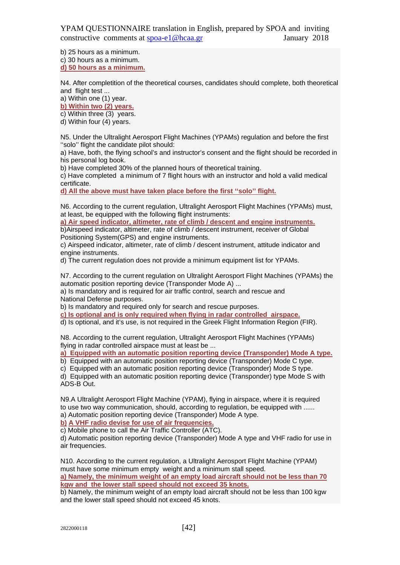b) 25 hours as a minimum.

c) 30 hours as a minimum.

**d) 50 hours as a minimum.**

N4. After completition of the theoretical courses, candidates should complete, both theoretical and flight test ...

a) Within one (1) year.

**b) Within two (2) years.**

c) Within three (3) years.

d) Within four (4) years.

N5. Under the Ultralight Aerosport Flight Machines (YPAMs) regulation and before the first ''solo'' flight the candidate pilot should:

a) Have, both, the flying school's and instructor's consent and the flight should be recorded in his personal log book.

b) Have completed 30% of the planned hours of theoretical training.

c) Have completed a minimum of 7 flight hours with an instructor and hold a valid medical certificate.

**d) All the above must have taken place before the first ''solo'' flight.**

N6. According to the current regulation, Ultralight Aerosport Flight Machines (YPAMs) must, at least, be equipped with the following flight instruments:

**a) Air speed indicator, altimeter, rate of climb / descent and engine instruments.** b)Airspeed indicator, altimeter, rate of climb / descent instrument, receiver of Global Positioning System(GPS) and engine instruments.

c) Airspeed indicator, altimeter, rate of climb / descent instrument, attitude indicator and engine instruments.

d) The current regulation does not provide a minimum equipment list for YPAMs.

N7. According to the current regulation on Ultralight Aerosport Flight Machines (YPAMs) the automatic position reporting device (Transponder Mode A) ...

a) Is mandatory and is required for air traffic control, search and rescue and National Defense purposes.

b) Is mandatory and required only for search and rescue purposes.

**c) Is optional and is only required when flying in radar controlled airspace.**

d) Is optional, and it's use, is not required in the Greek Flight Information Region (FIR).

N8. According to the current regulation, Ultralight Aerosport Flight Machines (YPAMs) flying in radar controlled airspace must at least be ...

**a) Equipped with an automatic position reporting device (Transponder) Mode A type.**

b) Equipped with an automatic position reporting device (Transponder) Mode C type.

c) Equipped with an automatic position reporting device (Transponder) Mode S type.

d) Equipped with an automatic position reporting device (Transponder) type Mode S with ADS-B Out.

N9.A Ultralight Aerosport Flight Machine (YPAM), flying in airspace, where it is required to use two way communication, should, according to regulation, be equipped with ...... a) Automatic position reporting device (Transponder) Mode A type.

**b) A VHF radio devise for use of air frequencies.**

c) Mobile phone to call the Air Traffic Controller (ATC).

d) Automatic position reporting device (Transponder) Mode A type and VHF radio for use in air frequencies.

N10. According to the current regulation, a Ultralight Aerosport Flight Machine (YPAM) must have some minimum empty weight and a minimum stall speed.

**a) Namely, the minimum weight of an empty load aircraft should not be less than 70 kgw and the lower stall speed should not exceed 35 knots.**

b) Namely, the minimum weight of an empty load aircraft should not be less than 100 kgw and the lower stall speed should not exceed 45 knots.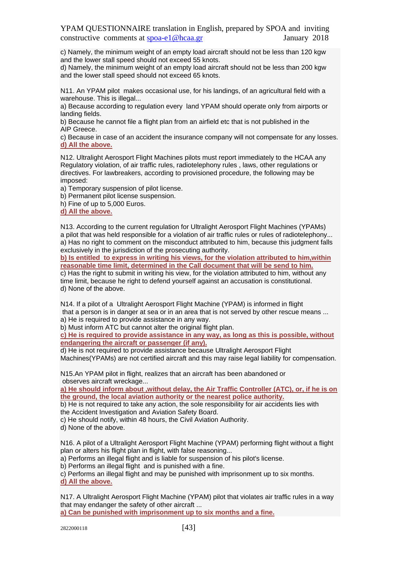c) Namely, the minimum weight of an empty load aircraft should not be less than 120 kgw and the lower stall speed should not exceed 55 knots.

d) Namely, the minimum weight of an empty load aircraft should not be less than 200 kgw and the lower stall speed should not exceed 65 knots.

N11. An YPAM pilot makes occasional use, for his landings, of an agricultural field with a warehouse. This is illegal...

a) Because according to regulation every land YPAM should operate only from airports or landing fields.

b) Because he cannot file a flight plan from an airfield etc that is not published in the AIP Greece.

c) Because in case of an accident the insurance company will not compensate for any losses. **d) All the above.**

N12. Ultralight Aerosport Flight Machines pilots must report immediately to the HCAA any Regulatory violation, of air traffic rules, radiotelephony rules , laws, other regulations or directives. For lawbreakers, according to provisioned procedure, the following may be imposed:

a) Temporary suspension of pilot license.

b) Permanent pilot license suspension.

h) Fine of up to 5,000 Euros.

**d) All the above.**

N13. According to the current regulation for Ultralight Aerosport Flight Machines (YPAMs) a pilot that was held responsible for a violation of air traffic rules or rules of radiotelephony... a) Has no right to comment on the misconduct attributed to him, because this judgment falls exclusively in the jurisdiction of the prosecuting authority.

**b) Is entitled to express in writing his views, for the violation attributed to him,within reasonable time limit, determined in the Call document that will be send to him.** c) Has the right to submit in writing his view, for the violation attributed to him, without any time limit, because he right to defend yourself against an accusation is constitutional. d) None of the above.

N14. If a pilot of a Ultralight Aerosport Flight Machine (YPAM) is informed in flight that a person is in danger at sea or in an area that is not served by other rescue means ... a) He is required to provide assistance in any way.

b) Must inform ATC but cannot alter the original flight plan.

**c) He is required to provide assistance in any way, as long as this is possible, without endangering the aircraft or passenger (if any).**

d) He is not required to provide assistance because Ultralight Aerosport Flight Machines(YPAMs) are not certified aircraft and this may raise legal liability for compensation.

N15.An YPAM pilot in flight, realizes that an aircraft has been abandoned or observes aircraft wreckage...

**a) He should inform about ,without delay, the Air Traffic Controller (ATC), or, if he is on the ground, the local aviation authority or the nearest police authority.**

b) He is not required to take any action, the sole responsibility for air accidents lies with the Accident Investigation and Aviation Safety Board.

c) He should notify, within 48 hours, the Civil Aviation Authority.

d) None of the above.

N16. A pilot of a Ultralight Aerosport Flight Machine (YPAM) performing flight without a flight plan or alters his flight plan in flight, with false reasoning...

a) Performs an illegal flight and is liable for suspension of his pilot's license.

b) Performs an illegal flight and is punished with a fine.

c) Performs an illegal flight and may be punished with imprisonment up to six months. **d) All the above.**

N17. A Ultralight Aerosport Flight Machine (YPAM) pilot that violates air traffic rules in a way that may endanger the safety of other aircraft ...

**a) Can be punished with imprisonment up to six months and a fine.**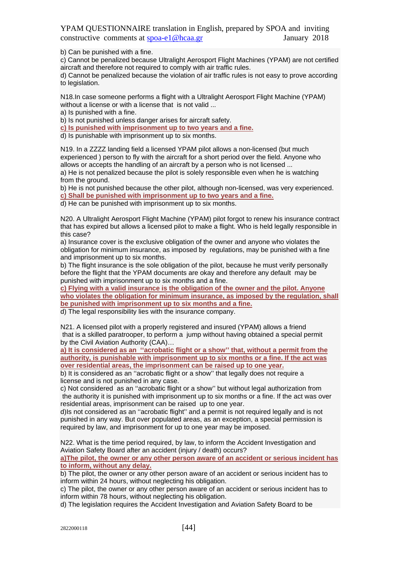b) Can be punished with a fine.

c) Cannot be penalized because Ultralight Aerosport Flight Machines (YPAM) are not certified aircraft and therefore not required to comply with air traffic rules.

d) Cannot be penalized because the violation of air traffic rules is not easy to prove according to legislation.

N18.In case someone performs a flight with a Ultralight Aerosport Flight Machine (YPAM) without a license or with a license that is not valid ...

a) Is punished with a fine.

b) Is not punished unless danger arises for aircraft safety.

**c) Is punished with imprisonment up to two years and a fine.**

d) Is punishable with imprisonment up to six months.

N19. In a ZZZZ landing field a licensed YPAM pilot allows a non-licensed (but much experienced ) person to fly with the aircraft for a short period over the field. Anyone who allows or accepts the handling of an aircraft by a person who is not licensed ... a) He is not penalized because the pilot is solely responsible even when he is watching

from the ground. b) He is not punished because the other pilot, although non-licensed, was very experienced.

**c) Shall be punished with imprisonment up to two years and a fine.**

d) He can be punished with imprisonment up to six months.

N20. A Ultralight Aerosport Flight Machine (YPAM) pilot forgot to renew his insurance contract that has expired but allows a licensed pilot to make a flight. Who is held legally responsible in this case?

a) Insurance cover is the exclusive obligation of the owner and anyone who violates the obligation for minimum insurance, as imposed by regulations, may be punished with a fine and imprisonment up to six months.

b) The flight insurance is the sole obligation of the pilot, because he must verify personally before the flight that the YPAM documents are okay and therefore any default may be punished with imprisonment up to six months and a fine.

**c) Flying with a valid insurance is the obligation of the owner and the pilot. Anyone who violates the obligation for minimum insurance, as imposed by the regulation, shall be punished with imprisonment up to six months and a fine.**

d) The legal responsibility lies with the insurance company.

N21. A licensed pilot with a properly registered and insured (YPAM) allows a friend that is a skilled paratrooper, to perform a jump without having obtained a special permit by the Civil Aviation Authority (CAA)…

**a) It is considered as an ''acrobatic flight or a show'' that, without a permit from the authority, is punishable with imprisonment up to six months or a fine. If the act was over residential areas, the imprisonment can be raised up to one year.**

b) It is considered as an ''acrobatic flight or a show'' that legally does not require a license and is not punished in any case.

c) Not considered as an ''acrobatic flight or a show'' but without legal authorization from the authority it is punished with imprisonment up to six months or a fine. If the act was over residential areas, imprisonment can be raised up to one year.

d)Is not considered as an ''acrobatic flight'' and a permit is not required legally and is not punished in any way. But over populated areas, as an exception, a special permission is required by law, and imprisonment for up to one year may be imposed.

N22. What is the time period required, by law, to inform the Accident Investigation and Aviation Safety Board after an accident (injury / death) occurs?

**a)The pilot, the owner or any other person aware of an accident or serious incident has to inform, without any delay.**

b) The pilot, the owner or any other person aware of an accident or serious incident has to inform within 24 hours, without neglecting his obligation.

c) The pilot, the owner or any other person aware of an accident or serious incident has to inform within 78 hours, without neglecting his obligation.

d) The legislation requires the Accident Investigation and Aviation Safety Board to be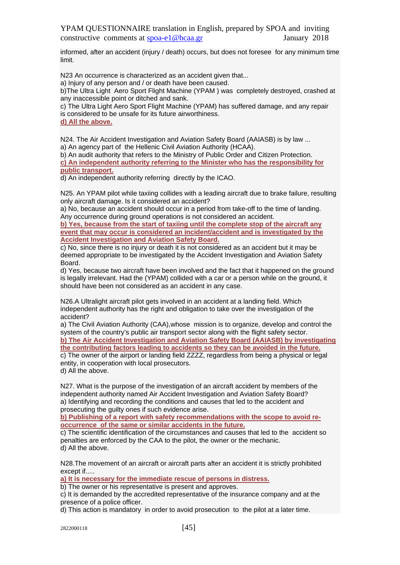informed, after an accident (injury / death) occurs, but does not foresee for any minimum time limit.

N23 An occurrence is characterized as an accident given that...

a) Injury of any person and / or death have been caused.

b)The Ultra Light Aero Sport Flight Machine (YPAM ) was completely destroyed, crashed at any inaccessible point or ditched and sank.

c) The Ultra Light Aero Sport Flight Machine (YPAM) has suffered damage, and any repair is considered to be unsafe for its future airworthiness.

**d) All the above.**

N24. The Air Accident Investigation and Aviation Safety Board (AAIASB) is by law ... a) An agency part of the Hellenic Civil Aviation Authority (HCAA).

b) An audit authority that refers to the Ministry of Public Order and Citizen Protection.

**c) An independent authority referring to the Minister who has the responsibility for public transport.**

d) An independent authority referring directly by the ICAO.

N25. An YPAM pilot while taxiing collides with a leading aircraft due to brake failure, resulting only aircraft damage. Is it considered an accident?

a) No, because an accident should occur in a period from take-off to the time of landing. Any occurrence during ground operations is not considered an accident.

**b) Yes, because from the start of taxiing until the complete stop of the aircraft any event that may occur is considered an incident/accident and is investigated by the Accident Investigation and Aviation Safety Board.**

c) No, since there is no injury or death it is not considered as an accident but it may be deemed appropriate to be investigated by the Accident Investigation and Aviation Safety Board.

d) Yes, because two aircraft have been involved and the fact that it happened on the ground is legally irrelevant. Had the (YPAM) collided with a car or a person while on the ground, it should have been not considered as an accident in any case.

N<sub>26</sub>.A Ultralight aircraft pilot gets involved in an accident at a landing field. Which independent authority has the right and obligation to take over the investigation of the accident?

a) The Civil Aviation Authority (CAA),whose mission is to organize, develop and control the system of the country's public air transport sector along with the flight safety sector. **b) The Air Accident Investigation and Aviation Safety Board (AAIASB) by investigating**

**the contributing factors leading to accidents so they can be avoided in the future.** c) The owner of the airport or landing field ZZZZ, regardless from being a physical or legal entity, in cooperation with local prosecutors.

d) All the above.

N27. What is the purpose of the investigation of an aircraft accident by members of the independent authority named Air Accident Investigation and Aviation Safety Board? a) Identifying and recording the conditions and causes that led to the accident and prosecuting the guilty ones if such evidence arise.

**b) Publishing of a report with safety recommendations with the scope to avoid reoccurrence of the same or similar accidents in the future.**

c) The scientific identification of the circumstances and causes that led to the accident so penalties are enforced by the CAA to the pilot, the owner or the mechanic. d) All the above.

N28.The movement of an aircraft or aircraft parts after an accident it is strictly prohibited except if.....

**a) It is necessary for the immediate rescue of persons in distress.**

b) The owner or his representative is present and approves.

c) It is demanded by the accredited representative of the insurance company and at the presence of a police officer.

d) This action is mandatory in order to avoid prosecution to the pilot at a later time.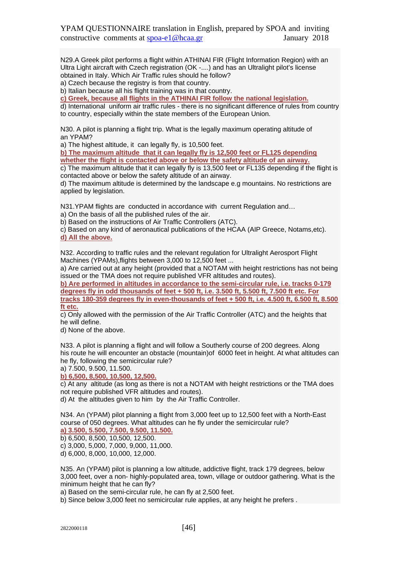N29.A Greek pilot performs a flight within ATHINAI FIR (Flight Information Region) with an Ultra Light aircraft with Czech registration (OK -....) and has an Ultralight pilot's license obtained in Italy. Which Air Traffic rules should he follow?

a) Czech because the registry is from that country.

b) Italian because all his flight training was in that country.

**c) Greek, because all flights in the ATHINAI FIR follow the national legislation.**

d) International uniform air traffic rules - there is no significant difference of rules from country to country, especially within the state members of the European Union.

N30. A pilot is planning a flight trip. What is the legally maximum operating altitude of an YPAM?

a) The highest altitude, it can legally fly, is 10,500 feet.

**b) The maximum altitude that it can legally fly is 12,500 feet or FL125 depending whether the flight is contacted above or below the safety altitude of an airway.**

c) The maximum altitude that it can legally fly is 13,500 feet or FL135 depending if the flight is contacted above or below the safety altitude of an airway.

d) The maximum altitude is determined by the landscape e.g mountains. No restrictions are applied by legislation.

N31.YPAM flights are conducted in accordance with current Regulation and…

a) On the basis of all the published rules of the air.

b) Based on the instructions of Air Traffic Controllers (ATC).

c) Based on any kind of aeronautical publications of the HCAA (AIP Greece, Notams,etc). **d) All the above.**

N32. According to traffic rules and the relevant regulation for Ultralight Aerosport Flight Machines (YPAMs),flights between 3,000 to 12,500 feet ...

a) Are carried out at any height (provided that a NOTAM with height restrictions has not being issued or the TMA does not require published VFR altitudes and routes).

**b) Are performed in altitudes in accordance to the semi-circular rule, i.e. tracks 0-179 degrees fly in odd thousands of feet + 500 ft, i.e. 3.500 ft, 5.500 ft, 7.500 ft etc. For tracks 180-359 degrees fly in even-thousands of feet + 500 ft, i.e. 4.500 ft, 6.500 ft, 8.500 ft etc.**

c) Only allowed with the permission of the Air Traffic Controller (ATC) and the heights that he will define.

d) None of the above.

N33. A pilot is planning a flight and will follow a Southerly course of 200 degrees. Along his route he will encounter an obstacle (mountain)of 6000 feet in height. At what altitudes can he fly, following the semicircular rule?

a) 7.500, 9.500, 11.500.

**b) 6,500, 8,500, 10,500, 12,500.**

c) At any altitude (as long as there is not a NOTAM with height restrictions or the TMA does not require published VFR altitudes and routes).

d) At the altitudes given to him by the Air Traffic Controller.

N34. An (YPAM) pilot planning a flight from 3,000 feet up to 12,500 feet with a North-East course of 050 degrees. What altitudes can he fly under the semicircular rule?

**a) 3.500, 5.500, 7.500, 9.500, 11.500.**

b) 6,500, 8,500, 10,500, 12,500.

c) 3,000, 5,000, 7,000, 9,000, 11,000.

d) 6,000, 8,000, 10,000, 12,000.

N35. An (YPAM) pilot is planning a low altitude, addictive flight, track 179 degrees, below 3,000 feet, over a non- highly-populated area, town, village or outdoor gathering. What is the minimum height that he can fly?

a) Based on the semi-circular rule, he can fly at 2,500 feet.

b) Since below 3,000 feet no semicircular rule applies, at any height he prefers .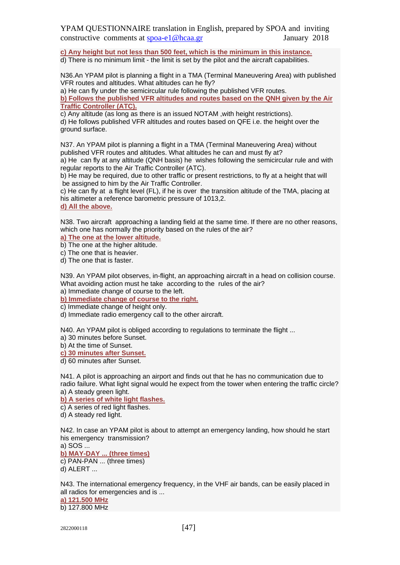**c) Any height but not less than 500 feet, which is the minimum in this instance.**

d) There is no minimum limit - the limit is set by the pilot and the aircraft capabilities.

N36.An YPAM pilot is planning a flight in a TMA (Terminal Maneuvering Area) with published VFR routes and altitudes. What altitudes can he fly?

a) He can fly under the semicircular rule following the published VFR routes. **b) Follows the published VFR altitudes and routes based on the QNH given by the Air** 

**Traffic Controller (ATC).**

c) Any altitude (as long as there is an issued NOTAM ,with height restrictions).

d) He follows published VFR altitudes and routes based on QFE i.e. the height over the ground surface.

N37. An YPAM pilot is planning a flight in a TMA (Terminal Maneuvering Area) without published VFR routes and altitudes. What altitudes he can and must fly at?

a) He can fly at any altitude (QNH basis) he wishes following the semicircular rule and with regular reports to the Air Traffic Controller (ATC).

b) He may be required, due to other traffic or present restrictions, to fly at a height that will be assigned to him by the Air Traffic Controller.

c) He can fly at a flight level (FL), if he is over the transition altitude of the TMA, placing at his altimeter a reference barometric pressure of 1013,2.

**d) All the above.**

N38. Two aircraft approaching a landing field at the same time. If there are no other reasons, which one has normally the priority based on the rules of the air?

**a) The one at the lower altitude.**

b) The one at the higher altitude.

c) The one that is heavier.

d) The one that is faster.

N39. An YPAM pilot observes, in-flight, an approaching aircraft in a head on collision course. What avoiding action must he take according to the rules of the air? a) Immediate change of course to the left.

**b) Immediate change of course to the right.**

c) Immediate change of height only.

d) Immediate radio emergency call to the other aircraft.

N40. An YPAM pilot is obliged according to regulations to terminate the flight ...

a) 30 minutes before Sunset.

b) At the time of Sunset.

**c) 30 minutes after Sunset.**

d) 60 minutes after Sunset.

N41. A pilot is approaching an airport and finds out that he has no communication due to radio failure. What light signal would he expect from the tower when entering the traffic circle? a) A steady green light.

**b) A series of white light flashes.**

c) A series of red light flashes.

d) A steady red light.

N42. In case an YPAM pilot is about to attempt an emergency landing, how should he start his emergency transmission?

a) SOS ... **b) MAY-DAY ... (three times)** c) PAN-PAN ... (three times) d) ALERT ...

N43. The international emergency frequency, in the VHF air bands, can be easily placed in all radios for emergencies and is ...

**a) 121.500 MHz** b) 127.800 MHz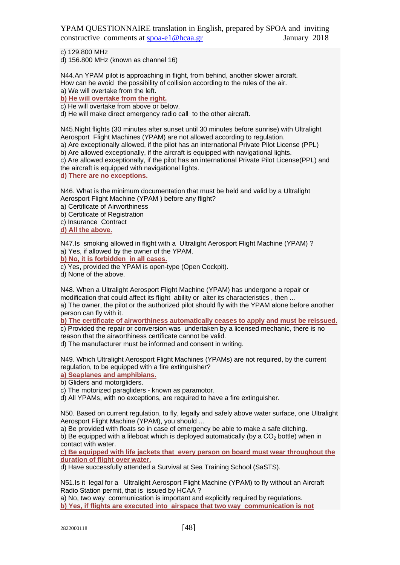c) 129.800 MHz

d) 156.800 MHz (known as channel 16)

N44.An YPAM pilot is approaching in flight, from behind, another slower aircraft. How can he avoid the possibility of collision according to the rules of the air. a) We will overtake from the left.

**b) He will overtake from the right.**

c) He will overtake from above or below.

d) He will make direct emergency radio call to the other aircraft.

N45.Night flights (30 minutes after sunset until 30 minutes before sunrise) with Ultralight Aerosport Flight Machines (YPAM) are not allowed according to regulation.

a) Are exceptionally allowed, if the pilot has an international Private Pilot License (PPL)

b) Are allowed exceptionally, if the aircraft is equipped with navigational lights.

c) Are allowed exceptionally, if the pilot has an international Private Pilot License(PPL) and the aircraft is equipped with navigational lights.

**d) There are no exceptions.**

N46. What is the minimum documentation that must be held and valid by a Ultralight Aerosport Flight Machine (YPAM ) before any flight?

a) Certificate of Airworthiness

b) Certificate of Registration

c) Insurance Contract

**d) All the above.**

N47.Is smoking allowed in flight with a Ultralight Aerosport Flight Machine (YPAM) ? a) Yes, if allowed by the owner of the YPAM.

**b) No, it is forbidden in all cases.**

c) Yes, provided the YPAM is open-type (Open Cockpit).

d) None of the above.

N48. When a Ultralight Aerosport Flight Machine (YPAM) has undergone a repair or modification that could affect its flight ability or alter its characteristics , then ... a) The owner, the pilot or the authorized pilot should fly with the YPAM alone before another person can fly with it.

**b) The certificate of airworthiness automatically ceases to apply and must be reissued.**

c) Provided the repair or conversion was undertaken by a licensed mechanic, there is no reason that the airworthiness certificate cannot be valid.

d) The manufacturer must be informed and consent in writing.

N49. Which Ultralight Aerosport Flight Machines (YPAMs) are not required, by the current regulation, to be equipped with a fire extinguisher?

**a) Seaplanes and amphibians.**

b) Gliders and motorgliders.

c) The motorized paragliders - known as paramotor.

d) All YPAMs, with no exceptions, are required to have a fire extinguisher.

N50. Based on current regulation, to fly, legally and safely above water surface, one Ultralight Aerosport Flight Machine (YPAM), you should ...

a) Be provided with floats so in case of emergency be able to make a safe ditching. b) Be equipped with a lifeboat which is deployed automatically (by a  $CO<sub>2</sub>$  bottle) when in contact with water.

**c) Be equipped with life jackets that every person on board must wear throughout the duration of flight over water.**

d) Have successfully attended a Survival at Sea Training School (SaSTS).

N51.Is it legal for a Ultralight Aerosport Flight Machine (YPAM) to fly without an Aircraft Radio Station permit, that is issued by HCAA ?

a) No, two way communication is important and explicitly required by regulations. **b) Yes, if flights are executed into airspace that two way communication is not**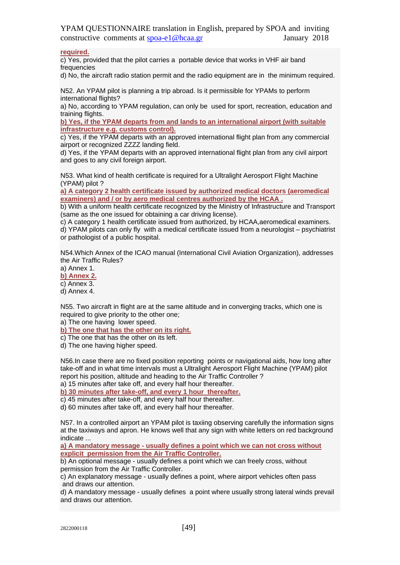**required.**

c) Yes, provided that the pilot carries a portable device that works in VHF air band frequencies

d) No, the aircraft radio station permit and the radio equipment are in the minimum required.

N52. An YPAM pilot is planning a trip abroad. Is it permissible for YPAMs to perform international flights?

a) No, according to YPAM regulation, can only be used for sport, recreation, education and training flights.

**b) Yes, if the YPAM departs from and lands to an international airport (with suitable infrastructure e.g. customs control).**

c) Yes, if the YPAM departs with an approved international flight plan from any commercial airport or recognized ZZZZ landing field.

d) Yes, if the YPAM departs with an approved international flight plan from any civil airport and goes to any civil foreign airport.

N53. What kind of health certificate is required for a Ultralight Aerosport Flight Machine (YPAM) pilot ?

**a) A category 2 health certificate issued by authorized medical doctors (aeromedical examiners) and / or by aero medical centres authorized by the HCAA .**

b) With a uniform health certificate recognized by the Ministry of Infrastructure and Transport (same as the one issued for obtaining a car driving license).

c) A category 1 health certificate issued from authorized, by HCAA,aeromedical examiners. d) YPAM pilots can only fly with a medical certificate issued from a neurologist – psychiatrist or pathologist of a public hospital.

N54.Which Annex of the ICAO manual (International Civil Aviation Organization), addresses the Air Traffic Rules?

a) Annex 1. **b) Annex 2.**

c) Annex 3.

d) Annex 4.

N55. Two aircraft in flight are at the same altitude and in converging tracks, which one is required to give priority to the other one:

a) The one having lower speed.

**b) The one that has the other on its right.**

c) The one that has the other on its left.

d) The one having higher speed.

N56.In case there are no fixed position reporting points or navigational aids, how long after take-off and in what time intervals must a Ultralight Aerosport Flight Machine (YPAM) pilot report his position, altitude and heading to the Air Traffic Controller ? a) 15 minutes after take off, and every half hour thereafter.

**b) 30 minutes after take-off, and every 1 hour thereafter.**

c) 45 minutes after take-off, and every half hour thereafter.

d) 60 minutes after take off, and every half hour thereafter.

N57. In a controlled airport an YPAM pilot is taxiing observing carefully the information signs at the taxiways and apron. He knows well that any sign with white letters on red background indicate ...

**a) A mandatory message - usually defines a point which we can not cross without explicit permission from the Air Traffic Controller.**

b) An optional message - usually defines a point which we can freely cross, without permission from the Air Traffic Controller.

c) An explanatory message - usually defines a point, where airport vehicles often pass and draws our attention.

d) A mandatory message - usually defines a point where usually strong lateral winds prevail and draws our attention.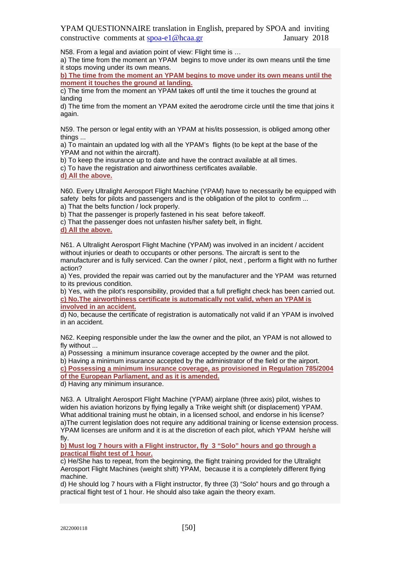N58. From a legal and aviation point of view: Flight time is …

a) The time from the moment an YPAM begins to move under its own means until the time it stops moving under its own means.

**b) The time from the moment an YPAM begins to move under its own means until the moment it touches the ground at landing.**

c) The time from the moment an YPAM takes off until the time it touches the ground at landing

d) The time from the moment an YPAM exited the aerodrome circle until the time that joins it again.

N59. The person or legal entity with an YPAM at his/its possession, is obliged among other things ...

a) To maintain an updated log with all the YPAM's flights (to be kept at the base of the YPAM and not within the aircraft).

b) To keep the insurance up to date and have the contract available at all times.

c) To have the registration and airworthiness certificates available.

### **d) All the above.**

N60. Every Ultralight Aerosport Flight Machine (YPAM) have to necessarily be equipped with safety belts for pilots and passengers and is the obligation of the pilot to confirm ...

a) That the belts function / lock properly.

b) That the passenger is properly fastened in his seat before takeoff.

c) That the passenger does not unfasten his/her safety belt, in flight.

**d) All the above.**

N61. A Ultralight Aerosport Flight Machine (YPAM) was involved in an incident / accident without injuries or death to occupants or other persons. The aircraft is sent to the manufacturer and is fully serviced. Can the owner / pilot, next , perform a flight with no further action?

a) Yes, provided the repair was carried out by the manufacturer and the YPAM was returned to its previous condition.

b) Yes, with the pilot's responsibility, provided that a full preflight check has been carried out. **c) No.The airworthiness certificate is automatically not valid, when an YPAM is involved in an accident.**

d) No, because the certificate of registration is automatically not valid if an YPAM is involved in an accident.

N62. Keeping responsible under the law the owner and the pilot, an YPAM is not allowed to fly without ...

a) Possessing a minimum insurance coverage accepted by the owner and the pilot.

b) Having a minimum insurance accepted by the administrator of the field or the airport.

**c) Possessing a minimum insurance coverage, as provisioned in Regulation 785/2004 of the European Parliament, and as it is amended.**

d) Having any minimum insurance.

N63. A Ultralight Aerosport Flight Machine (YPAM) airplane (three axis) pilot, wishes to widen his aviation horizons by flying legally a Trike weight shift (or displacement) YPAM. What additional training must he obtain, in a licensed school, and endorse in his license? a)The current legislation does not require any additional training or license extension process. YPAM licenses are uniform and it is at the discretion of each pilot, which YPAM he/she will fly.

**b) Must log 7 hours with a Flight instructor, fly 3 "Solo" hours and go through a practical flight test of 1 hour.**

c) He/She has to repeat, from the beginning, the flight training provided for the Ultralight Aerosport Flight Machines (weight shift) YPAM, because it is a completely different flying machine.

d) He should log 7 hours with a Flight instructor, fly three (3) "Solo" hours and go through a practical flight test of 1 hour. He should also take again the theory exam.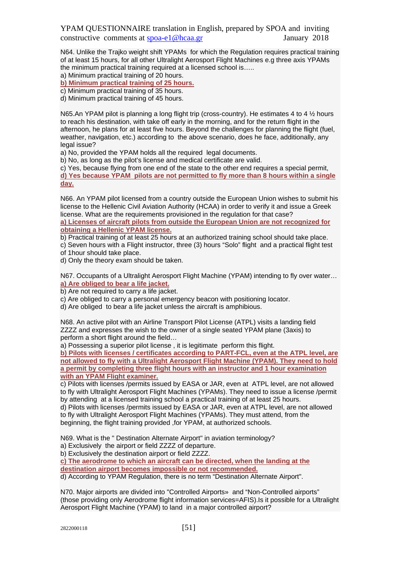N64. Unlike the Trajko weight shift YPAMs for which the Regulation requires practical training of at least 15 hours, for all other Ultralight Aerosport Flight Machines e.g three axis YPAMs the minimum practical training required at a licensed school is…..

a) Minimum practical training of 20 hours.

**b) Minimum practical training of 25 hours.**

c) Minimum practical training of 35 hours.

d) Minimum practical training of 45 hours.

N65.An YPAM pilot is planning a long flight trip (cross-country). He estimates 4 to 4  $\frac{1}{2}$  hours to reach his destination, with take off early in the morning, and for the return flight in the afternoon, he plans for at least five hours. Beyond the challenges for planning the flight (fuel, weather, navigation, etc.) according to the above scenario, does he face, additionally, any legal issue?

a) No, provided the YPAM holds all the required legal documents.

b) No, as long as the pilot's license and medical certificate are valid.

c) Yes, because flying from one end of the state to the other end requires a special permit, **d) Yes because YPAM pilots are not permitted to fly more than 8 hours within a single** 

**day.**

N66. An YPAM pilot licensed from a country outside the European Union wishes to submit his license to the Hellenic Civil Aviation Authority (HCAA) in order to verify it and issue a Greek license. What are the requirements provisioned in the regulation for that case?

**a) Licenses of aircraft pilots from outside the European Union are not recognized for obtaining a Hellenic YPAM license.**

b) Practical training of at least 25 hours at an authorized training school should take place.

c) Seven hours with a Flight instructor, three (3) hours "Solo" flight and a practical flight test of 1hour should take place.

d) Only the theory exam should be taken.

N67. Occupants of a Ultralight Aerosport Flight Machine (YPAM) intending to fly over water… **a) Are obliged to bear a life jacket.**

b) Are not required to carry a life jacket.

c) Are obliged to carry a personal emergency beacon with positioning locator.

d) Are obliged to bear a life jacket unless the aircraft is amphibious.

N68. An active pilot with an Airline Transport Pilot License (ATPL) visits a landing field ZZZZ and expresses the wish to the owner of a single seated YPAM plane (3axis) to perform a short flight around the field…

a) Possessing a superior pilot license , it is legitimate perform this flight.

**b) Pilots with licenses / certificates according to PART-FCL, even at the ATPL level, are not allowed to fly with a Ultralight Aerosport Flight Machine (YPAM). They need to hold a permit by completing three flight hours with an instructor and 1 hour examination with an YPAM Flight examiner.**

c) Pilots with licenses /permits issued by EASA or JAR, even at ATPL level, are not allowed to fly with Ultralight Aerosport Flight Machines (YPAMs). They need to issue a license /permit by attending at a licensed training school a practical training of at least 25 hours.

d) Pilots with licenses /permits issued by EASA or JAR, even at ATPL level, are not allowed to fly with Ultralight Aerosport Flight Machines (YPAMs). They must attend, from the beginning, the flight training provided ,for YPAM, at authorized schools.

N69. What is the " Destination Alternate Airport" in aviation terminology?

a) Exclusively the airport or field ZZZZ of departure.

b) Exclusively the destination airport or field ZZZZ.

**c) The aerodrome to which an aircraft can be directed, when the landing at the destination airport becomes impossible or not recommended.**

d) According to YPAM Regulation, there is no term "Destination Alternate Airport".

N70. Major airports are divided into "Controlled Airports» and "Non-Controlled airports" (those providing only Aerodrome flight information services=AFIS).Is it possible for a Ultralight Aerosport Flight Machine (YPAM) to land in a major controlled airport?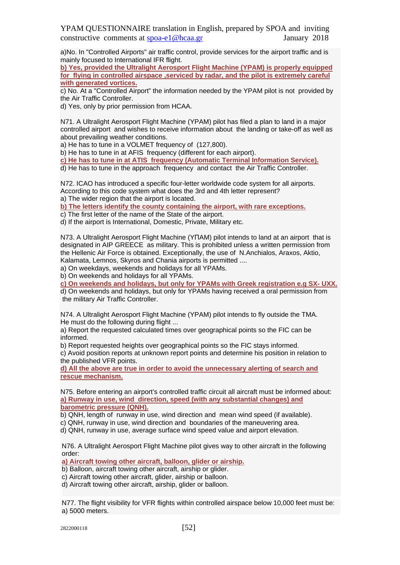a)No. In "Controlled Airports" air traffic control, provide services for the airport traffic and is mainly focused to International IFR flight.

**b) Yes, provided the Ultralight Aerosport Flight Machine (YPAM) is properly equipped for flying in controlled airspace ,serviced by radar, and the pilot is extremely careful with generated vortices.**

c) No. At a "Controlled Airport" the information needed by the YPAM pilot is not provided by the Air Traffic Controller.

d) Yes, only by prior permission from HCAA.

N71. A Ultralight Aerosport Flight Machine (YPAM) pilot has filed a plan to land in a major controlled airport and wishes to receive information about the landing or take-off as well as about prevailing weather conditions.

a) He has to tune in a VOLMET frequency of (127,800).

b) He has to tune in at AFIS frequency (different for each airport).

**c) He has to tune in at ATIS frequency (Automatic Terminal Information Service).**

d) He has to tune in the approach frequency and contact the Air Traffic Controller.

N72. ICAO has introduced a specific four-letter worldwide code system for all airports. According to this code system what does the 3rd and 4th letter represent? a) The wider region that the airport is located.

**b) The letters identify the county containing the airport, with rare exceptions.**

c) The first letter of the name of the State of the airport.

d) If the airport is International, Domestic, Private, Military etc.

N73. A Ultralight Aerosport Flight Machine (YΠAM) pilot intends to land at an airport that is designated in AIP GREECE as military. This is prohibited unless a written permission from the Hellenic Air Force is obtained. Exceptionally, the use of N.Anchialos, Araxos, Aktio, Kalamata, Lemnos, Skyros and Chania airports is permitted ....

a) On weekdays, weekends and holidays for all YPAMs.

b) On weekends and holidays for all YPAMs.

**c) On weekends and holidays, but only for YPAMs with Greek registration e.g SX- UXX.** d) On weekends and holidays, but only for YPAMs having received a oral permission from the military Air Traffic Controller.

N74. A Ultralight Aerosport Flight Machine (YPAM) pilot intends to fly outside the TMA. He must do the following during flight ...

a) Report the requested calculated times over geographical points so the FIC can be informed.

b) Report requested heights over geographical points so the FIC stays informed.

c) Avoid position reports at unknown report points and determine his position in relation to the published VFR points.

**d) All the above are true in order to avoid the unnecessary alerting of search and rescue mechanism.**

N75. Before entering an airport's controlled traffic circuit all aircraft must be informed about: **a) Runway in use, wind direction, speed (with any substantial changes) and barometric pressure (QNH).**

b) QNH, length of runway in use, wind direction and mean wind speed (if available).

c) QNH, runway in use, wind direction and boundaries of the maneuvering area.

d) QNH, runway in use, average surface wind speed value and airport elevation.

N76. A Ultralight Aerosport Flight Machine pilot gives way to other aircraft in the following order:

**a) Aircraft towing other aircraft, balloon, glider or airship.**

b) Balloon, aircraft towing other aircraft, airship or glider.

c) Aircraft towing other aircraft, glider, airship or balloon.

d) Aircraft towing other aircraft, airship, glider or balloon.

N77. The flight visibility for VFR flights within controlled airspace below 10,000 feet must be: a) 5000 meters.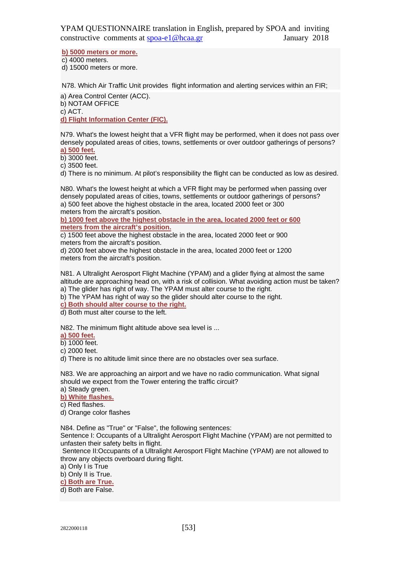**b) 5000 meters or more.**

c) 4000 meters. d) 15000 meters or more.

N78. Which Air Traffic Unit provides flight information and alerting services within an FIR;

a) Area Control Center (ACC).

b) NOTAM OFFICE

c) ACT.

**d) Flight Information Center (FIC).**

N79. What's the lowest height that a VFR flight may be performed, when it does not pass over densely populated areas of cities, towns, settlements or over outdoor gatherings of persons? **a) 500 feet.**

b) 3000 feet.

c) 3500 feet.

d) There is no minimum. At pilot's responsibility the flight can be conducted as low as desired.

N80. What's the lowest height at which a VFR flight may be performed when passing over densely populated areas of cities, towns, settlements or outdoor gatherings of persons? a) 500 feet above the highest obstacle in the area, located 2000 feet or 300 meters from the aircraft's position.

**b) 1000 feet above the highest obstacle in the area, located 2000 feet or 600 meters from the aircraft's position.**

c) 1500 feet above the highest obstacle in the area, located 2000 feet or 900 meters from the aircraft's position.

d) 2000 feet above the highest obstacle in the area, located 2000 feet or 1200 meters from the aircraft's position.

N81. A Ultralight Aerosport Flight Machine (YPAM) and a glider flying at almost the same altitude are approaching head on, with a risk of collision. What avoiding action must be taken? a) The glider has right of way. The YPAM must alter course to the right.

b) The YPAM has right of way so the glider should alter course to the right.

**c) Both should alter course to the right.**

d) Both must alter course to the left.

N82. The minimum flight altitude above sea level is ...

**a) 500 feet.**

b) 1000 feet.

c) 2000 feet.

d) There is no altitude limit since there are no obstacles over sea surface.

N83. We are approaching an airport and we have no radio communication. What signal should we expect from the Tower entering the traffic circuit?

a) Steady green.

**b) White flashes.**

c) Red flashes.

d) Orange color flashes

N84. Define as "True" or "False", the following sentences:

Sentence I: Occupants of a Ultralight Aerosport Flight Machine (YPAM) are not permitted to unfasten their safety belts in flight.

Sentence II:Occupants of a Ultralight Aerosport Flight Machine (YPAM) are not allowed to throw any objects overboard during flight.

a) Only I is True

b) Only II is True.

**c) Both are True.**

d) Both are False.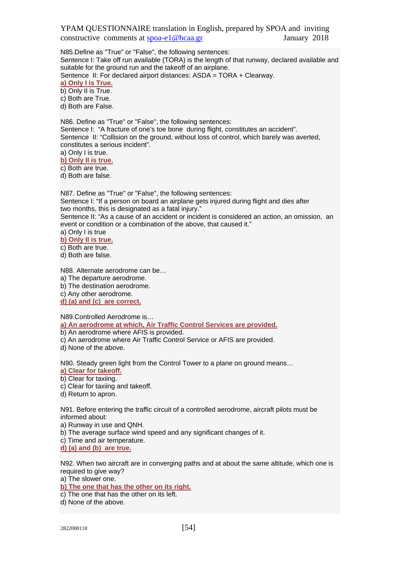N85.Define as "True" or "False", the following sentences:

Sentence I: Take off run available (TORA) is the length of that runway, declared available and suitable for the ground run and the takeoff of an airplane.

Sentence II: For declared airport distances: ASDA = TORA + Clearway.

**a) Only I is True.** b) Only II is True. c) Both are True.

d) Both are False.

N86. Define as "True" or "False", the following sentences: Sentence I: "A fracture of one's toe bone during flight, constitutes an accident". Sentence II: "Collision on the ground, without loss of control, which barely was averted, constitutes a serious incident".

a) Only I is true.

**b) Only II is true.** c) Both are true.

d) Both are false.

N87. Define as "True" or "False", the following sentences: Sentence I: "If a person on board an airplane gets injured during flight and dies after two months, this is designated as a fatal injury." Sentence II: "As a cause of an accident or incident is considered an action, an omission, an event or condition or a combination of the above, that caused it." a) Only I is true

**b) Only II is true.**

c) Both are true.

d) Both are false.

N88. Alternate aerodrome can be…

a) The departure aerodrome.

b) The destination aerodrome.

c) Any other aerodrome.

**d) (a) and (c) are correct.**

N89.Controlled Aerodrome is…

**a) An aerodrome at which, Air Traffic Control Services are provided.**

b) An aerodrome where AFIS is provided.

c) An aerodrome where Air Traffic Control Service or AFIS are provided.

d) None of the above.

N90. Steady green light from the Control Tower to a plane on ground means… **a) Clear for takeoff.**

b) Clear for taxiing.

c) Clear for taxiing and takeoff.

d) Return to apron.

N91. Before entering the traffic circuit of a controlled aerodrome, aircraft pilots must be informed about:

a) Runway in use and QNH.

b) The average surface wind speed and any significant changes of it.

c) Time and air temperature.

**d) (a) and (b) are true.**

N92. When two aircraft are in converging paths and at about the same altitude, which one is required to give way?

a) The slower one.

**b) The one that has the other on its right.**

c) The one that has the other on its left.

d) None of the above.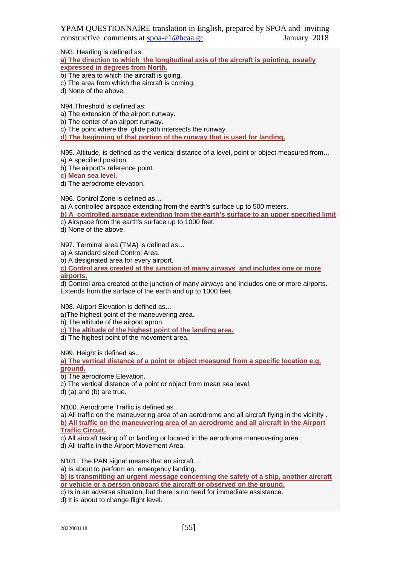N93. Heading is defined as:

**a) The direction to which the longitudinal axis of the aircraft is pointing, usually expressed in degrees from North.**

b) The area to which the aircraft is going.

- c) The area from which the aircraft is coming.
- d) None of the above.

N94.Threshold is defined as:

a) The extension of the airport runway.

b) The center of an airport runway.

c) The point where the glide path intersects the runway.

**d) The beginning of that portion of the runway that is used for landing.**

N95. Altitude, is defined as the vertical distance of a level, point or object measured from… a) A specified position.

b) The airport's reference point.

**c) Mean sea level.**

d) The aerodrome elevation.

N96. Control Zone is defined as…

a) A controlled airspace extending from the earth's surface up to 500 meters.

**b) A controlled airspace extending from the earth's surface to an upper specified limit**  c) Airspace from the earth's surface up to 1000 feet.

d) None of the above.

N97. Terminal area (TMA) is defined as…

a) A standard sized Control Area.

b) A designated area for every airport.

**c) Control area created at the junction of many airways and includes one or more airports.**

d) Control area created at the junction of many airways and includes one or more airports. Extends from the surface of the earth and up to 1000 feet.

N98. Airport Elevation is defined as…

a)The highest point of the maneuvering area.

b) The altitude of the airport apron.

**c) The altitude of the highest point of the landing area.**

d) The highest point of the movement area.

N99. Height is defined as…

**a) The vertical distance of a point or object measured from a specific location e.g. ground.**

b) The aerodrome Elevation.

c) The vertical distance of a point or object from mean sea level.

d) (a) and (b) are true.

N100. Aerodrome Traffic is defined as…

a) All traffic on the maneuvering area of an aerodrome and all aircraft flying in the vicinity . **b) All traffic on the maneuvering area of an aerodrome and all aircraft in the Airport Traffic Circuit.**

c) All aircraft taking off or landing or located in the aerodrome maneuvering area. d) All traffic in the Airport Movement Area.

N101. The PAN signal means that an aircraft…

a) Is about to perform an emergency landing.

**b) Is transmitting an urgent message concerning the safety of a ship, another aircraft or vehicle or a person onboard the aircraft or observed on the ground.**

c) Is in an adverse situation, but there is no need for immediate assistance.

d) It is about to change flight level.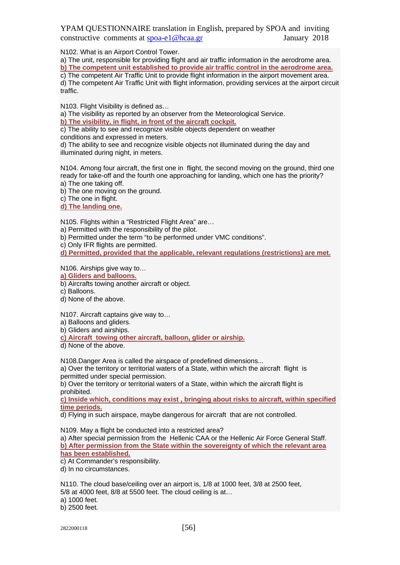N102. What is an Airport Control Tower.

a) The unit, responsible for providing flight and air traffic information in the aerodrome area. **b) The competent unit established to provide air traffic control in the aerodrome area.**

c) The competent Air Traffic Unit to provide flight information in the airport movement area. d) The competent Air Traffic Unit with flight information, providing services at the airport circuit traffic.

N103. Flight Visibility is defined as…

a) The visibility as reported by an observer from the Meteorological Service.

**b) The visibility, in flight, in front of the aircraft cockpit.**

c) The ability to see and recognize visible objects dependent on weather

conditions and expressed in meters.

d) The ability to see and recognize visible objects not illuminated during the day and illuminated during night, in meters.

N104. Among four aircraft, the first one in flight, the second moving on the ground, third one ready for take-off and the fourth one approaching for landing, which one has the priority? a) The one taking off.

b) The one moving on the ground.

c) The one in flight.

**d) The landing one.**

N105. Flights within a "Restricted Flight Area" are…

a) Permitted with the responsibility of the pilot.

b) Permitted under the term "to be performed under VMC conditions".

c) Only IFR flights are permitted.

**d) Permitted, provided that the applicable, relevant regulations (restrictions) are met.**

N106. Airships give way to…

**a) Gliders and balloons.**

b) Aircrafts towing another aircraft or object.

c) Balloons.

d) None of the above.

N107. Aircraft captains give way to…

a) Balloons and gliders.

b) Gliders and airships.

**c) Aircraft towing other aircraft, balloon, glider or airship.**

d) None of the above.

N108.Danger Area is called the airspace of predefined dimensions...

a) Over the territory or territorial waters of a State, within which the aircraft flight is permitted under special permission.

b) Over the territory or territorial waters of a State, within which the aircraft flight is prohibited.

**c) Inside which, conditions may exist , bringing about risks to aircraft, within specified time periods.**

d) Flying in such airspace, maybe dangerous for aircraft that are not controlled.

N109. May a flight be conducted into a restricted area?

a) After special permission from the Hellenic CAA or the Hellenic Air Force General Staff. **b) After permission from the State within the sovereignty of which the relevant area has been established.**

c) At Commander's responsibility.

d) In no circumstances.

N110. The cloud base/ceiling over an airport is, 1/8 at 1000 feet, 3/8 at 2500 feet,

5/8 at 4000 feet, 8/8 at 5500 feet. The cloud ceiling is at…

a) 1000 feet.

b) 2500 feet.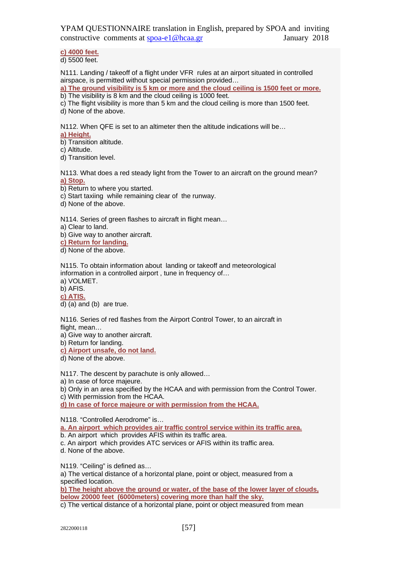**c) 4000 feet.**

d) 5500 feet.

N111. Landing / takeoff of a flight under VFR rules at an airport situated in controlled airspace, is permitted without special permission provided…

**a) The ground visibility is 5 km or more and the cloud ceiling is 1500 feet or more.**

b) The visibility is 8 km and the cloud ceiling is 1000 feet.

c) The flight visibility is more than 5 km and the cloud ceiling is more than 1500 feet.

d) None of the above.

N112. When QFE is set to an altimeter then the altitude indications will be…

**a) Height.**

b) Transition altitude.

c) Altitude.

d) Transition level.

N113. What does a red steady light from the Tower to an aircraft on the ground mean? **a) Stop.**

b) Return to where you started.

c) Start taxiing while remaining clear of the runway.

d) None of the above.

N114. Series of green flashes to aircraft in flight mean...

a) Clear to land.

b) Give way to another aircraft.

**c) Return for landing.**

d) None of the above.

N115. To obtain information about landing or takeoff and meteorological information in a controlled airport , tune in frequency of… a) VOLMET.

b) AFIS.

**c) ATIS.**

 $\overline{d}$ ) (a) and (b) are true.

N116. Series of red flashes from the Airport Control Tower, to an aircraft in flight, mean…

a) Give way to another aircraft.

b) Return for landing.

**c) Airport unsafe, do not land.**

d) None of the above.

N117. The descent by parachute is only allowed…

a) In case of force majeure.

b) Only in an area specified by the HCAA and with permission from the Control Tower. c) With permission from the HCAA.

**d) In case of force majeure or with permission from the HCAA.**

N118. "Controlled Aerodrome" is…

**a. An airport which provides air traffic control service within its traffic area.**

b. An airport which provides AFIS within its traffic area.

c. An airport which provides ATC services or AFIS within its traffic area.

d. None of the above.

N119. "Ceiling" is defined as…

a) The vertical distance of a horizontal plane, point or object, measured from a specified location.

**b) The height above the ground or water, of the base of the lower layer of clouds, below 20000 feet (6000meters) covering more than half the sky.**

c) The vertical distance of a horizontal plane, point or object measured from mean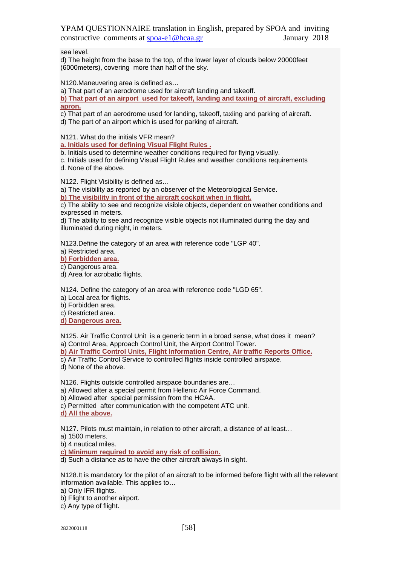sea level.

d) The height from the base to the top, of the lower layer of clouds below 20000feet (6000meters), covering more than half of the sky.

N120.Maneuvering area is defined as…

a) That part of an aerodrome used for aircraft landing and takeoff.

**b) That part of an airport used for takeoff, landing and taxiing of aircraft, excluding apron.**

c) That part of an aerodrome used for landing, takeoff, taxiing and parking of aircraft.

d) The part of an airport which is used for parking of aircraft.

N121. What do the initials VFR mean?

**a. Initials used for defining Visual Flight Rules .**

b. Initials used to determine weather conditions required for flying visually.

c. Initials used for defining Visual Flight Rules and weather conditions requirements d. None of the above.

N122. Flight Visibility is defined as…

a) The visibility as reported by an observer of the Meteorological Service.

**b) The visibility in front of the aircraft cockpit when in flight.**

c) The ability to see and recognize visible objects, dependent on weather conditions and expressed in meters.

d) The ability to see and recognize visible objects not illuminated during the day and illuminated during night, in meters.

N123.Define the category of an area with reference code "LGP 40".

a) Restricted area.

**b) Forbidden area.**

c) Dangerous area.

d) Area for acrobatic flights.

N124. Define the category of an area with reference code "LGD 65".

a) Local area for flights.

b) Forbidden area.

c) Restricted area.

**d) Dangerous area.**

N125. Air Traffic Control Unit is a generic term in a broad sense, what does it mean? a) Control Area, Approach Control Unit, the Airport Control Tower.

**b) Air Traffic Control Units, Flight Information Centre, Air traffic Reports Office.**

c) Air Traffic Control Service to controlled flights inside controlled airspace.

d) None of the above.

N126. Flights outside controlled airspace boundaries are…

a) Allowed after a special permit from Hellenic Air Force Command.

b) Allowed after special permission from the HCAA.

c) Permitted after communication with the competent ATC unit.

**d) All the above.**

N127. Pilots must maintain, in relation to other aircraft, a distance of at least…

a) 1500 meters.

b) 4 nautical miles.

**c) Minimum required to avoid any risk of collision.**

d) Such a distance as to have the other aircraft always in sight.

N128.It is mandatory for the pilot of an aircraft to be informed before flight with all the relevant information available. This applies to…

a) Only IFR flights.

b) Flight to another airport.

c) Any type of flight.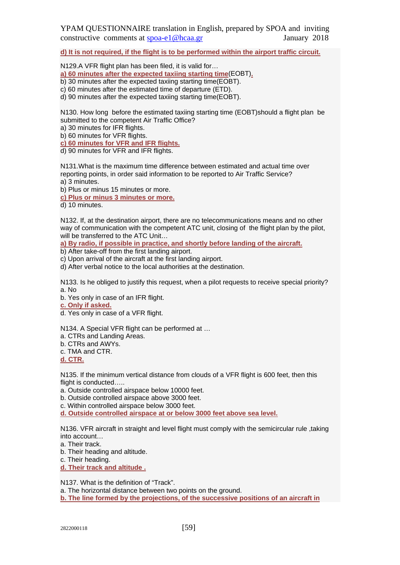**d) It is not required, if the flight is to be performed within the airport traffic circuit.**

N129.A VFR flight plan has been filed, it is valid for…

**a) 60 minutes after the expected taxiing starting time**(EOBT)**.**

- b) 30 minutes after the expected taxiing starting time(EOBT).
- c) 60 minutes after the estimated time of departure (ETD).

d) 90 minutes after the expected taxiing starting time(EOBT).

N130. How long before the estimated taxiing starting time (EOBT)should a flight plan be submitted to the competent Air Traffic Office?

a) 30 minutes for IFR flights.

b) 60 minutes for VFR flights.

**c) 60 minutes for VFR and IFR flights.**

d) 90 minutes for VFR and IFR flights.

N131.What is the maximum time difference between estimated and actual time over reporting points, in order said information to be reported to Air Traffic Service? a) 3 minutes.

b) Plus or minus 15 minutes or more.

**c) Plus or minus 3 minutes or more.**

d) 10 minutes.

N132. If, at the destination airport, there are no telecommunications means and no other way of communication with the competent ATC unit, closing of the flight plan by the pilot, will be transferred to the ATC Unit...

**a) By radio, if possible in practice, and shortly before landing of the aircraft.**

b) After take-off from the first landing airport.

c) Upon arrival of the aircraft at the first landing airport.

d) After verbal notice to the local authorities at the destination.

N133. Is he obliged to justify this request, when a pilot requests to receive special priority? a. No

b. Yes only in case of an IFR flight.

**c. Only if asked.**

d. Yes only in case of a VFR flight.

N134. A Special VFR flight can be performed at …

a. CTRs and Landing Areas.

b. CTRs and AWYs.

c. TMA and CTR.

**d. CTR.**

N135. If the minimum vertical distance from clouds of a VFR flight is 600 feet, then this flight is conducted…..

a. Outside controlled airspace below 10000 feet.

b. Outside controlled airspace above 3000 feet.

c. Within controlled airspace below 3000 feet.

**d. Outside controlled airspace at or below 3000 feet above sea level.**

N136. VFR aircraft in straight and level flight must comply with the semicircular rule ,taking into account…

a. Their track.

b. Their heading and altitude.

c. Their heading.

**d. Their track and altitude .**

N137. What is the definition of "Track".

a. The horizontal distance between two points on the ground.

**b. The line formed by the projections, of the successive positions of an aircraft in**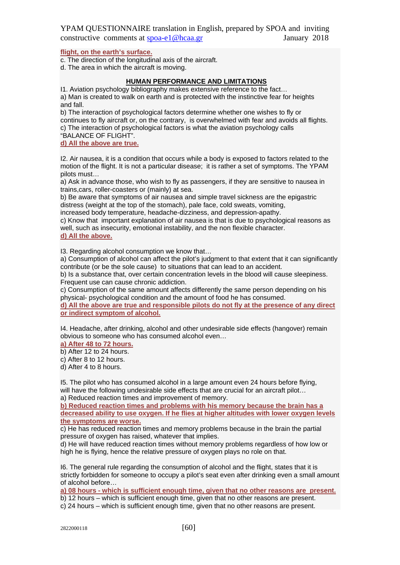### **flight, on the earth's surface.**

c. The direction of the longitudinal axis of the aircraft.

d. The area in which the aircraft is moving.

## **HUMAN PERFORMANCE AND LIMITATIONS**

I1. Αviation psychology bibliography makes extensive reference to the fact… a) Man is created to walk on earth and is protected with the instinctive fear for heights and fall.

b) The interaction of psychological factors determine whether one wishes to fly or continues to fly aircraft or, on the contrary, is overwhelmed with fear and avoids all flights. c) The interaction of psychological factors is what the aviation psychology calls

"BALANCE OF FLIGHT".

**d) All the above are true.**

I2. Air nausea, it is a condition that occurs while a body is exposed to factors related to the motion of the flight. It is not a particular disease; it is rather a set of symptoms. The YPAM pilots must…

a) Ask in advance those, who wish to fly as passengers, if they are sensitive to nausea in trains,cars, roller-coasters or (mainly) at sea.

b) Be aware that symptoms of air nausea and simple travel sickness are the epigastric distress (weight at the top of the stomach), pale face, cold sweats, vomiting,

increased body temperature, headache-dizziness, and depression-apathy.

c) Know that important explanation of air nausea is that is due to psychological reasons as well, such as insecurity, emotional instability, and the non flexible character. **d) All the above.**

I3. Regarding alcohol consumption we know that…

a) Consumption of alcohol can affect the pilot's judgment to that extent that it can significantly contribute (or be the sole cause) to situations that can lead to an accident.

b) Is a substance that, over certain concentration levels in the blood will cause sleepiness. Frequent use can cause chronic addiction.

c) Consumption of the same amount affects differently the same person depending on his physical- psychological condition and the amount of food he has consumed.

**d) All the above are true and responsible pilots do not fly at the presence of any direct or indirect symptom of alcohol.**

I4. Headache, after drinking, alcohol and other undesirable side effects (hangover) remain obvious to someone who has consumed alcohol even…

**a) After 48 to 72 hours.**

b) After 12 to 24 hours.

c) After 8 to 12 hours.

d) After 4 to 8 hours.

I5. The pilot who has consumed alcohol in a large amount even 24 hours before flying, will have the following undesirable side effects that are crucial for an aircraft pilot... a) Reduced reaction times and improvement of memory.

**b) Reduced reaction times and problems with his memory because the brain has a decreased ability to use oxygen. If he flies at higher altitudes with lower oxygen levels the symptoms are worse.**

c) He has reduced reaction times and memory problems because in the brain the partial pressure of oxygen has raised, whatever that implies.

d) He will have reduced reaction times without memory problems regardless of how low or high he is flying, hence the relative pressure of oxygen plays no role on that.

I6. The general rule regarding the consumption of alcohol and the flight, states that it is strictly forbidden for someone to occupy a pilot's seat even after drinking even a small amount of alcohol before…

**a) 08 hours - which is sufficient enough time, given that no other reasons are present.**

b) 12 hours – which is sufficient enough time, given that no other reasons are present.

c) 24 hours – which is sufficient enough time, given that no other reasons are present.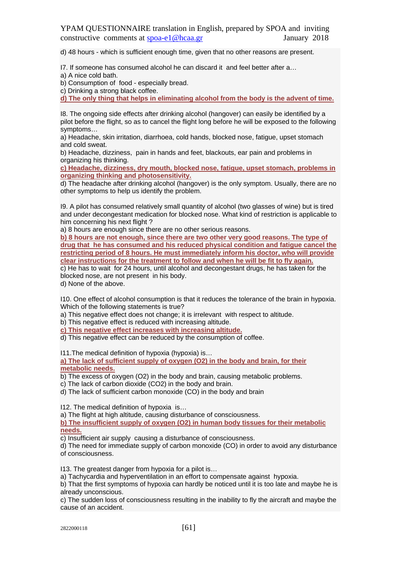d) 48 hours - which is sufficient enough time, given that no other reasons are present.

I7. If someone has consumed alcohol he can discard it and feel better after a…

a) A nice cold bath.

b) Consumption of food - especially bread.

c) Drinking a strong black coffee.

**d) The only thing that helps in eliminating alcohol from the body is the advent of time.**

I8. The ongoing side effects after drinking alcohol (hangover) can easily be identified by a pilot before the flight, so as to cancel the flight long before he will be exposed to the following symptoms…

a) Headache, skin irritation, diarrhoea, cold hands, blocked nose, fatigue, upset stomach and cold sweat.

b) Headache, dizziness, pain in hands and feet, blackouts, ear pain and problems in organizing his thinking.

**c) Headache, dizziness, dry mouth, blocked nose, fatigue, upset stomach, problems in organizing thinking and photosensitivity.**

d) The headache after drinking alcohol (hangover) is the only symptom. Usually, there are no other symptoms to help us identify the problem.

I9. A pilot has consumed relatively small quantity of alcohol (two glasses of wine) but is tired and under decongestant medication for blocked nose. What kind of restriction is applicable to him concerning his next flight ?

a) 8 hours are enough since there are no other serious reasons.

**b) 8 hours are not enough, since there are two other very good reasons. The type of drug that he has consumed and his reduced physical condition and fatigue cancel the restricting period of 8 hours. He must immediately inform his doctor, who will provide clear instructions for the treatment to follow and when he will be fit to fly again.**

c) He has to wait for 24 hours, until alcohol and decongestant drugs, he has taken for the blocked nose, are not present in his body.

d) None of the above.

I10. One effect of alcohol consumption is that it reduces the tolerance of the brain in hypoxia. Which of the following statements is true?

a) This negative effect does not change; it is irrelevant with respect to altitude.

b) This negative effect is reduced with increasing altitude.

**c) This negative effect increases with increasing altitude.**

d) This negative effect can be reduced by the consumption of coffee.

I11.The medical definition of hypoxia (hypoxia) is…

**a) The lack of sufficient supply of oxygen (O2) in the body and brain, for their metabolic needs.**

b) The excess of oxygen (O2) in the body and brain, causing metabolic problems.

c) The lack of carbon dioxide (CO2) in the body and brain.

d) The lack of sufficient carbon monoxide (CO) in the body and brain

I12. The medical definition of hypoxia is…

a) The flight at high altitude, causing disturbance of consciousness.

**b) The insufficient supply of oxygen (O2) in human body tissues for their metabolic needs.**

c) Insufficient air supply causing a disturbance of consciousness.

d) The need for immediate supply of carbon monoxide (CO) in order to avoid any disturbance of consciousness.

I13. The greatest danger from hypoxia for a pilot is…

a) Tachycardia and hyperventilation in an effort to compensate against hypoxia.

b) That the first symptoms of hypoxia can hardly be noticed until it is too late and maybe he is already unconscious.

c) The sudden loss of consciousness resulting in the inability to fly the aircraft and maybe the cause of an accident.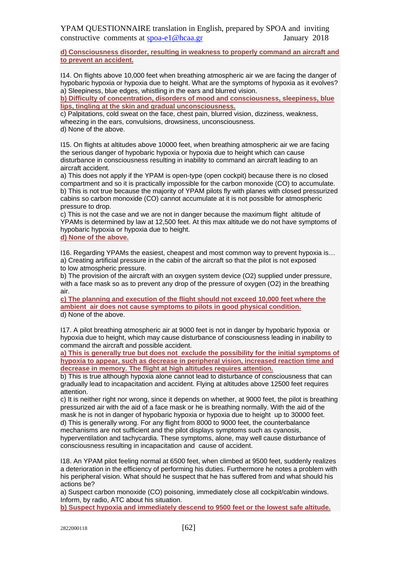**d) Consciousness disorder, resulting in weakness to properly command an aircraft and to prevent an accident.**

I14. On flights above 10,000 feet when breathing atmospheric air we are facing the danger of hypobaric hypoxia or hypoxia due to height. What are the symptoms of hypoxia as it evolves? a) Sleepiness, blue edges, whistling in the ears and blurred vision.

**b) Difficulty of concentration, disorders of mood and consciousness, sleepiness, blue lips, tingling at the skin and gradual unconsciousness.**

c) Palpitations, cold sweat on the face, chest pain, blurred vision, dizziness, weakness, wheezing in the ears, convulsions, drowsiness, unconsciousness, d) None of the above.

I15. On flights at altitudes above 10000 feet, when breathing atmospheric air we are facing the serious danger of hypobaric hypoxia or hypoxia due to height which can cause disturbance in consciousness resulting in inability to command an aircraft leading to an aircraft accident.

a) This does not apply if the YPAM is open-type (open cockpit) because there is no closed compartment and so it is practically impossible for the carbon monoxide (CO) to accumulate. b) This is not true because the majority of YPAM pilots fly with planes with closed pressurized cabins so carbon monoxide (CO) cannot accumulate at it is not possible for atmospheric pressure to drop.

c) This is not the case and we are not in danger because the maximum flight altitude of YPAMs is determined by law at 12,500 feet. At this max altitude we do not have symptoms of hypobaric hypoxia or hypoxia due to height.

**d) None of the above.**

I16. Regarding YPAMs the easiest, cheapest and most common way to prevent hypoxia is… a) Creating artificial pressure in the cabin of the aircraft so that the pilot is not exposed to low atmospheric pressure.

b) The provision of the aircraft with an oxygen system device (O2) supplied under pressure, with a face mask so as to prevent any drop of the pressure of oxygen (O2) in the breathing air.

**c) The planning and execution of the flight should not exceed 10,000 feet where the ambient air does not cause symptoms to pilots in good physical condition.** d) None of the above.

I17. A pilot breathing atmospheric air at 9000 feet is not in danger by hypobaric hypoxia or hypoxia due to height, which may cause disturbance of consciousness leading in inability to command the aircraft and possible accident.

**a) This is generally true but does not exclude the possibility for the initial symptoms of hypoxia to appear, such as decrease in peripheral vision, increased reaction time and decrease in memory. The flight at high altitudes requires attention.**

b) This is true although hypoxia alone cannot lead to disturbance of consciousness that can gradually lead to incapacitation and accident. Flying at altitudes above 12500 feet requires attention.

c) It is neither right nor wrong, since it depends on whether, at 9000 feet, the pilot is breathing pressurized air with the aid of a face mask or he is breathing normally. With the aid of the mask he is not in danger of hypobaric hypoxia or hypoxia due to height up to 30000 feet. d) This is generally wrong. For any flight from 8000 to 9000 feet, the counterbalance mechanisms are not sufficient and the pilot displays symptoms such as cyanosis, hyperventilation and tachycardia. These symptoms, alone, may well cause disturbance of consciousness resulting in incapacitation and cause of accident.

I18. An YPAM pilot feeling normal at 6500 feet, when climbed at 9500 feet, suddenly realizes a deterioration in the efficiency of performing his duties. Furthermore he notes a problem with his peripheral vision. What should he suspect that he has suffered from and what should his actions be?

a) Suspect carbon monoxide (CO) poisoning, immediately close all cockpit/cabin windows. Inform, by radio, ATC about his situation.

**b) Suspect hypoxia and immediately descend to 9500 feet or the lowest safe altitude.**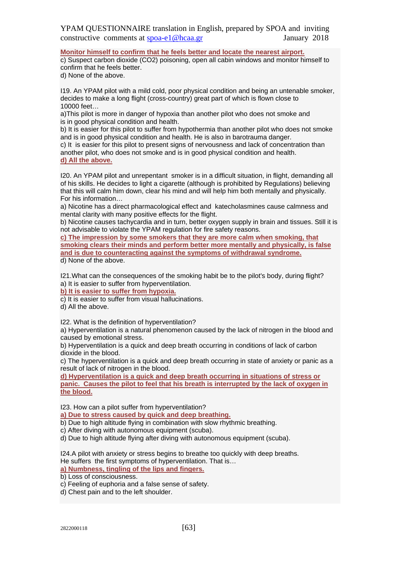**Monitor himself to confirm that he feels better and locate the nearest airport.**

c) Suspect carbon dioxide (CO2) poisoning, open all cabin windows and monitor himself to confirm that he feels better.

d) None of the above.

I19. An YPAM pilot with a mild cold, poor physical condition and being an untenable smoker, decides to make a long flight (cross-country) great part of which is flown close to 10000 feet…

a)This pilot is more in danger of hypoxia than another pilot who does not smoke and is in good physical condition and health.

b) It is easier for this pilot to suffer from hypothermia than another pilot who does not smoke and is in good physical condition and health. He is also in barotrauma danger.

c) It is easier for this pilot to present signs of nervousness and lack of concentration than another pilot, who does not smoke and is in good physical condition and health. **d) All the above.**

I20. An YPAM pilot and unrepentant smoker is in a difficult situation, in flight, demanding all of his skills. He decides to light a cigarette (although is prohibited by Regulations) believing that this will calm him down, clear his mind and will help him both mentally and physically. For his information…

a) Nicotine has a direct pharmacological effect and katecholasmines cause calmness and mental clarity with many positive effects for the flight.

b) Nicotine causes tachycardia and in turn, better oxygen supply in brain and tissues. Still it is not advisable to violate the YPAM regulation for fire safety reasons.

**c) The impression by some smokers that they are more calm when smoking, that smoking clears their minds and perform better more mentally and physically, is false and is due to counteracting against the symptoms of withdrawal syndrome.** d) None of the above.

I21.What can the consequences of the smoking habit be to the pilot's body, during flight? a) It is easier to suffer from hyperventilation.

**b) It is easier to suffer from hypoxia.**

c) It is easier to suffer from visual hallucinations.

d) All the above.

I22. What is the definition of hyperventilation?

a) Hyperventilation is a natural phenomenon caused by the lack of nitrogen in the blood and caused by emotional stress.

b) Hyperventilation is a quick and deep breath occurring in conditions of lack of carbon dioxide in the blood.

c) The hyperventilation is a quick and deep breath occurring in state of anxiety or panic as a result of lack of nitrogen in the blood.

**d) Hyperventilation is a quick and deep breath occurring in situations of stress or panic. Causes the pilot to feel that his breath is interrupted by the lack of oxygen in the blood.**

I23. How can a pilot suffer from hyperventilation?

**a) Due to stress caused by quick and deep breathing.**

b) Due to high altitude flying in combination with slow rhythmic breathing.

c) After diving with autonomous equipment (scuba).

d) Due to high altitude flying after diving with autonomous equipment (scuba).

I24.A pilot with anxiety or stress begins to breathe too quickly with deep breaths. He suffers the first symptoms of hyperventilation. That is…

## **a) Numbness, tingling of the lips and fingers.**

b) Loss of consciousness.

c) Feeling of euphoria and a false sense of safety.

d) Chest pain and to the left shoulder.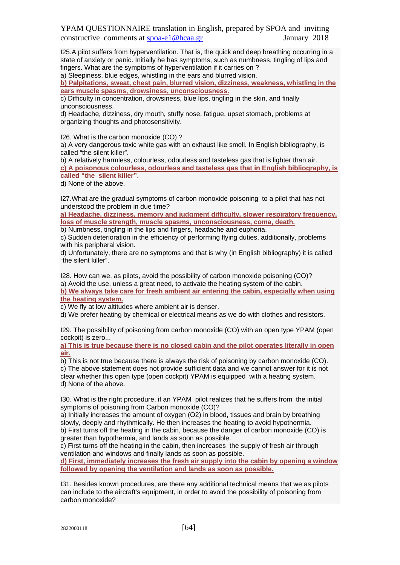I25.A pilot suffers from hyperventilation. That is, the quick and deep breathing occurring in a state of anxiety or panic. Initially he has symptoms, such as numbness, tingling of lips and fingers. What are the symptoms of hyperventilation if it carries on ?

a) Sleepiness, blue edges, whistling in the ears and blurred vision.

**b) Palpitations, sweat, chest pain, blurred vision, dizziness, weakness, whistling in the ears muscle spasms, drowsiness, unconsciousness.**

c) Difficulty in concentration, drowsiness, blue lips, tingling in the skin, and finally unconsciousness.

d) Headache, dizziness, dry mouth, stuffy nose, fatigue, upset stomach, problems at organizing thoughts and photosensitivity.

I26. What is the carbon monoxide (CO) ?

a) A very dangerous toxic white gas with an exhaust like smell. In English bibliography, is called "the silent killer".

b) A relatively harmless, colourless, odourless and tasteless gas that is lighter than air. **c) A poisonous colourless, odourless and tasteless gas that in English bibliography, is called "the silent killer".**

d) None of the above.

I27.What are the gradual symptoms of carbon monoxide poisoning to a pilot that has not understood the problem in due time?

**a) Headache, dizziness, memory and judgment difficulty, slower respiratory frequency, loss of muscle strength, muscle spasms, unconsciousness, coma, death.**

b) Numbness, tingling in the lips and fingers, headache and euphoria.

c) Sudden deterioration in the efficiency of performing flying duties, additionally, problems with his peripheral vision.

d) Unfortunately, there are no symptoms and that is why (in English bibliography) it is called "the silent killer".

I28. How can we, as pilots, avoid the possibility of carbon monoxide poisoning (CO)? a) Avoid the use, unless a great need, to activate the heating system of the cabin.

**b) We always take care for fresh ambient air entering the cabin, especially when using the heating system.**

c) We fly at low altitudes where ambient air is denser.

d) We prefer heating by chemical or electrical means as we do with clothes and resistors.

I29. The possibility of poisoning from carbon monoxide (CO) with an open type YPAM (open cockpit) is zero...

**a) This is true because there is no closed cabin and the pilot operates literally in open air.**

b) This is not true because there is always the risk of poisoning by carbon monoxide (CO). c) The above statement does not provide sufficient data and we cannot answer for it is not clear whether this open type (open cockpit) YPAM is equipped with a heating system. d) None of the above.

I30. What is the right procedure, if an YPAM pilot realizes that he suffers from the initial symptoms of poisoning from Carbon monoxide (CO)?

a) Initially increases the amount of oxygen (O2) in blood, tissues and brain by breathing slowly, deeply and rhythmically. He then increases the heating to avoid hypothermia. b) First turns off the heating in the cabin, because the danger of carbon monoxide (CO) is greater than hypothermia, and lands as soon as possible.

c) First turns off the heating in the cabin, then increases the supply of fresh air through ventilation and windows and finally lands as soon as possible.

**d) First, immediately increases the fresh air supply into the cabin by opening a window followed by opening the ventilation and lands as soon as possible.**

I31. Besides known procedures, are there any additional technical means that we as pilots can include to the aircraft's equipment, in order to avoid the possibility of poisoning from carbon monoxide?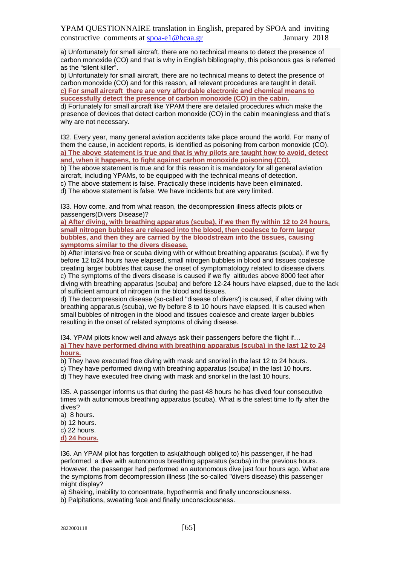a) Unfortunately for small aircraft, there are no technical means to detect the presence of carbon monoxide (CO) and that is why in English bibliography, this poisonous gas is referred as the "silent killer".

b) Unfortunately for small aircraft, there are no technical means to detect the presence of carbon monoxide (CO) and for this reason, all relevant procedures are taught in detail. **c) For small aircraft there are very affordable electronic and chemical means to successfully detect the presence of carbon monoxide (CO) in the cabin.**

d) Fortunately for small aircraft like YPAM there are detailed procedures which make the presence of devices that detect carbon monoxide (CO) in the cabin meaningless and that's why are not necessary.

I32. Every year, many general aviation accidents take place around the world. For many of them the cause, in accident reports, is identified as poisoning from carbon monoxide (CO). **a) The above statement is true and that is why pilots are taught how to avoid, detect and, when it happens, to fight against carbon monoxide poisoning (CO).**

b) The above statement is true and for this reason it is mandatory for all general aviation aircraft, including YPAMs, to be equipped with the technical means of detection. c) The above statement is false. Practically these incidents have been eliminated.

d) The above statement is false. We have incidents but are very limited.

I33. How come, and from what reason, the decompression illness affects pilots or passengers(Divers Disease)?

**a) After diving, with breathing apparatus (scuba), if we then fly within 12 to 24 hours, small nitrogen bubbles are released into the blood, then coalesce to form larger bubbles, and then they are carried by the bloodstream into the tissues, causing symptoms similar to the divers disease.**

b) After intensive free or scuba diving with or without breathing apparatus (scuba), if we fly before 12 to24 hours have elapsed, small nitrogen bubbles in blood and tissues coalesce creating larger bubbles that cause the onset of symptomatology related to disease divers. c) The symptoms of the divers disease is caused if we fly altitudes above 8000 feet after diving with breathing apparatus (scuba) and before 12-24 hours have elapsed, due to the lack of sufficient amount of nitrogen in the blood and tissues.

d) The decompression disease (so-called "disease of divers') is caused, if after diving with breathing apparatus (scuba), we fly before 8 to 10 hours have elapsed. It is caused when small bubbles of nitrogen in the blood and tissues coalesce and create larger bubbles resulting in the onset of related symptoms of diving disease.

I34. YPAM pilots know well and always ask their passengers before the flight if… **a) They have performed diving with breathing apparatus (scuba) in the last 12 to 24 hours.**

b) They have executed free diving with mask and snorkel in the last 12 to 24 hours.

c) They have performed diving with breathing apparatus (scuba) in the last 10 hours.

d) They have executed free diving with mask and snorkel in the last 10 hours.

I35. A passenger informs us that during the past 48 hours he has dived four consecutive times with autonomous breathing apparatus (scuba). What is the safest time to fly after the dives?

a) 8 hours. b) 12 hours. c) 22 hours. **d) 24 hours.**

I36. An YPAM pilot has forgotten to ask(although obliged to) his passenger, if he had performed a dive with autonomous breathing apparatus (scuba) in the previous hours. However, the passenger had performed an autonomous dive just four hours ago. What are the symptoms from decompression illness (the so-called "divers disease) this passenger might display?

a) Shaking, inability to concentrate, hypothermia and finally unconsciousness.

b) Palpitations, sweating face and finally unconsciousness.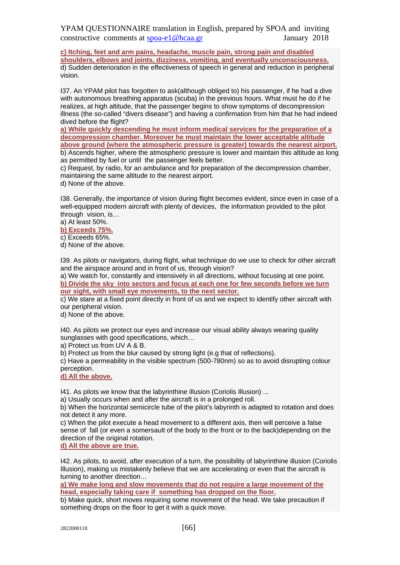**c) Itching, feet and arm pains, headache, muscle pain, strong pain and disabled shoulders, elbows and joints, dizziness, vomiting, and eventually unconsciousness.** d) Sudden deterioration in the effectiveness of speech in general and reduction in peripheral vision.

I37. An YPAM pilot has forgotten to ask(although obliged to) his passenger, if he had a dive with autonomous breathing apparatus (scuba) in the previous hours. What must he do if he realizes, at high altitude, that the passenger begins to show symptoms of decompression illness (the so-called "divers disease") and having a confirmation from him that he had indeed dived before the flight?

**a) While quickly descending he must inform medical services for the preparation of a decompression chamber. Moreover he must maintain the lower acceptable altitude above ground (where the atmospheric pressure is greater) towards the nearest airport.**

b) Ascends higher, where the atmospheric pressure is lower and maintain this altitude as long as permitted by fuel or until the passenger feels better.

c) Request, by radio, for an ambulance and for preparation of the decompression chamber, maintaining the same altitude to the nearest airport.

d) None of the above.

I38. Generally, the importance of vision during flight becomes evident, since even in case of a well-equipped modern aircraft with plenty of devices, the information provided to the pilot through vision, is…

a) At least 50%.

**b) Exceeds 75%.**

c) Exceeds 65%.

d) None of the above.

I39. As pilots or navigators, during flight, what technique do we use to check for other aircraft and the airspace around and in front of us, through vision?

a) We watch for, constantly and intensively in all directions, without focusing at one point. **b) Divide the sky into sectors and focus at each one for few seconds before we turn our sight, with small eye movements, to the next sector.**

c) We stare at a fixed point directly in front of us and we expect to identify other aircraft with our peripheral vision.

d) None of the above.

I40. As pilots we protect our eyes and increase our visual ability always wearing quality sunglasses with good specifications, which…

a) Protect us from UV A & B.

b) Protect us from the blur caused by strong light (e.g that of reflections).

c) Have a permeability in the visible spectrum (500-780nm) so as to avoid disrupting colour perception.

**d) All the above.**

I41. As pilots we know that the labyrinthine illusion (Coriolis Illusion) ...

a) Usually occurs when and after the aircraft is in a prolonged roll.

b) When the horizontal semicircle tube of the pilot's labyrinth is adapted to rotation and does not detect it any more.

c) When the pilot execute a head movement to a different axis, then will perceive a false sense of fall (or even a somersault of the body to the front or to the back)depending on the direction of the original rotation.

**d) All the above are true.**

I42. As pilots, to avoid, after execution of a turn, the possibility of labyrinthine illusion (Coriolis Illusion), making us mistakenly believe that we are accelerating or even that the aircraft is turning to another direction…

**a) We make long and slow movements that do not require a large movement of the head, especially taking care if something has dropped on the floor.**

b) Make quick, short moves requiring some movement of the head. We take precaution if something drops on the floor to get it with a quick move.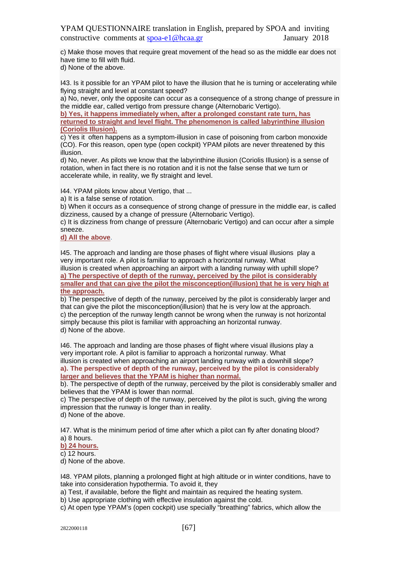c) Make those moves that require great movement of the head so as the middle ear does not have time to fill with fluid.

d) None of the above.

I43. Is it possible for an YPAM pilot to have the illusion that he is turning or accelerating while flying straight and level at constant speed?

a) No, never, only the opposite can occur as a consequence of a strong change of pressure in the middle ear, called vertigo from pressure change (Alternobaric Vertigo).

**b) Yes, it happens immediately when, after a prolonged constant rate turn, has returned to straight and level flight. The phenomenon is called labyrinthine illusion (Coriolis Illusion).**

c) Yes it often happens as a symptom-illusion in case of poisoning from carbon monoxide (CO). For this reason, open type (open cockpit) YPAM pilots are never threatened by this illusion.

d) No, never. As pilots we know that the labyrinthine illusion (Coriolis Illusion) is a sense of rotation, when in fact there is no rotation and it is not the false sense that we turn or accelerate while, in reality, we fly straight and level.

I44. YPAM pilots know about Vertigo, that ...

a) It is a false sense of rotation.

b) When it occurs as a consequence of strong change of pressure in the middle ear, is called dizziness, caused by a change of pressure (Alternobaric Vertigo).

c) It is dizziness from change of pressure (Alternobaric Vertigo) and can occur after a simple sneeze.

**d) All the above**.

I45. The approach and landing are those phases of flight where visual illusions play a very important role. A pilot is familiar to approach a horizontal runway. What illusion is created when approaching an airport with a landing runway with uphill slope? **a) The perspective of depth of the runway, perceived by the pilot is considerably smaller and that can give the pilot the misconception(illusion) that he is very high at the approach.**

b) The perspective of depth of the runway, perceived by the pilot is considerably larger and that can give the pilot the misconception(illusion) that he is very low at the approach. c) the perception of the runway length cannot be wrong when the runway is not horizontal simply because this pilot is familiar with approaching an horizontal runway. d) None of the above.

I46. The approach and landing are those phases of flight where visual illusions play a very important role. A pilot is familiar to approach a horizontal runway. What illusion is created when approaching an airport landing runway with a downhill slope? **a). The perspective of depth of the runway, perceived by the pilot is considerably larger and believes that the YPAM is higher than normal.**

b). The perspective of depth of the runway, perceived by the pilot is considerably smaller and believes that the YPAM is lower than normal.

c) The perspective of depth of the runway, perceived by the pilot is such, giving the wrong impression that the runway is longer than in reality.

d) None of the above.

I47. What is the minimum period of time after which a pilot can fly after donating blood? a) 8 hours.

**b) 24 hours.**

c) 12 hours.

d) None of the above.

I48. YPAM pilots, planning a prolonged flight at high altitude or in winter conditions, have to take into consideration hypothermia. To avoid it, they

a) Test, if available, before the flight and maintain as required the heating system.

b) Use appropriate clothing with effective insulation against the cold.

c) At open type YPAM's (open cockpit) use specially "breathing" fabrics, which allow the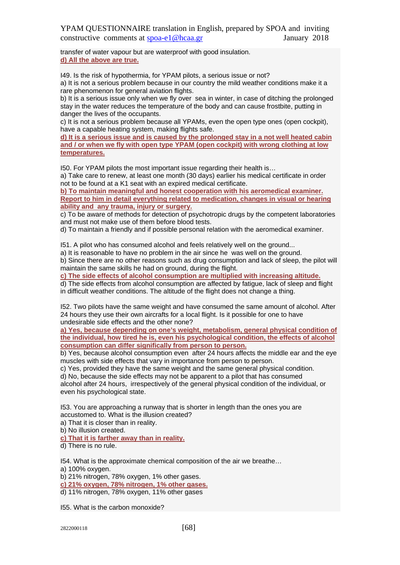transfer of water vapour but are waterproof with good insulation. **d) All the above are true.**

I49. Is the risk of hypothermia, for YPAM pilots, a serious issue or not?

a) It is not a serious problem because in our country the mild weather conditions make it a rare phenomenon for general aviation flights.

b) It is a serious issue only when we fly over sea in winter, in case of ditching the prolonged stay in the water reduces the temperature of the body and can cause frostbite, putting in danger the lives of the occupants.

c) It is not a serious problem because all YPAMs, even the open type ones (open cockpit), have a capable heating system, making flights safe.

**d) It is a serious issue and is caused by the prolonged stay in a not well heated cabin and / or when we fly with open type YPAM (open cockpit) with wrong clothing at low temperatures.**

I50. For YPAM pilots the most important issue regarding their health is…

a) Take care to renew, at least one month (30 days) earlier his medical certificate in order not to be found at a K1 seat with an expired medical certificate.

**b) To maintain meaningful and honest cooperation with his aeromedical examiner. Report to him in detail everything related to medication, changes in visual or hearing ability and any trauma, injury or surgery.**

c) To be aware of methods for detection of psychotropic drugs by the competent laboratories and must not make use of them before blood tests.

d) To maintain a friendly and if possible personal relation with the aeromedical examiner.

I51. A pilot who has consumed alcohol and feels relatively well on the ground...

a) It is reasonable to have no problem in the air since he was well on the ground.

b) Since there are no other reasons such as drug consumption and lack of sleep, the pilot will maintain the same skills he had on ground, during the flight.

**c) The side effects of alcohol consumption are multiplied with increasing altitude.**

d) The side effects from alcohol consumption are affected by fatigue, lack of sleep and flight in difficult weather conditions. The altitude of the flight does not change a thing.

I52. Two pilots have the same weight and have consumed the same amount of alcohol. After 24 hours they use their own aircrafts for a local flight. Is it possible for one to have undesirable side effects and the other none?

**a) Yes, because depending on one's weight, metabolism, general physical condition of the individual, how tired he is, even his psychological condition, the effects of alcohol consumption can differ significally from person to person.**

b) Yes, because alcohol consumption even after 24 hours affects the middle ear and the eye muscles with side effects that vary in importance from person to person.

c) Yes, provided they have the same weight and the same general physical condition.

d) No, because the side effects may not be apparent to a pilot that has consumed alcohol after 24 hours, irrespectively of the general physical condition of the individual, or even his psychological state.

I53. You are approaching a runway that is shorter in length than the ones you are accustomed to. What is the illusion created?

a) That it is closer than in reality.

b) No illusion created.

**c) That it is farther away than in reality.**

d) There is no rule.

I54. What is the approximate chemical composition of the air we breathe…

a) 100% oxygen.

b) 21% nitrogen, 78% oxygen, 1% other gases.

**c) 21% oxygen, 78% nitrogen, 1% other gases.**

d) 11% nitrogen, 78% oxygen, 11% other gases

I55. What is the carbon monoxide?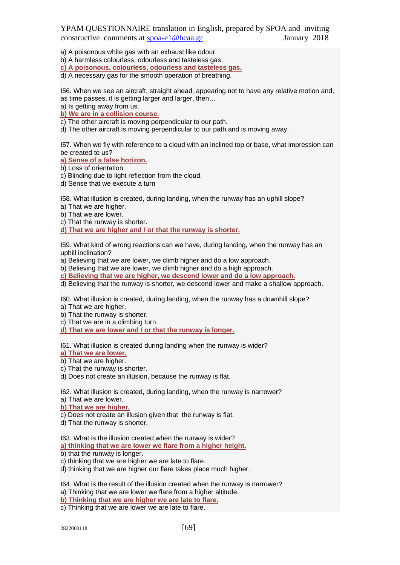a) A poisonous white gas with an exhaust like odour.

b) A harmless colourless, odourless and tasteless gas.

**c) A poisonous, colourless, odourless and tasteless gas.**

d) A necessary gas for the smooth operation of breathing.

I56. When we see an aircraft, straight ahead, appearing not to have any relative motion and, as time passes, it is getting larger and larger, then…

a) Is getting away from us.

**b) We are in a collision course.**

c) The other aircraft is moving perpendicular to our path.

d) The other aircraft is moving perpendicular to our path and is moving away.

I57. When we fly with reference to a cloud with an inclined top or base, what impression can be created to us?

**a) Sense of a false horizon.**

b) Loss of orientation.

c) Blinding due to light reflection from the cloud.

d) Sense that we execute a turn

I58. What illusion is created, during landing, when the runway has an uphill slope?

a) That we are higher.

b) That we are lower.

c) That the runway is shorter.

**d) That we are higher and / or that the runway is shorter.**

I59. What kind of wrong reactions can we have, during landing, when the runway has an uphill inclination?

a) Believing that we are lower, we climb higher and do a low approach.

b) Believing that we are lower, we climb higher and do a high approach.

**c) Believing that we are higher, we descend lower and do a low approach.**

d) Believing that the runway is shorter, we descend lower and make a shallow approach.

I60. What illusion is created, during landing, when the runway has a downhill slope?

a) That we are higher.

b) That the runway is shorter.

c) That we are in a climbing turn.

**d) That we are lower and / or that the runway is longer.**

I61. What illusion is created during landing when the runway is wider?

**a) That we are lower.**

b) That we are higher.

c) That the runway is shorter.

d) Does not create an illusion, because the runway is flat.

I62. What illusion is created, during landing, when the runway is narrower? a) That we are lower.

**b) That we are higher.**

c) Does not create an illusion given that the runway is flat.

d) That the runway is shorter.

I63. What is the illusion created when the runway is wider?

**a) thinking that we are lower we flare from a higher height.**

b) that the runway is longer.

c) thinking that we are higher we are late to flare.

d) thinking that we are higher our flare takes place much higher.

I64. What is the result of the illusion created when the runway is narrower? a) Thinking that we are lower we flare from a higher altitude.

**b) Thinking that we are higher we are late to flare.**

c) Thinking that we are lower we are late to flare.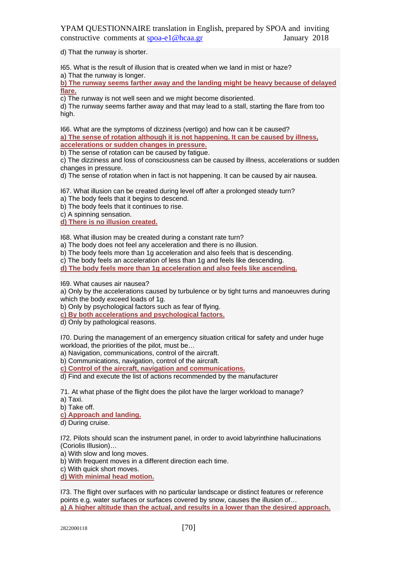d) That the runway is shorter.

I65. What is the result of illusion that is created when we land in mist or haze?

a) That the runway is longer.

**b) The runway seems farther away and the landing might be heavy because of delayed flare.**

c) The runway is not well seen and we might become disoriented.

d) The runway seems farther away and that may lead to a stall, starting the flare from too high.

I66. What are the symptoms of dizziness (vertigo) and how can it be caused? **a) The sense of rotation although it is not happening. It can be caused by illness, accelerations or sudden changes in pressure.**

b) The sense of rotation can be caused by fatigue.

c) The dizziness and loss of consciousness can be caused by illness, accelerations or sudden changes in pressure.

d) The sense of rotation when in fact is not happening. It can be caused by air nausea.

I67. What illusion can be created during level off after a prolonged steady turn?

a) The body feels that it begins to descend.

b) The body feels that it continues to rise.

c) A spinning sensation.

**d) There is no illusion created.**

I68. What illusion may be created during a constant rate turn?

a) The body does not feel any acceleration and there is no illusion.

b) The body feels more than 1g acceleration and also feels that is descending.

c) The body feels an acceleration of less than 1g and feels like descending.

**d) The body feels more than 1g acceleration and also feels like ascending.**

I69. What causes air nausea?

a) Only by the accelerations caused by turbulence or by tight turns and manoeuvres during which the body exceed loads of 1g.

b) Only by psychological factors such as fear of flying.

**c) By both accelerations and psychological factors.**

d) Only by pathological reasons.

I70. During the management of an emergency situation critical for safety and under huge workload, the priorities of the pilot, must be…

a) Navigation, communications, control of the aircraft.

b) Communications, navigation, control of the aircraft.

**c) Control of the aircraft, navigation and communications.**

d) Find and execute the list of actions recommended by the manufacturer

71. At what phase of the flight does the pilot have the larger workload to manage? a) Taxi.

b) Take off.

**c) Approach and landing.**

d) During cruise.

I72. Pilots should scan the instrument panel, in order to avoid labyrinthine hallucinations (Coriolis Illusion)…

a) With slow and long moves.

b) With frequent moves in a different direction each time.

c) With quick short moves.

**d) With minimal head motion.**

I73. The flight over surfaces with no particular landscape or distinct features or reference points e.g. water surfaces or surfaces covered by snow, causes the illusion of… **a) A higher altitude than the actual, and results in a lower than the desired approach.**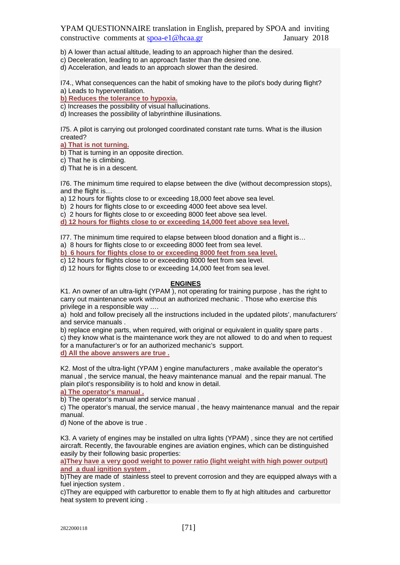b) A lower than actual altitude, leading to an approach higher than the desired.

c) Deceleration, leading to an approach faster than the desired one.

d) Acceleration, and leads to an approach slower than the desired.

I74., What consequences can the habit of smoking have to the pilot's body during flight? a) Leads to hyperventilation.

**b) Reduces the tolerance to hypoxia.**

c) Increases the possibility of visual hallucinations.

d) Increases the possibility of labyrinthine illusinations.

I75. A pilot is carrying out prolonged coordinated constant rate turns. What is the illusion created?

**a) That is not turning.**

b) That is turning in an opposite direction.

c) That he is climbing.

d) That he is in a descent.

I76. The minimum time required to elapse between the dive (without decompression stops), and the flight is...

a) 12 hours for flights close to or exceeding 18,000 feet above sea level.

b) 2 hours for flights close to or exceeding 4000 feet above sea level.

c) 2 hours for flights close to or exceeding 8000 feet above sea level.

**d) 12 hours for flights close to or exceeding 14,000 feet above sea level.**

I77. The minimum time required to elapse between blood donation and a flight is…

a) 8 hours for flights close to or exceeding 8000 feet from sea level.

**b) 6 hours for flights close to or exceeding 8000 feet from sea level.**

c) 12 hours for flights close to or exceeding 8000 feet from sea level.

d) 12 hours for flights close to or exceeding 14,000 feet from sea level.

#### **ENGINES**

K1. An owner of an ultra-light (YPAM ), not operating for training purpose , has the right to carry out maintenance work without an authorized mechanic . Those who exercise this privilege in a responsible way ….

a) hold and follow precisely all the instructions included in the updated pilots', manufacturers' and service manuals .

b) replace engine parts, when required, with original or equivalent in quality spare parts. c) they know what is the maintenance work they are not allowed to do and when to request for a manufacturer's or for an authorized mechanic's support.

**d) All the above answers are true .**

K2. Most of the ultra-light (YPAM ) engine manufacturers , make available the operator's manual , the service manual, the heavy maintenance manual and the repair manual. The plain pilot's responsibility is to hold and know in detail.

**a) The operator's manual .**

b) The operator's manual and service manual .

c) The operator's manual, the service manual , the heavy maintenance manual and the repair manual.

d) None of the above is true .

K3. A variety of engines may be installed on ultra lights (YPAM) , since they are not certified aircraft. Recently, the favourable engines are aviation engines, which can be distinguished easily by their following basic properties:

**a)They have a very good weight to power ratio (light weight with high power output) and a dual ignition system .**

b)They are made of stainless steel to prevent corrosion and they are equipped always with a fuel injection system .

c)They are equipped with carburettor to enable them to fly at high altitudes and carburettor heat system to prevent icing .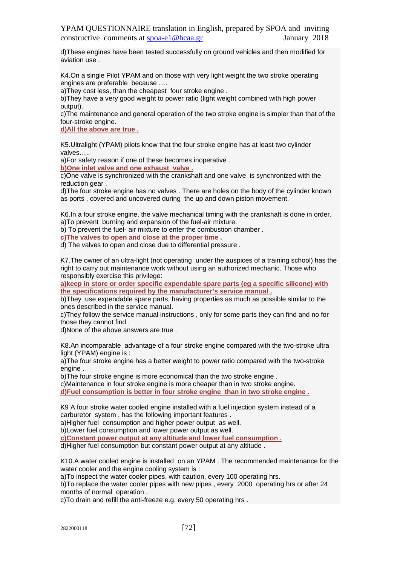d)These engines have been tested successfully on ground vehicles and then modified for aviation use .

K4.On a single Pilot YPAM and on those with very light weight the two stroke operating engines are preferable because ….

a)They cost less, than the cheapest four stroke engine .

b)They have a very good weight to power ratio (light weight combined with high power output).

c)The maintenance and general operation of the two stroke engine is simpler than that of the four-stroke engine.

**d)All the above are true .**

K5.Ultralight (YPAM) pilots know that the four stroke engine has at least two cylinder valves…..

a)For safety reason if one of these becomes inoperative .

**b)One inlet valve and one exhaust valve .**

c)One valve is synchronized with the crankshaft and one valve is synchronized with the reduction gear .

d)The four stroke engine has no valves . There are holes on the body of the cylinder known as ports , covered and uncovered during the up and down piston movement.

K6.In a four stroke engine, the valve mechanical timing with the crankshaft is done in order. a)To prevent burning and expansion of the fuel-air mixture.

b) To prevent the fuel- air mixture to enter the combustion chamber .

**c)The valves to open and close at the proper time .**

d) The valves to open and close due to differential pressure .

K7.The owner of an ultra-light (not operating under the auspices of a training school) has the right to carry out maintenance work without using an authorized mechanic. Those who responsibly exercise this privilege:

**a)keep in store or order specific expendable spare parts (eg a specific silicone) with the specifications required by the manufacturer's service manual .**

b)They use expendable spare parts, having properties as much as possible similar to the ones described in the service manual.

c)They follow the service manual instructions , only for some parts they can find and no for those they cannot find .

d)None of the above answers are true .

K8.An incomparable advantage of a four stroke engine compared with the two-stroke ultra light (YPAM) engine is :

a)The four stroke engine has a better weight to power ratio compared with the two-stroke engine .

b)The four stroke engine is more economical than the two stroke engine . c)Maintenance in four stroke engine is more cheaper than in two stroke engine. **d)Fuel consumption is better in four stroke engine than in two stroke engine .**

K9 A four stroke water cooled engine installed with a fuel injection system instead of a carburetor system , has the following important features .

a)Higher fuel consumption and higher power output as well.

b)Lower fuel consumption and lower power output as well.

**c)Constant power output at any altitude and lower fuel consumption .**

d)Higher fuel consumption but constant power output at any altitude .

K10.A water cooled engine is installed on an YPAM . The recommended maintenance for the water cooler and the engine cooling system is:

a)To inspect the water cooler pipes, with caution, every 100 operating hrs.

b)To replace the water cooler pipes with new pipes , every 2000 operating hrs or after 24 months of normal operation .

c)To drain and refill the anti-freeze e.g. every 50 operating hrs .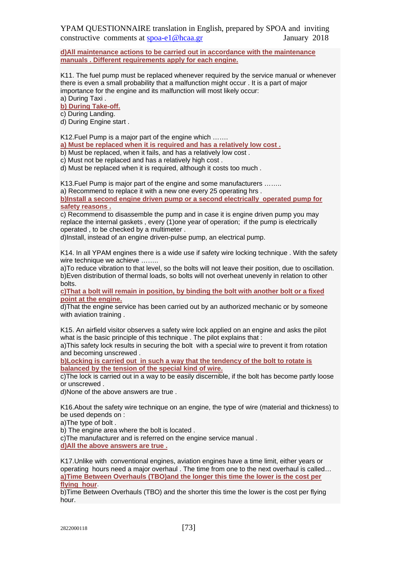**d)All maintenance actions to be carried out in accordance with the maintenance manuals . Different requirements apply for each engine.**

K11. The fuel pump must be replaced whenever required by the service manual or whenever there is even a small probability that a malfunction might occur . It is a part of major importance for the engine and its malfunction will most likely occur: a) During Taxi .

**b) During Take-off.** 

c) During Landing.

d) During Engine start .

K12.Fuel Pump is a major part of the engine which …….

**a) Must be replaced when it is required and has a relatively low cost .**

b) Must be replaced, when it fails, and has a relatively low cost .

c) Must not be replaced and has a relatively high cost .

d) Must be replaced when it is required, although it costs too much .

K13.Fuel Pump is major part of the engine and some manufacturers ……..

a) Recommend to replace it with a new one every 25 operating hrs .

**b)Install a second engine driven pump or a second electrically operated pump for safety reasons .**

c) Recommend to disassemble the pump and in case it is engine driven pump you may replace the internal gaskets , every (1)one year of operation; if the pump is electrically operated , to be checked by a multimeter .

d)Install, instead of an engine driven-pulse pump, an electrical pump.

K14. In all YPAM engines there is a wide use if safety wire locking technique . With the safety wire technique we achieve ........

a)To reduce vibration to that level, so the bolts will not leave their position, due to oscillation. b)Even distribution of thermal loads, so bolts will not overheat unevenly in relation to other bolts.

**c)That a bolt will remain in position, by binding the bolt with another bolt or a fixed point at the engine.**

d)That the engine service has been carried out by an authorized mechanic or by someone with aviation training.

K15. An airfield visitor observes a safety wire lock applied on an engine and asks the pilot what is the basic principle of this technique . The pilot explains that :

a)This safety lock results in securing the bolt with a special wire to prevent it from rotation and becoming unscrewed .

**b)Locking is carried out in such a way that the tendency of the bolt to rotate is balanced by the tension of the special kind of wire.**

c)The lock is carried out in a way to be easily discernible, if the bolt has become partly loose or unscrewed .

d)None of the above answers are true .

K16.About the safety wire technique on an engine, the type of wire (material and thickness) to be used depends on :

a)The type of bolt .

b) The engine area where the bolt is located .

c)The manufacturer and is referred on the engine service manual .

**d)All the above answers are true .**

K17.Unlike with conventional engines, aviation engines have a time limit, either years or operating hours need a major overhaul . The time from one to the next overhaul is called… **a)Time Between Overhauls (TBO)and the longer this time the lower is the cost per flying hour**.

b)Time Between Overhauls (TBO) and the shorter this time the lower is the cost per flying hour.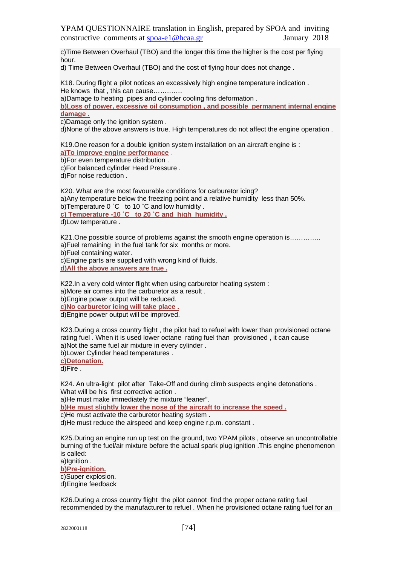c)Time Between Overhaul (TBO) and the longer this time the higher is the cost per flying hour.

d) Time Between Overhaul (TBO) and the cost of flying hour does not change .

K18. During flight a pilot notices an excessively high engine temperature indication . He knows that , this can cause………….

a)Damage to heating pipes and cylinder cooling fins deformation .

**b)Loss of power, excessive oil consumption , and possible permanent internal engine damage .**

c)Damage only the ignition system.

d)None of the above answers is true. High temperatures do not affect the engine operation .

K19.One reason for a double ignition system installation on an aircraft engine is : **a)To improve engine performance** .

b)For even temperature distribution .

c)For balanced cylinder Head Pressure .

d)For noise reduction .

K20. What are the most favourable conditions for carburetor icing? a)Any temperature below the freezing point and a relative humidity less than 50%. b)Temperature 0 °C to 10 °C and low humidity. **c) Temperature -10 ˚C to 20 ˚C and high humidity .** d)Low temperature .

K21. One possible source of problems against the smooth engine operation is…………. a)Fuel remaining in the fuel tank for six months or more. b)Fuel containing water.

c)Engine parts are supplied with wrong kind of fluids. **d)All the above answers are true .**

K22.In a very cold winter flight when using carburetor heating system :

a)More air comes into the carburetor as a result .

b)Engine power output will be reduced.

**c)No carburetor icing will take place .**

d)Engine power output will be improved.

Κ23.During a cross country flight , the pilot had to refuel with lower than provisioned octane rating fuel . When it is used lower octane rating fuel than provisioned , it can cause a)Not the same fuel air mixture in every cylinder .

b)Lower Cylinder head temperatures .

**c)Detonation.**

d)Fire .

K24. An ultra-light pilot after Take-Off and during climb suspects engine detonations . What will be his first corrective action.

a)He must make immediately the mixture "leaner".

**b)He must slightly lower the nose of the aircraft to increase the speed .**

c)He must activate the carburetor heating system .

d)He must reduce the airspeed and keep engine r.p.m. constant .

K25.During an engine run up test on the ground, two YPAM pilots , observe an uncontrollable burning of the fuel/air mixture before the actual spark plug ignition .This engine phenomenon is called:

a)Ignition .

**b)Pre-ignition.**

c)Super explosion.

d)Engine feedback

K26.During a cross country flight the pilot cannot find the proper octane rating fuel recommended by the manufacturer to refuel . When he provisioned octane rating fuel for an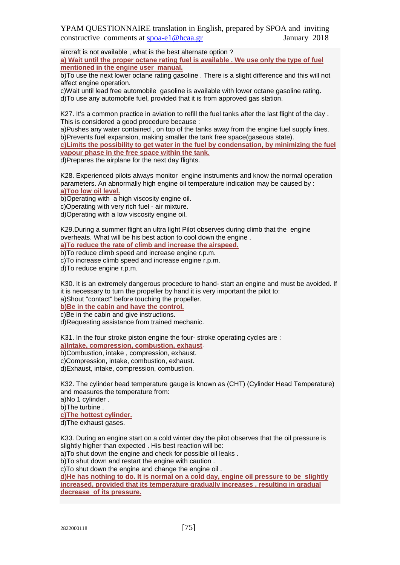aircraft is not available , what is the best alternate option ? **a) Wait until the proper octane rating fuel is available . We use only the type of fuel mentioned in the engine user manual.**

b)To use the next lower octane rating gasoline . There is a slight difference and this will not affect engine operation.

c)Wait until lead free automobile gasoline is available with lower octane gasoline rating. d)To use any automobile fuel, provided that it is from approved gas station.

K27. It's a common practice in aviation to refill the fuel tanks after the last flight of the day. This is considered a good procedure because :

a)Pushes any water contained , on top of the tanks away from the engine fuel supply lines. b)Prevents fuel expansion, making smaller the tank free space(gaseous state).

**c)Limits the possibility to get water in the fuel by condensation, by minimizing the fuel vapour phase in the free space within the tank.**

d)Prepares the airplane for the next day flights.

K28. Experienced pilots always monitor engine instruments and know the normal operation parameters. An abnormally high engine oil temperature indication may be caused by : **a)Too low oil level.**

b)Operating with a high viscosity engine oil.

c)Operating with very rich fuel - air mixture.

d)Operating with a low viscosity engine oil.

K29.During a summer flight an ultra light Pilot observes during climb that the engine overheats. What will be his best action to cool down the engine . **a)To reduce the rate of climb and increase the airspeed.**

b)To reduce climb speed and increase engine r.p.m.

c)To increase climb speed and increase engine r.p.m.

d)To reduce engine r.p.m.

K30. It is an extremely dangerous procedure to hand- start an engine and must be avoided. If it is necessary to turn the propeller by hand it is very important the pilot to: a)Shout "contact" before touching the propeller.

**b)Be in the cabin and have the control.** c)Be in the cabin and give instructions.

d)Requesting assistance from trained mechanic.

K31. In the four stroke piston engine the four- stroke operating cycles are : **a)Intake, compression, combustion, exhaust**.

b)Combustion, intake , compression, exhaust.

c)Compression, intake, combustion, exhaust.

d)Exhaust, intake, compression, combustion.

K32. The cylinder head temperature gauge is known as (CHT) (Cylinder Head Temperature) and measures the temperature from:

a)No 1 cylinder .

b)The turbine .

**c)The hottest cylinder.**

d)The exhaust gases.

K33. During an engine start on a cold winter day the pilot observes that the oil pressure is slightly higher than expected . His best reaction will be:

a)To shut down the engine and check for possible oil leaks .

b)To shut down and restart the engine with caution .

c)To shut down the engine and change the engine oil .

**d)He has nothing to do. It is normal on a cold day, engine oil pressure to be slightly increased, provided that its temperature gradually increases , resulting in gradual decrease of its pressure.**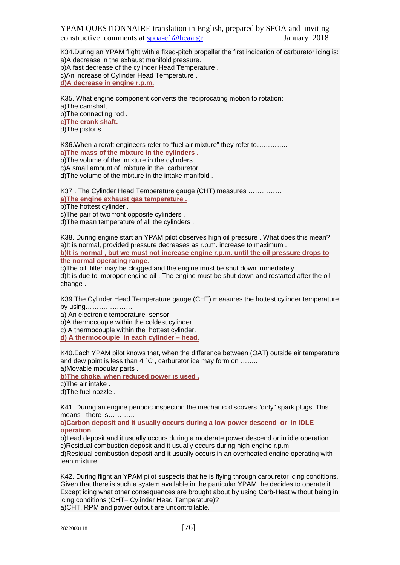K34.During an YPAM flight with a fixed-pitch propeller the first indication of carburetor icing is: a)A decrease in the exhaust manifold pressure. b)A fast decrease of the cylinder Head Temperature . c)An increase of Cylinder Head Temperature . **d)A decrease in engine r.p.m.**

K35. What engine component converts the reciprocating motion to rotation: a)The camshaft . b)The connecting rod . **c)The crank shaft.**

d)The pistons .

K36. When aircraft engineers refer to "fuel air mixture" they refer to........... **a)The mass of the mixture in the cylinders .** b)The volume of the mixture in the cylinders.

c)A small amount of mixture in the carburetor .

d)The volume of the mixture in the intake manifold .

K37 . The Cylinder Head Temperature gauge (CHT) measures …………… **a)The engine exhaust gas temperature .** b)The hottest cylinder.

c)The pair of two front opposite cylinders .

d)The mean temperature of all the cylinders .

K38. During engine start an YPAM pilot observes high oil pressure . What does this mean? a)It is normal, provided pressure decreases as r.p.m. increase to maximum . **b)It is normal , but we must not increase engine r.p.m. until the oil pressure drops to the normal operating range.**

c)The oil filter may be clogged and the engine must be shut down immediately. d)It is due to improper engine oil . The engine must be shut down and restarted after the oil change .

K39.The Cylinder Ηead Temperature gauge (CHT) measures the hottest cylinder temperature by using…………………

a) An electronic temperature sensor.

b)A thermocouple within the coldest cylinder.

c) A thermocouple within the hottest cylinder.

**d) A thermocouple in each cylinder – head.**

K40.Each YPAM pilot knows that, when the difference between (OAT) outside air temperature and dew point is less than 4 °C, carburetor ice may form on ....... a)Movable modular parts .

**b)The choke, when reduced power is used .**

c)The air intake .

d)The fuel nozzle .

K41. During an engine periodic inspection the mechanic discovers "dirty" spark plugs. This means there is…………

**a)Carbon deposit and it usually occurs during a low power descend or in IDLE operation** .

b)Lead deposit and it usually occurs during a moderate power descend or in idle operation . c)Residual combustion deposit and it usually occurs during high engine r.p.m. d)Residual combustion deposit and it usually occurs in an overheated engine operating with lean mixture .

K42. During flight an YPAM pilot suspects that he is flying through carburetor icing conditions. Given that there is such a system available in the particular YPAM he decides to operate it. Except icing what other consequences are brought about by using Carb-Heat without being in icing conditions (CHT= Cylinder Head Temperature)? a)CHT, RPM and power output are uncontrollable.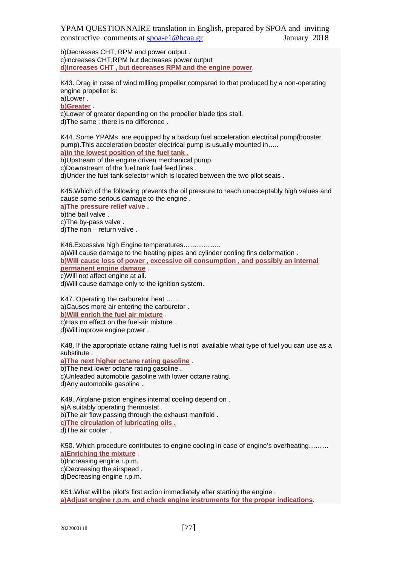b)Decreases CHT, RPM and power output . c)Increases CHT,RPM but decreases power output **d)Increases CHT , but decreases RPM and the engine power**.

K43. Drag in case of wind milling propeller compared to that produced by a non-operating engine propeller is:

a)Lower .

**b)Greater** .

c)Lower of greater depending on the propeller blade tips stall. d)The same ; there is no difference .

K44. Some YPAMs are equipped by a backup fuel acceleration electrical pump(booster pump).This acceleration booster electrical pump is usually mounted in….. **a)In the lowest position of the fuel tank .**

b)Upstream of the engine driven mechanical pump.

c)Downstream of the fuel tank fuel feed lines .

d)Under the fuel tank selector which is located between the two pilot seats .

K45.Which of the following prevents the oil pressure to reach unacceptably high values and cause some serious damage to the engine .

**a)The pressure relief valve .**

b)the ball valve.

c)The by-pass valve .

d)The non – return valve .

K46.Excessive high Engine temperatures…………….. a)Will cause damage to the heating pipes and cylinder cooling fins deformation . **b)Will cause loss of power , excessive oil consumption , and possibly an internal permanent engine damage** . c)Will not affect engine at all. d)Will cause damage only to the ignition system.

K47. Operating the carburetor heat ……

a)Causes more air entering the carburetor .

**b)Will enrich the fuel air mixture** .

c)Has no effect on the fuel-air mixture . d)Will improve engine power .

K48. If the appropriate octane rating fuel is not available what type of fuel you can use as a substitute .

**a)The next higher octane rating gasoline** .

b)The next lower octane rating gasoline .

c)Unleaded automobile gasoline with lower octane rating.

d)Any automobile gasoline .

K49. Airplane piston engines internal cooling depend on . a)A suitably operating thermostat . b)The air flow passing through the exhaust manifold .

**c)The circulation of lubricating oils .**

d)The air cooler .

K50. Which procedure contributes to engine cooling in case of engine's overheating……… **a)Enriching the mixture** .

b)Increasing engine r.p.m.

c)Decreasing the airspeed .

d)Decreasing engine r.p.m.

K51.What will be pilot's first action immediately after starting the engine . **a)Adjust engine r.p.m. and check engine instruments for the proper indications**.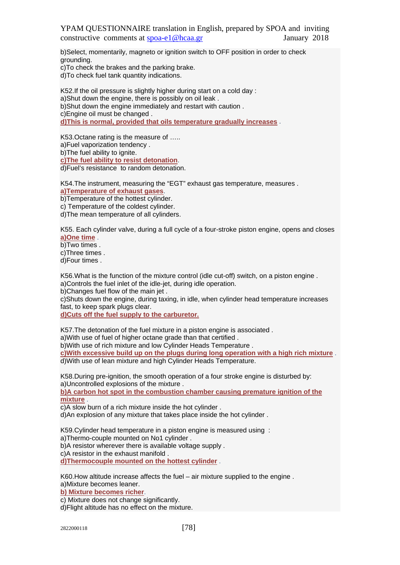b)Select, momentarily, magneto or ignition switch to OFF position in order to check grounding. c)To check the brakes and the parking brake.

d)To check fuel tank quantity indications.

K52.If the oil pressure is slightly higher during start on a cold day : a)Shut down the engine, there is possibly on oil leak . b)Shut down the engine immediately and restart with caution . c)Engine oil must be changed . **d)This is normal, provided that oils temperature gradually increases** .

K53.Octane rating is the measure of ….. a)Fuel vaporization tendency . b) The fuel ability to ignite. **c)The fuel ability to resist detonation**. d)Fuel's resistance to random detonation.

K54.The instrument, measuring the "EGT" exhaust gas temperature, measures . **a)Temperature of exhaust gases**.

b)Temperature of the hottest cylinder.

c) Temperature of the coldest cylinder.

d)The mean temperature of all cylinders.

K55. Each cylinder valve, during a full cycle of a four-stroke piston engine, opens and closes **a)One time** .

b)Two times .

c)Three times .

d)Four times .

K56.What is the function of the mixture control (idle cut-off) switch, on a piston engine .

a)Controls the fuel inlet of the idle-jet, during idle operation.

b)Changes fuel flow of the main jet .

c)Shuts down the engine, during taxing, in idle, when cylinder head temperature increases fast, to keep spark plugs clear.

**d)Cuts off the fuel supply to the carburetor.**

K57.The detonation of the fuel mixture in a piston engine is associated .

a)With use of fuel of higher octane grade than that certified .

b)With use of rich mixture and low Cylinder Heads Temperature .

**c)With excessive build up on the plugs during long operation with a high rich mixture** . d)With use of lean mixture and high Cylinder Heads Temperature.

K58.During pre-ignition, the smooth operation of a four stroke engine is disturbed by: a)Uncontrolled explosions of the mixture .

**b)A carbon hot spot in the combustion chamber causing premature ignition of the mixture** .

c)A slow burn of a rich mixture inside the hot cylinder .

d)An explosion of any mixture that takes place inside the hot cylinder .

K59.Cylinder head temperature in a piston engine is measured using :

a)Thermo-couple mounted on No1 cylinder .

b)A resistor wherever there is available voltage supply .

c)A resistor in the exhaust manifold .

**d)Thermocouple mounted on the hottest cylinder** .

K60.How altitude increase affects the fuel – air mixture supplied to the engine . a)Mixture becomes leaner.

**b) Mixture becomes richer**.

c) Mixture does not change significantly.

d)Flight altitude has no effect on the mixture.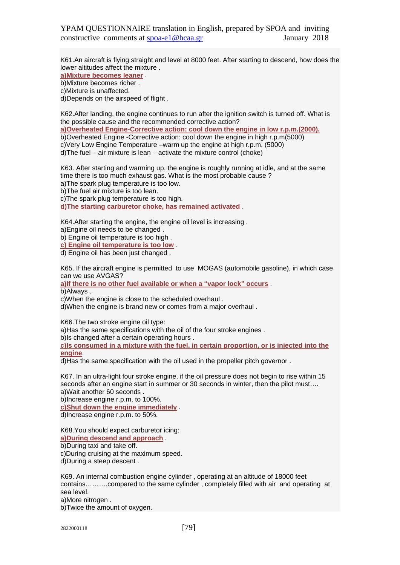K61.An aircraft is flying straight and level at 8000 feet. After starting to descend, how does the lower altitudes affect the mixture .

**a)Mixture becomes leaner** .

b)Mixture becomes richer .

c)Mixture is unaffected.

d)Depends on the airspeed of flight .

K62.After landing, the engine continues to run after the ignition switch is turned off. What is the possible cause and the recommended corrective action?

**a)Overheated Engine-Corrective action: cool down the engine in low r.p.m.(2000).** 

b)Overheated Engine -Corrective action: cool down the engine in high r.p.m(5000)

c)Very Low Engine Temperature –warm up the engine at high r.p.m. (5000)

d)The fuel – air mixture is lean – activate the mixture control (choke)

K63. After starting and warming up, the engine is roughly running at idle, and at the same time there is too much exhaust gas. What is the most probable cause ? a)The spark plug temperature is too low.

b)The fuel air mixture is too lean.

c)The spark plug temperature is too high.

**d)The starting carburetor choke, has remained activated** .

K64.After starting the engine, the engine oil level is increasing .

a)Engine oil needs to be changed .

b) Engine oil temperature is too high .

**c) Engine oil temperature is too low** .

d) Engine oil has been just changed .

K65. If the aircraft engine is permitted to use MOGAS (automobile gasoline), in which case can we use AVGAS?

**a)If there is no other fuel available or when a "vapor lock" occurs** .

b)Always .

c)When the engine is close to the scheduled overhaul .

d)When the engine is brand new or comes from a major overhaul .

K66.The two stroke engine oil type:

a)Has the same specifications with the oil of the four stroke engines .

b)Is changed after a certain operating hours .

**c)Is consumed in a mixture with the fuel, in certain proportion, or is injected into the engine**.

d)Has the same specification with the oil used in the propeller pitch governor .

K67. In an ultra-light four stroke engine, if the oil pressure does not begin to rise within 15 seconds after an engine start in summer or 30 seconds in winter, then the pilot must…. a)Wait another 60 seconds .

b)Increase engine r.p.m. to 100%.

**c)Shut down the engine immediately** .

d)Increase engine r.p.m. to 50%.

K68.You should expect carburetor icing: **a)During descend and approach** .

b)During taxi and take off.

c)During cruising at the maximum speed.

d)During a steep descent .

K69. An internal combustion engine cylinder , operating at an altitude of 18000 feet contains……….compared to the same cylinder , completely filled with air and operating at sea level.

a)More nitrogen .

b)Twice the amount of oxygen.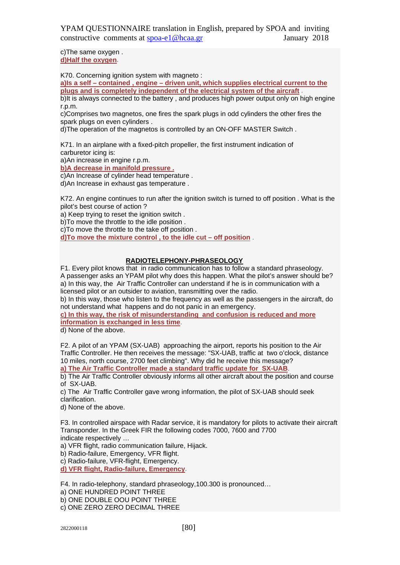c)The same oxygen . **d)Half the oxygen**.

K70. Concerning ignition system with magneto :

**a)Is a self – contained , engine – driven unit, which supplies electrical current to the plugs and is completely independent of the electrical system of the aircraft** .

b)It is always connected to the battery, and produces high power output only on high engine r.p.m.

c)Comprises two magnetos, one fires the spark plugs in odd cylinders the other fires the spark plugs on even cylinders .

d)The operation of the magnetos is controlled by an ON-OFF MASTER Switch .

K71. In an airplane with a fixed-pitch propeller, the first instrument indication of carburetor icing is:

a)An increase in engine r.p.m.

**b)A decrease in manifold pressure .**

c)An Increase of cylinder head temperature .

d)An Increase in exhaust gas temperature .

K72. An engine continues to run after the ignition switch is turned to off position . What is the pilot's best course of action ?

a) Keep trying to reset the ignition switch .

b)To move the throttle to the idle position .

c)To move the throttle to the take off position .

**d)To move the mixture control , to the idle cut – off position** .

## **RADIOTELEPHONY-PHRASEOLOGY**

F1. Every pilot knows that in radio communication has to follow a standard phraseology. A passenger asks an YPAM pilot why does this happen. What the pilot's answer should be? a) In this way, the Air Traffic Controller can understand if he is in communication with a licensed pilot or an outsider to aviation, transmitting over the radio.

b) In this way, those who listen to the frequency as well as the passengers in the aircraft, do not understand what happens and do not panic in an emergency.

**c) In this way, the risk of misunderstanding and confusion is reduced and more information is exchanged in less time**.

d) None of the above.

F2. A pilot of an YPAM (SX-UAB) approaching the airport, reports his position to the Air Traffic Controller. He then receives the message: "SX-UAB, traffic at two o'clock, distance 10 miles, north course, 2700 feet climbing". Why did he receive this message?

**a) The Air Traffic Controller made a standard traffic update for SX-UAB**.

b) The Air Traffic Controller obviously informs all other aircraft about the position and course of SX-UAB.

c) The Air Traffic Controller gave wrong information, the pilot of SX-UAB should seek clarification.

d) None of the above.

F3. In controlled airspace with Radar service, it is mandatory for pilots to activate their aircraft Transponder. In the Greek FIR the following codes 7000, 7600 and 7700 indicate respectively …

a) VFR flight, radio communication failure, Hijack.

b) Radio-failure, Emergency, VFR flight.

c) Radio-failure, VFR-flight, Emergency.

**d) VFR flight, Radio-failure, Emergency**.

F4. In radio-telephony, standard phraseology,100.300 is pronounced…

a) ONE HUNDRED POINT THREE

b) ONE DOUBLE OOU POINT THREE

c) ONE ZERO ZERO DECIMAL THREE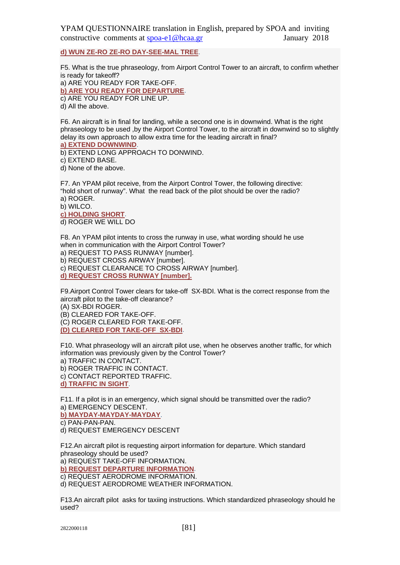**d) WUN ZE-RO ZE-RO DAY-SEE-MAL TREE**.

F5. What is the true phraseology, from Airport Control Tower to an aircraft, to confirm whether is ready for takeoff?

a) ARE YOU READY FOR TAKE-OFF. **b) ARE YOU READY FOR DEPARTURE**. c) ARE YOU READY FOR LINE UP. d) All the above.

F6. An aircraft is in final for landing, while a second one is in downwind. What is the right phraseology to be used ,by the Airport Control Tower, to the aircraft in downwind so to slightly delay its own approach to allow extra time for the leading aircraft in final?

**a) EXTEND DOWNWIND**.

b) EXTEND LONG APPROACH TO DONWIND.

c) EXTEND BASE.

d) None of the above.

F7. An YPAM pilot receive, from the Airport Control Tower, the following directive: "hold short of runway". What the read back of the pilot should be over the radio? a) ROGER.

b) WILCO.

**c) HOLDING SHORT**.

d) ROGER WE WILL DO

F8. An YPAM pilot intents to cross the runway in use, what wording should he use when in communication with the Airport Control Tower? a) REQUEST TO PASS RUNWAY [number].

b) REQUEST CROSS AIRWAY [number]. c) REQUEST CLEARANCE TO CROSS AIRWAY [number]. **d) REQUEST CROSS RUNWAY [number].**

F9.Airport Control Tower clears for take-off SX-BDI. What is the correct response from the aircraft pilot to the take-off clearance?

(A) SX-BDI ROGER.

(B) CLEARED FOR TAKE-OFF.

(C) ROGER CLEARED FOR TAKE-OFF.

**(D) CLEARED FOR TAKE-OFF SX-BDI**.

F10. What phraseology will an aircraft pilot use, when he observes another traffic, for which information was previously given by the Control Tower? a) TRAFFIC IN CONTACT. b) ROGER TRAFFIC IN CONTACT.

c) CONTACT REPORTED TRAFFIC.

**d) TRAFFIC IN SIGHT**.

F11. If a pilot is in an emergency, which signal should be transmitted over the radio? a) EMERGENCY DESCENT.

**b) MAYDAY-MAYDAY-MAYDAY**.

c) PAN-PAN-PAN.

d) REQUEST EMERGENCY DESCENT

F12.An aircraft pilot is requesting airport information for departure. Which standard phraseology should be used?

a) REQUEST TAKE-OFF INFORMATION.

**b) REQUEST DEPARTURE INFORMATION**.

c) REQUEST AERODROME INFORMATION.

d) REQUEST AERODROME WEATHER INFORMATION.

F13.An aircraft pilot asks for taxiing instructions. Which standardized phraseology should he used?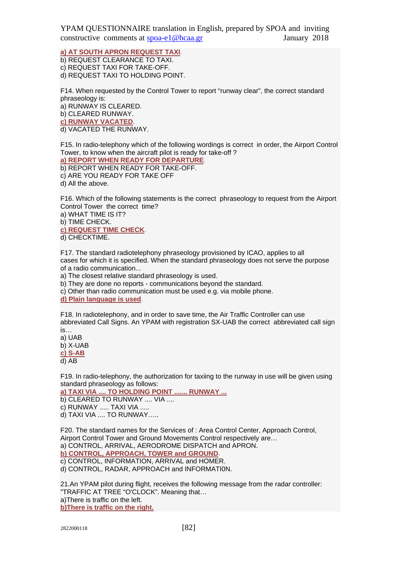### **a) AT SOUTH APRON REQUEST TAXI**.

b) REQUEST CLEARANCE TO TAXI. c) REQUEST TAXI FOR TAKE-OFF. d) REQUEST TAXI TO HOLDING POINT.

F14. When requested by the Control Tower to report "runway clear", the correct standard phraseology is:

a) RUNWAY IS CLEARED. b) CLEARED RUNWAY.

**c) RUNWAY VACATED**.

d) VACATED THE RUNWAY.

F15. In radio-telephony which of the following wordings is correct in order, the Airport Control Tower, to know when the aircraft pilot is ready for take-off ?

**a) REPORT WHEN READY FOR DEPARTURE**. b) REPORT WHEN READY FOR TAKE-OFF.

c) ARE YOU READY FOR TAKE OFF

d) All the above.

F16. Which of the following statements is the correct phraseology to request from the Airport Control Tower the correct time?

a) WHAT TIME IS IT?

b) TIME CHECK. **c) REQUEST TIME CHECK**. d) CHECKTIME.

F17. The standard radiotelephony phraseology provisioned by ICAO, applies to all cases for which it is specified. When the standard phraseology does not serve the purpose of a radio communication...

a) Τhe closest relative standard phraseology is used.

b) They are done no reports - communications beyond the standard.

c) Other than radio communication must be used e.g. via mobile phone.

**d) Plain language is used**.

F18. In radiotelephony, and in order to save time, the Air Traffic Controller can use abbreviated Call Signs. An YPAM with registration SX-UAB the correct abbreviated call sign is…

a) UAB

b) X-UAB

**c) S-AB**

d) AB

F19. In radio-telephony, the authorization for taxiing to the runway in use will be given using standard phraseology as follows:

**a) TAXI VIA .... TO HOLDING POINT ....... RUNWAY ...**

b) CLEARED TO RUNWAY .... VIA ....

c) RUNWAY ..... TAXI VIA .....

d) TAXI VIA .... TO RUNWAY…..

F20. The standard names for the Services of : Area Control Center, Approach Control, Airport Control Tower and Ground Movements Control respectively are… a) CONTROL, ARRIVAL, AERODROME DISPATCH and APRON. **b) CONTROL, APPROACH, TOWER and GROUND**. c) CONTROL, INFORMATION, ARRIVAL and HOMER.

d) CONTROL, RADAR, APPROACH and INFORMATI0N.

21.An YPAM pilot during flight, receives the following message from the radar controller: "TRAFFIC AT TREE "O'CLOCK". Meaning that… a)There is traffic on the left.

**b)There is traffic on the right.**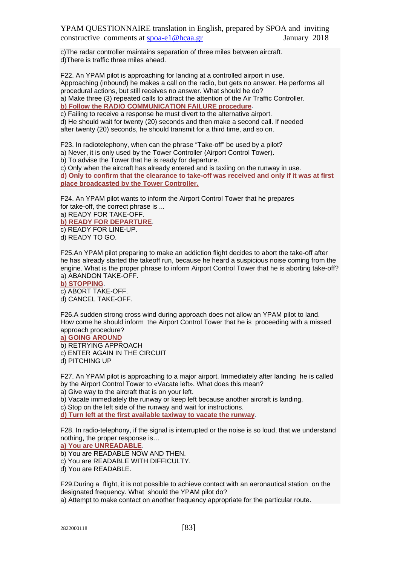c)The radar controller maintains separation of three miles between aircraft. d)There is traffic three miles ahead.

F22. An YPAM pilot is approaching for landing at a controlled airport in use. Approaching (inbound) he makes a call on the radio, but gets no answer. He performs all procedural actions, but still receives no answer. What should he do? a) Make three (3) repeated calls to attract the attention of the Air Traffic Controller.

**b) Follow the RADIO COMMUNICATION FAILURE procedure**.

c) Failing to receive a response he must divert to the alternative airport. d) He should wait for twenty (20) seconds and then make a second call. If needed after twenty (20) seconds, he should transmit for a third time, and so on.

F23. In radiotelephony, when can the phrase "Take-off" be used by a pilot?

a) Never, it is only used by the Tower Controller (Airport Control Tower).

b) To advise the Tower that he is ready for departure.

c) Only when the aircraft has already entered and is taxiing on the runway in use. **d) Only to confirm that the clearance to take-off was received and only if it was at first place broadcasted by the Tower Controller.**

F24. An YPAM pilot wants to inform the Airport Control Tower that he prepares for take-off, the correct phrase is ...

a) READY FOR TAKE-OFF. **b) READY FOR DEPARTURE**. c) READY FOR LINE-UP. d) READY TO GO.

F25.An YPAM pilot preparing to make an addiction flight decides to abort the take-off after he has already started the takeoff run, because he heard a suspicious noise coming from the engine. What is the proper phrase to inform Airport Control Tower that he is aborting take-off? a) ABANDON TAKE-OFF.

**b) STOPPING**. c) ABORT TAKE-OFF.

d) CANCEL TAKE-OFF.

F26.A sudden strong cross wind during approach does not allow an YPAM pilot to land. How come he should inform the Airport Control Tower that he is proceeding with a missed approach procedure?

#### **a) GOING AROUND**

b) RETRYING APPROACH c) ENTER AGAIN IN THE CIRCUIT d) PITCHING UP

F27. An YPAM pilot is approaching to a major airport. Immediately after landing he is called by the Airport Control Tower to «Vacate left». What does this mean?

a) Give way to the aircraft that is on your left.

b) Vacate immediately the runway or keep left because another aircraft is landing.

c) Stop on the left side of the runway and wait for instructions.

**d) Turn left at the first available taxiway to vacate the runway**.

F28. In radio-telephony, if the signal is interrupted or the noise is so loud, that we understand nothing, the proper response is…

**a) You are UNREADABLE**.

b) You are READABLE NOW AND THEN.

c) You are READABLE WITH DIFFICULTY.

d) You are READABLE.

F29.During a flight, it is not possible to achieve contact with an aeronautical station on the designated frequency. What should the YPAM pilot do?

a) Attempt to make contact on another frequency appropriate for the particular route.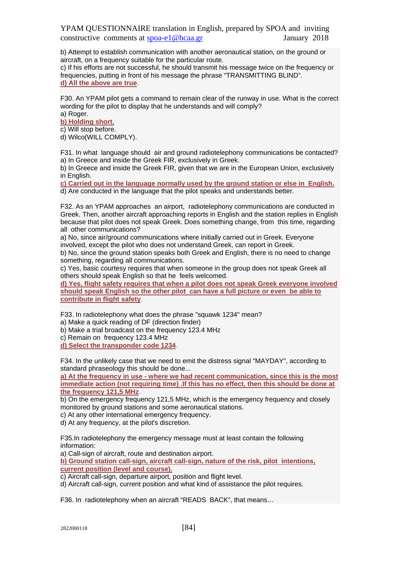b) Attempt to establish communication with another aeronautical station, on the ground or aircraft, on a frequency suitable for the particular route.

c) If his efforts are not successful, he should transmit his message twice on the frequency or frequencies, putting in front of his message the phrase "TRANSMITTING BLIND". **d) All the above are true**.

F30. An YPAM pilot gets a command to remain clear of the runway in use. What is the correct wording for the pilot to display that he understands and will comply?

a) Roger.

# **b) Holding short.**

c) Will stop before.

d) Wilco(WILL COMPLY).

F31. In what language should air and ground radiotelephony communications be contacted? a) In Greece and inside the Greek FIR, exclusively in Greek.

b) In Greece and inside the Greek FIR, given that we are in the European Union, exclusively in English.

**c) Carried out in the language normally used by the ground station or else in English.** d) Are conducted in the language that the pilot speaks and understands better.

F32. As an YPAM approaches an airport, radiotelephony communications are conducted in Greek. Then, another aircraft approaching reports in English and the station replies in English because that pilot does not speak Greek. Does something change, from this time, regarding all other communications?

a) No, since air/ground communications where initially carried out in Greek. Everyone involved, except the pilot who does not understand Greek, can report in Greek.

b) No, since the ground station speaks both Greek and English, there is no need to change something, regarding all communications.

c) Yes, basic courtesy requires that when someone in the group does not speak Greek all others should speak English so that he feels welcomed.

**d) Yes, flight safety requires that when a pilot does not speak Greek everyone involved should speak English so the other pilot can have a full picture or even be able to contribute in flight safety**.

F33. In radiotelephony what does the phrase "squawk 1234" mean?

a) Make a quick reading of DF (direction finder)

b) Make a trial broadcast on the frequency 123.4 MHz

c) Remain on frequency 123.4 MHz

**d) Select the transponder code 1234**.

F34. In the unlikely case that we need to emit the distress signal "MAYDAY", according to standard phraseology this should be done...

**a) At the frequency in use - where we had recent communication, since this is the most immediate action (not requiring time) .If this has no effect, then this should be done at the frequency 121,5 MHz**.

b) On the emergency frequency 121,5 MHz, which is the emergency frequency and closely monitored by ground stations and some aeronautical stations.

c) At any other international emergency frequency.

d) At any frequency, at the pilot's discretion.

F35.In radiotelephony the emergency message must at least contain the following information:

a) Call-sign of aircraft, route and destination airport.

**b) Ground station call-sign, aircraft call-sign, nature of the risk, pilot intentions, current position (level and course).**

c) Aircraft call-sign, departure airport, position and flight level.

d) Aircraft call-sign, current position and what kind of assistance the pilot requires.

F36. In radiotelephony when an aircraft "READS BACK", that means…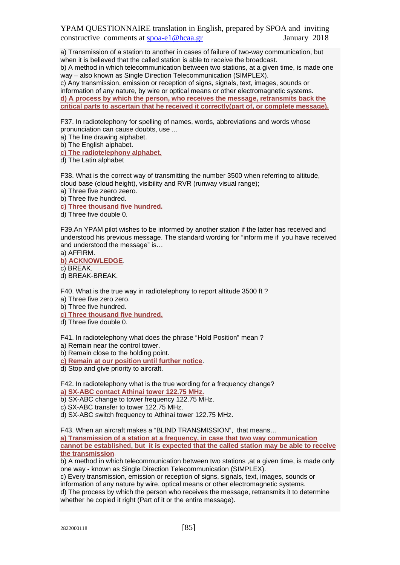a) Transmission of a station to another in cases of failure of two-way communication, but when it is believed that the called station is able to receive the broadcast. b) A method in which telecommunication between two stations, at a given time, is made one way – also known as Single Direction Telecommunication (SIMPLEX). c) Any transmission, emission or reception of signs, signals, text, images, sounds or information of any nature, by wire or optical means or other electromagnetic systems. **d) Α process by which the person, who receives the message, retransmits back the critical parts to ascertain that he received it correctly(part of, or complete message).**

F37. In radiotelephony for spelling of names, words, abbreviations and words whose pronunciation can cause doubts, use ...

a) The line drawing alphabet.

b) The English alphabet.

**c) The radiotelephony alphabet.**

d) The Latin alphabet

F38. What is the correct way of transmitting the number 3500 when referring to altitude, cloud base (cloud height), visibility and RVR (runway visual range);

a) Three five zeero zeero.

b) Three five hundred.

**c) Three thousand five hundred.**

d) Three five double 0.

F39.An YPAM pilot wishes to be informed by another station if the latter has received and understood his previous message. The standard wording for "inform me if you have received and understood the message" is…

a) AFFIRM. **b) ACKNOWLEDGE**. c) BREAK. d) BREAK-BREAK.

F40. What is the true way in radiotelephony to report altitude 3500 ft ?

a) Three five zero zero.

b) Three five hundred.

**c) Three thousand five hundred.**

d) Three five double 0.

F41. In radiotelephony what does the phrase "Hold Position" mean ?

a) Remain near the control tower.

b) Remain close to the holding point.

**c) Remain at our position until further notice**.

d) Stop and give priority to aircraft.

F42. In radiotelephony what is the true wording for a frequency change?

**a) SX-ABC contact Athinai tower 122.75 MHz.**

b) SX-ABC change to tower frequency 122.75 MHz.

c) SX-ABC transfer to tower 122.75 MHz.

d) SX-ABC switch frequency to Athinai tower 122.75 MHz.

F43. When an aircraft makes a "BLIND TRANSMISSION", that means…

**a) Transmission of a station at a frequency, in case that two way communication cannot be established, but it is expected that the called station may be able to receive the transmission**.

b) A method in which telecommunication between two stations , at a given time, is made only one way - known as Single Direction Telecommunication (SIMPLEX).

c) Every transmission, emission or reception of signs, signals, text, images, sounds or information of any nature by wire, optical means or other electromagnetic systems.

d) The process by which the person who receives the message, retransmits it to determine whether he copied it right (Part of it or the entire message).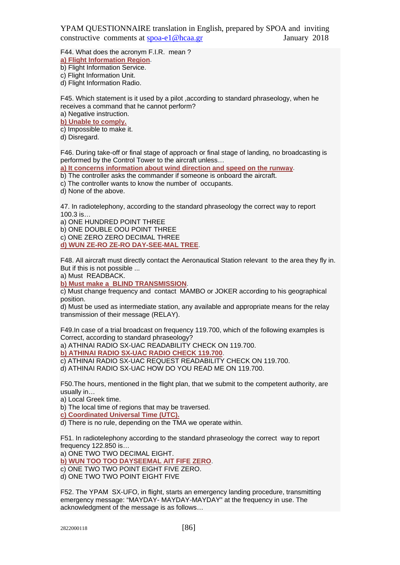F44. What does the acronym F.I.R. mean ?

**a) Flight Information Region**.

b) Flight Information Service.

c) Flight Information Unit.

d) Flight Information Radio.

F45. Which statement is it used by a pilot ,according to standard phraseology, when he receives a command that he cannot perform?

a) Negative instruction.

**b) Unable to comply.**

c) Impossible to make it.

d) Disregard.

F46. During take-off or final stage of approach or final stage of landing, no broadcasting is performed by the Control Tower to the aircraft unless…

**a) It concerns information about wind direction and speed on the runway**.

b) The controller asks the commander if someone is onboard the aircraft.

c) The controller wants to know the number of occupants.

d) None of the above.

47. In radiotelephony, according to the standard phraseology the correct way to report 100.3 is…

a) ONE HUNDRED POINT THREE

b) ONE DOUBLE OOU POINT THREE

c) ONE ZERO ZERO DECIMAL THREE

**d) WUN ZE-RO ZE-RO DAY-SEE-MAL TREE**.

F48. All aircraft must directly contact the Aeronautical Station relevant to the area they fly in. But if this is not possible ...

a) Must READBACK.

**b) Must make a BLIND TRANSMISSION**.

c) Must change frequency and contact MAMBO or JOKER according to his geographical position.

d) Must be used as intermediate station, any available and appropriate means for the relay transmission of their message (RELAY).

F49.In case of a trial broadcast on frequency 119.700, which of the following examples is Correct, according to standard phraseology?

a) ATHINAI RADIO SX-UAC READABILITY CHECK ON 119.700.

**b) ATHINAI RADIO SX-UAC RADIO CHECK 119.700**.

c) ATHINAI RADIO SX-UAC REQUEST READABILITY CHECK ON 119.700.

d) ATHINAI RADIO SX-UAC HOW DO YOU READ ME ON 119.700.

F50.The hours, mentioned in the flight plan, that we submit to the competent authority, are usually in…

a) Local Greek time.

b) The local time of regions that may be traversed.

**c) Coordinated Universal Time (UTC).**

d) There is no rule, depending on the TMA we operate within.

F51. In radiotelephony according to the standard phraseology the correct way to report frequency 122.850 is…

a) ONE TWO TWO DECIMAL EIGHT.

**b) WUN TOO TOO DAYSEEMAL AIT FIFE ZERO**.

c) ONE TWO TWO POINT EIGHT FIVE ZERO.

d) ONE TWO TWO POINT EIGHT FIVE

F52. The YPAM SX-UFO, in flight, starts an emergency landing procedure, transmitting emergency message: "MAYDAY- MAYDAY-MAYDAY" at the frequency in use. The acknowledgment of the message is as follows…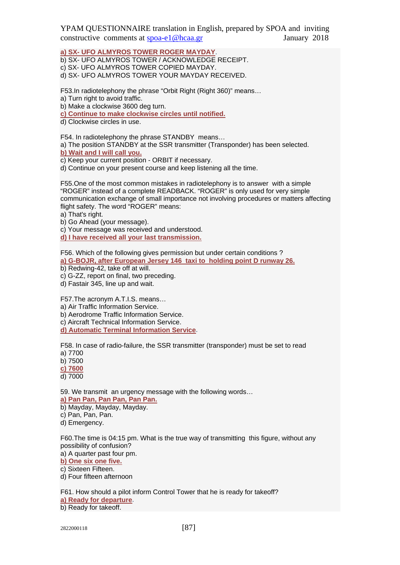## **a) SX- UFO ALMYROS TOWER ROGER MAYDAY**.

b) SX- UFO ALMYROS TOWER / ACKNOWLEDGE RECEIPT.

c) SX- UFO ALMYROS TOWER COPIED MAYDAY.

d) SX- UFO ALMYROS TOWER YOUR MAYDAY RECEIVED.

F53.In radiotelephony the phrase "Orbit Right (Right 360)" means…

a) Turn right to avoid traffic.

b) Make a clockwise 3600 deg turn.

**c) Continue to make clockwise circles until notified.**

d) Clockwise circles in use.

F54. In radiotelephony the phrase STANDBY means…

a) The position STANDBY at the SSR transmitter (Transponder) has been selected.

**b) Wait and I will call you.**

c) Keep your current position - ORBIT if necessary.

d) Continue on your present course and keep listening all the time.

F55.One of the most common mistakes in radiotelephony is to answer with a simple "ROGER" instead of a complete READBACK. "ROGER" is only used for very simple communication exchange of small importance not involving procedures or matters affecting flight safety. The word "ROGER" means:

a) That's right.

b) Go Ahead (your message).

c) Your message was received and understood.

**d) I have received all your last transmission.**

F56. Which of the following gives permission but under certain conditions ? **a) G-BOJR, after European Jersey 146 taxi to holding point D runway 26.**

b) Redwing-42, take off at will.

c) G-ZZ, report on final, two preceding.

d) Fastair 345, line up and wait.

F57.The acronym A.T.I.S. means…

a) Air Traffic Information Service.

b) Aerodrome Traffic Information Service.

c) Aircraft Technical Information Service.

**d) Automatic Terminal Information Service**.

F58. In case of radio-failure, the SSR transmitter (transponder) must be set to read

a) 7700

b) 7500

**c) 7600**

d) 7000

59. We transmit an urgency message with the following words…

**a) Pan Pan, Pan Pan, Pan Pan.**

b) Mayday, Mayday, Mayday.

c) Pan, Pan, Pan.

d) Emergency.

F60.The time is 04:15 pm. What is the true way of transmitting this figure, without any possibility of confusion?

a) A quarter past four pm.

**b) One six one five.**

c) Sixteen Fifteen.

d) Four fifteen afternoon

F61. How should a pilot inform Control Tower that he is ready for takeoff?

**a) Ready for departure**.

b) Ready for takeoff.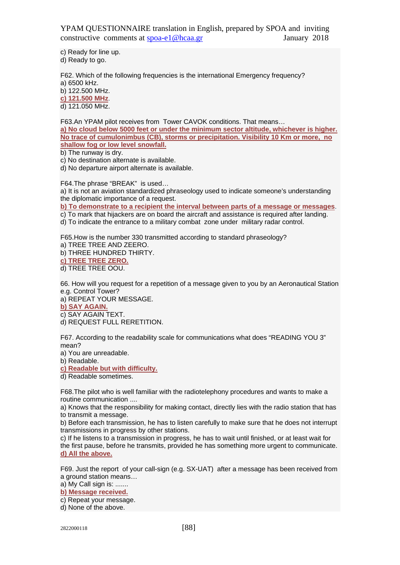c) Ready for line up. d) Ready to go.

F62. Which of the following frequencies is the international Emergency frequency? a) 6500 kHz. b) 122.500 MHz.

**c) 121.500 MHz**.

d) 121.050 MHz.

F63.An YPAM pilot receives from Tower CAVOK conditions. That means…

**a) No cloud below 5000 feet or under the minimum sector altitude, whichever is higher. No trace of cumulonimbus (CB), storms or precipitation. Visibility 10 Km or more, no shallow fog or low level snowfall.**

b) The runway is dry.

c) No destination alternate is available.

d) No departure airport alternate is available.

F64.The phrase "BREAK" is used…

a) It is not an aviation standardized phraseology used to indicate someone's understanding the diplomatic importance of a request.

**b) To demonstrate to a recipient the interval between parts of a message or messages**.

c) To mark that hijackers are on board the aircraft and assistance is required after landing.

d) To indicate the entrance to a military combat zone under military radar control.

F65.How is the number 330 transmitted according to standard phraseology?

a) TREE TREE AND ZEERO. b) THREE HUNDRED THIRTY. **c) TREE TREE ZERO.**

d) TREE TREE OOU.

66. How will you request for a repetition of a message given to you by an Aeronautical Station e.g. Control Tower?

a) REPEAT YOUR MESSAGE.

**b) SAY AGAIN.**

c) SAY AGAIN TEXT.

d) REQUEST FULL RERETITION.

F67. According to the readability scale for communications what does "READING YOU 3" mean?

a) You are unreadable.

b) Readable.

**c) Readable but with difficulty.**

d) Readable sometimes.

F68.The pilot who is well familiar with the radiotelephony procedures and wants to make a routine communication ....

a) Knows that the responsibility for making contact, directly lies with the radio station that has to transmit a message.

b) Before each transmission, he has to listen carefully to make sure that he does not interrupt transmissions in progress by other stations.

c) If he listens to a transmission in progress, he has to wait until finished, or at least wait for the first pause, before he transmits, provided he has something more urgent to communicate. **d) All the above.**

F69. Just the report of your call-sign (e.g. SX-UAT) after a message has been received from a ground station means…

a) My Call sign is: .......

**b) Message received.**

c) Repeat your message.

d) None of the above.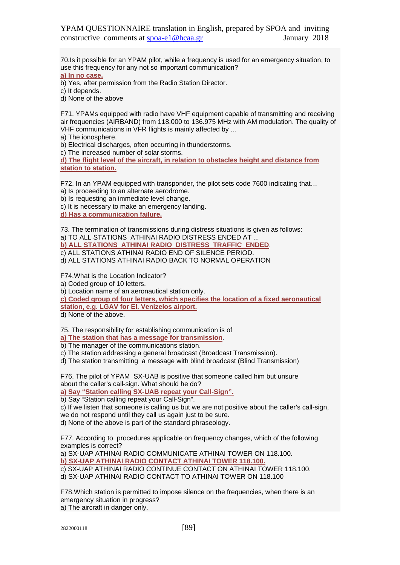70.Is it possible for an YPAM pilot, while a frequency is used for an emergency situation, to use this frequency for any not so important communication?

**a) In no case.**

b) Yes, after permission from the Radio Station Director.

c) It depends.

d) None of the above

F71. YPAMs equipped with radio have VHF equipment capable of transmitting and receiving air frequencies (AIRBAND) from 118.000 to 136.975 MHz with AM modulation. The quality of VHF communications in VFR flights is mainly affected by ...

a) The ionosphere.

b) Electrical discharges, often occurring in thunderstorms.

c) The increased number of solar storms.

**d) The flight level of the aircraft, in relation to obstacles height and distance from station to station.**

F72. In an YPAM equipped with transponder, the pilot sets code 7600 indicating that…

a) Is proceeding to an alternate aerodrome.

b) Is requesting an immediate level change.

c) It is necessary to make an emergency landing.

**d) Has a communication failure.**

73. The termination of transmissions during distress situations is given as follows: a) TO ALL STATIONS ATHINAI RADIO DISTRESS ENDED AT ...

**b) ALL STATIONS ATHINAI RADIO DISTRESS TRAFFIC ENDED**.

c) ALL STATIONS ATHINAI RADIO END OF SILENCE PERIOD.

d) ALL STATIONS ATHINAI RADIO BACK TO NORMAL OPERATION

F74.What is the Location Indicator?

a) Coded group of 10 letters.

b) Location name of an aeronautical station only.

**c) Coded group of four letters, which specifies the location of a fixed aeronautical station, e.g. LGAV for El. Venizelos airport.**

d) None of the above.

75. The responsibility for establishing communication is of

**a) The station that has a message for transmission**.

b) The manager of the communications station.

c) The station addressing a general broadcast (Broadcast Transmission).

d) The station transmitting a message with blind broadcast (Blind Transmission)

F76. The pilot of YPAM SX-UAB is positive that someone called him but unsure about the caller's call-sign. What should he do?

**a) Say "Station calling SX-UAB repeat your Call-Sign".**

b) Say "Station calling repeat your Call-Sign".

c) If we listen that someone is calling us but we are not positive about the caller's call-sign, we do not respond until they call us again just to be sure.

d) None of the above is part of the standard phraseology.

F77. According to procedures applicable on frequency changes, which of the following examples is correct?

a) SX-UAP ATHINAI RADIO COMMUNICATE ATHINAI TOWER ON 118.100. **b) SX-UAP ATHINAI RADIO CONTACT ATHINAI TOWER 118.100.**

c) SX-UAP ATHINAI RADIO CONTINUE CONTACT ON ATHINAI TOWER 118.100. d) SX-UAP ATHINAI RADIO CONTACT TO ATHINAI TOWER ON 118.100

F78.Which station is permitted to impose silence on the frequencies, when there is an emergency situation in progress?

a) The aircraft in danger only.